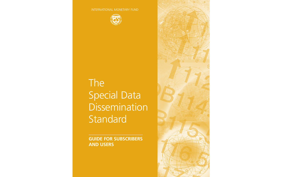INTERNATIONAL MONETARY FUND



# The Special Data Dissemination Standard

**GUIDE FOR SUBSCRIBERS AND USERS**

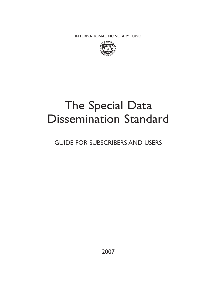INTERNATIONAL MONETARY FUND



## The Special Data Dissemination Standard

### GUIDE FOR SUBSCRIBERS AND USERS

2007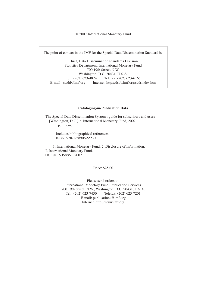© 2007 International Monetary Fund

The point of contact in the IMF for the Special Data Dissemination Standard is:

Chief, Data Dissemination Standards Division Statistics Department, International Monetary Fund 700 19th Street, N.W. Washington, D.C. 20431, U.S.A. Tel.: (202) 623-4874 Telefax: (202) 623-6165 E-mail: stadd@imf.org Internet: http://dsbb.imf.org/sddsindex.htm

#### **Cataloging-in-Publication Data**

The Special Data Dissemination System : guide for subscribers and users — [Washington, D.C.] : International Monetary Fund, 2007. p. cm.

Includes bibliographical references. ISBN 978-1-58906-555-0

 1. International Monetary Fund. 2. Disclosure of information. I. International Monetary Fund. HG3881.5.I58S63 2007

Price: \$25.00

Please send orders to: International Monetary Fund, Publication Services 700 19th Street, N.W., Washington, D.C. 20431, U.S.A. Tel.: (202) 623-7430 Telefax: (202) 623-7201 E-mail: publications@imf.org Internet: http://www.imf.org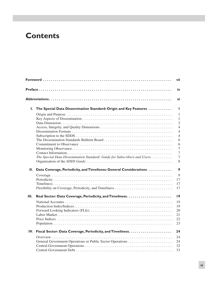### **Contents**

|    |                                                                           | vii             |
|----|---------------------------------------------------------------------------|-----------------|
|    |                                                                           | ix              |
|    |                                                                           | xi              |
| L. | The Special Data Dissemination Standard: Origin and Key Features          | L               |
|    |                                                                           | 1               |
|    |                                                                           | 1               |
|    |                                                                           | $\overline{2}$  |
|    |                                                                           | $\overline{4}$  |
|    |                                                                           | $\overline{4}$  |
|    |                                                                           | $\overline{4}$  |
|    |                                                                           | 6<br>6          |
|    |                                                                           | 7               |
|    |                                                                           | $\overline{7}$  |
|    | The Special Data Dissemination Standard: Guide for Subscribers and Users. | $\overline{7}$  |
|    |                                                                           | $8\,$           |
| П. | Data Coverage, Periodicity, and Timeliness: General Considerations        | $\mathbf{9}$    |
|    |                                                                           | 9               |
|    |                                                                           | 17              |
|    |                                                                           | 17              |
|    |                                                                           | 17              |
| Ш. |                                                                           | $\overline{19}$ |
|    |                                                                           | 19              |
|    |                                                                           | 19              |
|    |                                                                           | 20              |
|    |                                                                           | 21              |
|    |                                                                           | 22<br>23        |
|    |                                                                           |                 |
|    |                                                                           | 24              |
|    |                                                                           | 24              |
|    |                                                                           | 24              |
|    |                                                                           | 32              |
|    |                                                                           | 33              |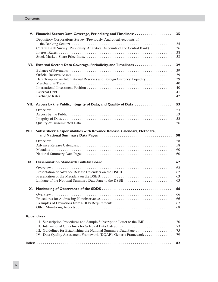#### **Contents**

|                   | V. Financial Sector: Data Coverage, Periodicity, and Timeliness               | 35       |
|-------------------|-------------------------------------------------------------------------------|----------|
|                   | Depository Corporations Survey (Previously, Analytical Accounts of            |          |
|                   |                                                                               | 35       |
|                   | Central Bank Survey (Previously, Analytical Accounts of the Central Bank)     | 36<br>38 |
|                   |                                                                               | 38       |
|                   | VI. External Sector: Data Coverage, Periodicity, and Timeliness               | 39       |
|                   |                                                                               | 39       |
|                   |                                                                               | 39       |
|                   | Data Template on International Reserves and Foreign Currency Liquidity        | 39       |
|                   |                                                                               | 40<br>40 |
|                   |                                                                               | 41       |
|                   |                                                                               | 42       |
|                   | VII. Access by the Public, Integrity of Data, and Quality of Data             | 53       |
|                   |                                                                               | 53       |
|                   |                                                                               | 53       |
|                   |                                                                               | 53       |
|                   |                                                                               | 56       |
|                   | VIII. Subscribers' Responsibilities with Advance Release Calendars, Metadata, | 58       |
|                   |                                                                               | 58       |
|                   |                                                                               | 58       |
|                   |                                                                               | 60       |
|                   |                                                                               | 60       |
| IX.               |                                                                               | 62       |
|                   |                                                                               | 62       |
|                   |                                                                               | 62       |
|                   |                                                                               | 63<br>63 |
|                   |                                                                               |          |
|                   |                                                                               | 66       |
|                   |                                                                               | 66       |
|                   |                                                                               | 66<br>67 |
|                   |                                                                               | 68       |
|                   |                                                                               |          |
| <b>Appendixes</b> |                                                                               |          |
|                   | I. Subscription Procedures and Sample Subscription Letter to the IMF          | 70       |
|                   |                                                                               | 73       |
|                   | IV. Data Quality Assessment Framework (DQAF): Generic Framework               | 75<br>79 |
|                   |                                                                               |          |
|                   |                                                                               | 82       |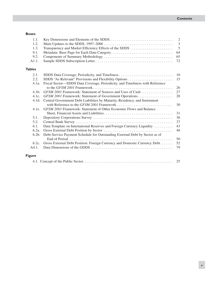#### **Boxes**

| 1.1.             |                                                                              | $\overline{2}$ |  |  |
|------------------|------------------------------------------------------------------------------|----------------|--|--|
| 1.2.             | $\mathfrak{Z}$                                                               |                |  |  |
| 1.3.             |                                                                              | 5              |  |  |
| 9.1.             |                                                                              | 64             |  |  |
| 9.2.             |                                                                              | 65             |  |  |
| A1.1.            |                                                                              | 72             |  |  |
| <b>Tables</b>    |                                                                              |                |  |  |
| 2.1.             | SDDS Data Coverage, Periodicity, and Timeliness                              | 10             |  |  |
| 2.2.             |                                                                              | 15             |  |  |
| $4.1a$ .         | Fiscal Sector-SDDS Data Coverage, Periodicity, and Timeliness with Reference |                |  |  |
|                  |                                                                              | 26             |  |  |
| 4.1 <sub>b</sub> | GFSM 2001 Framework: Statement of Sources and Uses of Cash                   | 27             |  |  |
| 4.1c.            |                                                                              | 28             |  |  |
| 4.1d.            | Central Government Debt Liabilities by Maturity, Residency, and Instrument   |                |  |  |
|                  |                                                                              | 30             |  |  |
| 4.1e.            | GFSM 2001 Framework: Statement of Other Economic Flows and Balance           |                |  |  |
|                  |                                                                              | 31             |  |  |
| 5.1.             |                                                                              | 36             |  |  |
| 5.2.             |                                                                              | 37             |  |  |
| 6.1.             | Data Template on International Reserves and Foreign Currency Liquidity       | 43             |  |  |
| $6.2a$ .         |                                                                              | 48             |  |  |
| 6.2 <sub>b</sub> | Debt-Service Payment Schedule for Outstanding External Debt by Sector as of  | 50             |  |  |
| 6.2c.            | Gross External Debt Position: Foreign Currency and Domestic Currency Debt    | 52             |  |  |
| A4.1.            |                                                                              | 79             |  |  |
| <b>Figure</b>    |                                                                              |                |  |  |
|                  |                                                                              | 25             |  |  |
|                  |                                                                              |                |  |  |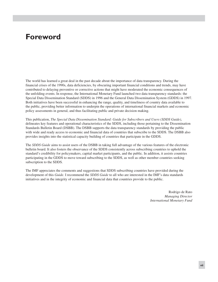### **Foreword**

The world has learned a great deal in the past decade about the importance of data transparency. During the financial crises of the 1990s, data deficiencies, by obscuring important financial conditions and trends, may have contributed to delaying preventive or corrective actions that might have moderated the economic consequences of the unfolding events. In response, the International Monetary Fund launched two data transparency standards: the Special Data Dissemination Standard (SDDS) in 1996 and the General Data Dissemination System (GDDS) in 1997. Both initiatives have been successful in enhancing the range, quality, and timeliness of country data available to the public, providing better information to underpin the operations of international financial markets and economic policy assessments in general, and thus facilitating public and private decision making.

This publication, *The Special Data Dissemination Standard: Guide for Subscribers and Users (SDDS Guide)*, delineates key features and operational characteristics of the SDDS, including those pertaining to the Dissemination Standards Bulletin Board (DSBB). The DSBB supports the data transparency standards by providing the public with wide and ready access to economic and financial data of countries that subscribe to the SDDS. The DSBB also provides insights into the statistical capacity building of countries that participate in the GDDS.

The *SDDS Guide* aims to assist users of the DSBB in taking full advantage of the various features of the electronic bulletin board. It also fosters the observance of the SDDS consistently across subscribing countries to uphold the standard's credibility for policymakers, capital market participants, and the public. In addition, it assists countries participating in the GDDS to move toward subscribing to the SDDS, as well as other member countries seeking subscription to the SDDS.

The IMF appreciates the comments and suggestions that SDDS subscribing countries have provided during the development of this *Guide*. I recommend the *SDDS Guide* to all who are interested in the IMF's data standards initiatives and in the integrity of economic and financial data that countries provide to the public.

> Rodrigo de Rato *Managing Director International Monetary Fund*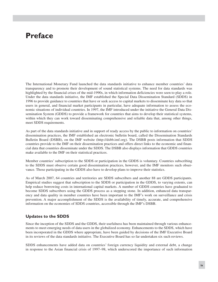### **Preface**

The International Monetary Fund launched the data standards initiative to enhance member countries' data transparency and to promote their development of sound statistical systems. The need for data standards was highlighted by the financial crises of the mid-1990s, in which information deficiencies were seen to play a role. Under the data standards initiative, the IMF established the Special Data Dissemination Standard (SDDS) in 1996 to provide guidance to countries that have or seek access to capital markets to disseminate key data so that users in general, and financial market participants in particular, have adequate information to assess the economic situations of individual countries. In 1997, the IMF introduced under the initiative the General Data Dissemination System (GDDS) to provide a framework for countries that aims to develop their statistical systems, within which they can work toward disseminating comprehensive and reliable data that, among other things, meet SDDS requirements.

As part of the data standards initiative and in support of ready access by the public to information on countries' dissemination practices, the IMF established an electronic bulletin board, called the Dissemination Standards Bulletin Board (DSBB), on the IMF website (http://dsbb.imf.org). The DSBB posts information that SDDS countries provide to the IMF on their dissemination practices and offers direct links to the economic and financial data that countries disseminate under the SDDS. The DSBB also displays information that GDDS countries make available to the IMF on their statistical practices.

Member countries' subscription to the SDDS or participation in the GDDS is voluntary. Countries subscribing to the SDDS must observe certain good dissemination practices, however, and the IMF monitors such observance. Those participating in the GDDS also have to develop plans to improve their statistics.

As of March 2007, 64 countries and territories are SDDS subscribers and another 88 are GDDS participants. Empirical studies suggest that subscription to the SDDS or participation in the GDDS, to varying extents, can help reduce borrowing costs in international capital markets. A number of GDDS countries have graduated to become SDDS subscribers using the GDDS process as a stepping stone. In addition, enhanced data transparency and data quality in member countries have been important to the IMF's work on surveillance and crisis prevention. A major accomplishment of the SDDS is the availability of timely, accurate, and comprehensive information on the economies of SDDS countries, accessible through the IMF's DSBB.

#### **Updates to the SDDS**

Since the inception of the SDDS and the GDDS, their usefulness has been maintained through various enhancements to meet emerging needs of data users in the globalized economy. Enhancements to the SDDS, which have been incorporated in the GDDS where appropriate, have been guided by decisions of the IMF Executive Board in its reviews of the data standards initiative. The Executive Board has so far undertaken six such reviews.

SDDS enhancements have added data on countries' foreign currency liquidity and external debt, a change in response to the Asian financial crisis of 1997–98, which underscored the importance of such information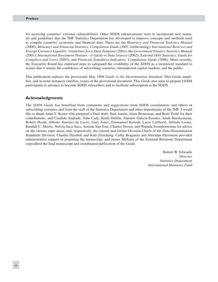for assessing countries' external vulnerabilities. Other SDDS enhancements were to incorporate new manuals and guidelines that the IMF Statistics Department has developed to improve concepts and methods used to compile countries' economic and financial data. These are the *Monetary and Financial Statistics Manual* (2000); *Monetary and Financial Statistics: Compilation Guide* (2007, forthcoming); *International Reserves and Foreign Currency Liquidity: Guidelines for a Data Template* (2001); the *Government Finance Statistics Manual* (2001); *International Investment Position—A Guide to Data Sources* (2002); *External Debt Statistics: Guide for Compilers and Users* (2003); and *Financial Soundness Indicators: Compilation Guide* (2006). More recently, the Executive Board has endorsed steps to safeguard the credibility of the SDDS as a monitored standard to ensure that it retains the confidence of subscribing countries, international capital markets, and the public.

This publication replaces the provisional May 1996 *Guide to the Dissemination Standard.* This *Guide* amplifies, and in some instances clarifies, issues of the provisional document. This *Guide* also aims to prepare GDDS participants to advance to become SDDS subscribers and to facilitate subscription to the SDDS.

#### **Acknowledgments**

The *SDDS Guide* has benefited from comments and suggestions from SDDS coordinators and others in subscribing countries and from the staff of the Statistics Department and other departments of the IMF. I would like to thank Anne Y. Kester who prepared a final draft, Paul Austin, Alain Brousseau, and René Piché for their contributions, and Candida Andrade, John Cady, Keith Dublin, Antonio Galicia-Escotto, Artak Harutyunyan, Robert Heath, Alberto Jimenez de Lucio, Gary Jones, Emmanuel Kumah, Lucie Laliberté, Alfredo Leone, Randall C. Merris, Nolvia Saca Saca, Armida San Jose, Charles Sisson, and Wipada Soonthornsima for advice on the various topic areas, and, respectively, the current and former Division Chiefs of the Data Dissemination Standards Division, Claudia Dziobek and Kim Zieschang. Cathy Braganza and Sheridan Parsonson provided administrative support in preparing the manuscript, and James McEuen of the External Relations Department copyedited the final manuscript and coordinated publication of the *Guide*.

> Robert W. Edwards *Director Statistics Department International Monetary Fund*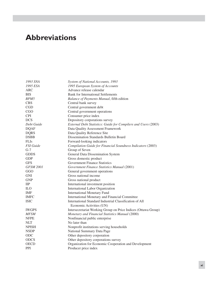### **Abbreviations**

| 1993 SNA         | System of National Accounts, 1993                              |
|------------------|----------------------------------------------------------------|
| 1995 ESA         | 1995 European System of Accounts                               |
| ARC              | Advance release calendar                                       |
| BIS              | <b>Bank for International Settlements</b>                      |
| BPM <sub>5</sub> | Balance of Payments Manual, fifth edition                      |
| <b>CBS</b>       | Central bank survey                                            |
| <b>CGD</b>       | Central government debt                                        |
| CGO              | Central government operations                                  |
| <b>CPI</b>       | Consumer price index                                           |
| <b>DCS</b>       | Depository corporations survey                                 |
| Debt Guide       | External Debt Statistics: Guide for Compilers and Users (2003) |
| <b>DQAF</b>      | Data Quality Assessment Framework                              |
| <b>DQRS</b>      | Data Quality Reference Site                                    |
| <b>DSBB</b>      | Dissemination Standards Bulletin Board                         |
| <b>FLIs</b>      | Forward-looking indicators                                     |
| <b>FSI</b> Guide | Compilation Guide for Financial Soundness Indicators (2003)    |
| $G-7$            | Group of Seven                                                 |
| <b>GDDS</b>      | General Data Dissemination System                              |
| <b>GDP</b>       | Gross domestic product                                         |
| <b>GFS</b>       | <b>Government Finance Statistics</b>                           |
| <b>GFSM 2001</b> | Government Finance Statistics Manual (2001)                    |
| GGO              | General government operations                                  |
| <b>GNI</b>       | Gross national income                                          |
| <b>GNP</b>       | Gross national product                                         |
| $_{\rm IIP}$     | International investment position                              |
| <b>ILO</b>       | International Labor Organization                               |
| <b>IMF</b>       | <b>International Monetary Fund</b>                             |
| <b>IMFC</b>      | International Monetary and Financial Committee                 |
| <b>ISIC</b>      | International Standard Industrial Classification of All        |
|                  | Economic Activities (UN)                                       |
| <b>IWGPS</b>     | Intersecretariat Working Group on Price Indices (Ottawa Group) |
| <b>MFSM</b>      | Monetary and Financial Statistics Manual (2000)                |
| <b>NFPE</b>      | Nonfinancial public enterprise                                 |
| <b>NLT</b>       | No later than                                                  |
| <b>NPISH</b>     | Nonprofit institutions serving households                      |
| <b>NSDP</b>      | National Summary Data Page                                     |
| ODC              | Other depository corporation                                   |
| <b>ODCS</b>      | Other depository corporations survey                           |
| <b>OECD</b>      | Organization for Economic Cooperation and Development          |
| <b>PPI</b>       | Producer price index                                           |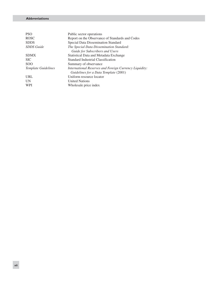#### *The General Data Dissemination System* **Abbreviations**

| <b>PSO</b>                 | Public sector operations                               |
|----------------------------|--------------------------------------------------------|
| <b>ROSC</b>                | Report on the Observance of Standards and Codes        |
| <b>SDDS</b>                | Special Data Dissemination Standard                    |
| <b>SDDS</b> Guide          | The Special Data Dissemination Standard:               |
|                            | Guide for Subscribers and Users                        |
| <b>SDMX</b>                | Statistical Data and Metadata Exchange                 |
| <b>SIC</b>                 | Standard Industrial Classification                     |
| SO <sub>O</sub>            | Summary of observance                                  |
| <b>Template Guidelines</b> | International Reserves and Foreign Currency Liquidity: |
|                            | Guidelines for a Data Template (2001)                  |
| URL                        | Uniform resource locator                               |
| UN                         | <b>United Nations</b>                                  |
| <b>WPI</b>                 | Wholesale price index                                  |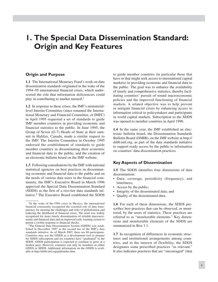### **1. The Special Data Dissemination Standard: Origin and Key Features**

#### **Origin and Purpose**

**1.1** The International Monetary Fund's work on data dissemination standards originated in the wake of the 1994–95 international financial crises, which underscored the role that information deficiencies could play in contributing to market turmoil.<sup>1</sup>

**1.2** In response to these crises, the IMF's ministeriallevel Interim Committee (since renamed the International Monetary and Financial Committee, or IMFC) in April 1995 requested a set of standards to guide IMF member countries in providing economic and financial statistics to the public. In June 1995, the Group of Seven (G-7) Heads of State at their summit in Halifax, Canada, made a similar request to the IMF. The Interim Committee in October 1995 endorsed the establishment of standards to guide member countries in disseminating their economic and financial data to the public, and the creation of an electronic bulletin board on the IMF website.

**1.3** Following consultations by the IMF with national statistical agencies on best practices in disseminating economic and financial data to the public and on the needs of various data users in the financial community, the IMF's Executive Board in March 1996 approved the Special Data Dissemination Standard (SDDS) as the first of a two-tier data standards initiative.2 The Executive Board established the SDDS

to guide member countries (in particular those that have or that might seek access to international capital markets) in providing economic and financial data to the public. The goal was to enhance the availability of timely and comprehensive statistics, thereby facilitating countries' pursuit of sound macroeconomic policies and the improved functioning of financial markets. A related objective was to help prevent or mitigate financial crises by enhancing access to information critical to policymakers and participants in world capital markets. Subscription to the SDDS was opened to member countries in April 1996.

**1.4** In the same year, the IMF established an electronic bulletin board, the Dissemination Standards Bulletin Board (DSBB), on the IMF website at http:// dsbb.imf.org, as part of the data standards initiative to support ready access by the public to information on countries' data dissemination practices.

#### **Key Aspects of Dissemination**

**1.5** The SDDS identifies four dimensions of data dissemination:

- Data: coverage, periodicity (frequency), and timeliness;
- Access by the public;
- Integrity of the disseminated data; and
- Quality of the disseminated data. •

**1.6** For each of these dimensions, the SDDS prescribes best practices that can be observed, or monitored, by the users of statistics. These practices are referred to as "monitorable elements." Key dimensions and monitorable elements of the SDDS are summarized in Box 1.1.

**1.7** In recognition of differences in economic structures and institutional arrangements among countries, and in the interest of flexibility, the SDDS designates some prescribed practices "as relevant." It also indicates practices that are "encouraged" (that

<sup>&</sup>lt;sup>1</sup>In the wake of the 1994 crisis in Mexico, the international financial community recognized the essential role of data transparency for meeting the challenges and risks of globalization and reducing the likelihood of financial crises. The need was widely recognized for more timely dissemination of reliable macroeconomic and financial data and an improved early warning system to permit a swifter response to financial shocks.

<sup>2</sup>The General Data Dissemination System (GDDS) was established in December 1997 as the second tier of the IMF's data standards initiative. As of March 2007, there are 88 participants. Countries may use the GDDS as a development tool to prepare for SDDS subscription and six countries have "graduated" to the SDDS. GDDS participation is expected to continue to grow at a modest pace. However, countries can only be members in either GDDS or SDDS. Additional information on the GDDS is available at http://dsbb.imf.org/gddsindex.htm.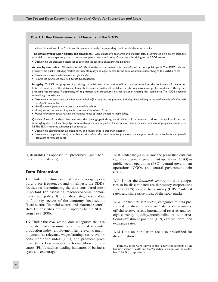#### **Box 1.1. Key Dimensions and Elements of the SDDS**

The four dimensions of the SDDS are shown in bold, with corresponding monitorable elements in italics.

**The data: coverage, periodicity, and timeliness.** Comprehensive economic and financial data, disseminated on a timely basis, are essential to the transparency of macroeconomic performance and policy. Countries subscribing to the SDDS are to:

v *Disseminate the prescribed categories of data with the specified periodicity and timeliness.* 

**Access by the public.** Dissemination of official statistics is an essential feature of statistics as a public good. The SDDS calls for providing the public, including market participants, ready and equal access to the data. Countries subscribing to the SDDS are to:

- v *Disseminate advance release calendars for the data.*
- v *Release the data to all interested parties simultaneously.*

**Integrity.** To fulfill the purpose of providing the public with information, official statistics must have the confidence of their users. In turn, confidence in the statistics ultimately becomes a matter of confidence in the objectivity and professionalism of the agency producing the statistics. Transparency of its practices and procedures is a key factor in creating this confidence. The SDDS requires subscribing countries to:

- v *Disseminate the terms and conditions under which official statistics are produced, including those relating to the confidentiality of individually identifiable information.*
- v *Identify internal government access to data before release.*
- v *Identify ministerial commentary on the occasion of statistical releases.*
- v *Provide information about revision and advance notice of major changes in methodology.*

**Quality.** A set of standards that deals with the coverage, periodicity, and timeliness of data must also address the quality of statistics. Although quality is difficult to judge, monitorable proxies, designed to focus on information the user needs to judge quality, can be useful. The SDDS requires subscribing countries to:

- v *Disseminate documentation on methodology and sources used in preparing statistics.*
- v *Disseminate component detail, reconciliations with related data, and statistical frameworks that support statistical cross-checks and provide assurance of reasonableness.*

is, desirable), as opposed to "prescribed" (see Chapter 2 for more details).

#### **Data Dimension**

**1.8** Under the dimension of data coverage, periodicity (or frequency), and timeliness, the SDDS focuses on disseminating the data considered most important for assessing macroeconomic performance and policy. It prescribes categories of data in four key sectors of the economy (real sector, fiscal sector, financial sector, and external sector). Box 1.2 describes the main updates to the SDDS from 1997–2006.

**1.9** Under the *real sector*, data categories that are prescribed for dissemination are national accounts, production index, employment (as relevant), unemployment (as relevant), wages/earnings (as relevant), consumer price index (CPI), and producer price index (PPI). Dissemination of forward-looking indicators (FLIs), such as leading indicators of business cycles, is encouraged.

**1.10** Under the *fiscal sector*, the prescribed data categories are general government operations (GGO) or public sector operations (PSO), central government operations (CGO), and central government debt (CGD).

**1.11** Under the *financial sector*, the data categories to be disseminated are depository corporations survey (DCS), central bank survey  $(CBS)$ ,<sup>3</sup> interest rates, and share price index of the stock market.

**1.12** For the *external sector*, categories of data prescribed for dissemination are balance of payments, official reserve assets, international reserves and foreign currency liquidity, merchandise trade, international investment position (IIP), external debt, and exchange rates.

**1.13** Data on population are also prescribed for dissemination.

<sup>3</sup>Formerly these were known as the "analytical accounts of the banking sector" (AAB) and the "analytical accounts of the central bank" (AAC), respectively.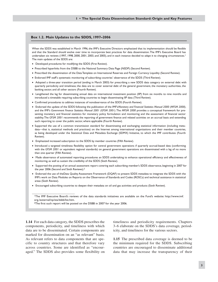#### **Box 1.2. Main Updates to the SDDS, 1997–2006**

When the SDDS was established in March 1996, the IMF's Executive Directors emphasized that its implementation should be flexible and that the Standard should evolve over time to incorporate best practices for data dissemination. The IMF's Executive Board has undertaken six reviews (1997, 1998, 2000, 2001, 2003, and 2005), and in each instance decided to adapt it to changing circumstances.<sup>1</sup> The main updates of the SDDS are:

- Developed procedures for modifying the SDDS (First Review).
- v Prescribed hyperlinks from the DSBB to the National Summary Data Page (NSDP) (Second Review).
- v Prescribed the dissemination of the Data Template on International Reserves and Foreign Currency Liquidity (Second Review).
- v Endorsed IMF staff's systematic monitoring of subscribing countries' observance of the SDDS (Third Review).
- Adopted a three-year transition period (ending in March 2003) for prescribing a new SDDS data category on external debt with quarterly periodicity and timeliness; the data are to cover external debt of the general government, the monetary authorities, the banking sector, and all other sectors (Fourth Review).
- Lengthened the lag for disseminating annual data on international investment position (IIP) from six months to nine months and introduced a timetable requiring subscribing countries to begin disseminating IIP data (Third Review).
- v Confirmed procedures to address instances of nonobservance of the SDDS (Fourth Review).
- v Endorsed the update of the SDDS following the publication of the IMF's *Monetary and Financial Statistics Manual 2000 (MFSM 2000)*, and the IMF's *Government Finance Statistics Manual 2001 (GFSM 2001)*. The *MFSM 2000* provides a conceptual framework for presenting monetary and financial statistics for monetary policy formulation and monitoring and the assessment of financial sector stability. The *GFSM 2001* recommends the reporting of government finance and related activities on an accrual basis and extending such reporting to cover the public sector, where applicable (Fourth Review).
- vSupported the use of a common transmission standard for disseminating and exchanging statistical information (including metadata—that is, statistical methods and practices) on the Internet among international organizations and their member countries, as being developed under the Statistical Data and Metadata Exchange (SDMX) Initiative, to which the IMF contributes (Fourth Review).
- Emphasized increased subscription to the SDDS by member countries (Fifth Review).
- vIntroduced a targeted timeliness flexibility option for central government operations if quarterly accrual-based data (conforming with the *GFSM 2001* or equivalent regional standards) on general government operations are disseminated with a lag of no more than one quarter (Fifth Review).
- vMade observance of automated reporting procedures an SDDS undertaking to enhance operational efficiency and effectiveness of monitoring, as well as sustain the credibility of the SDDS (Sixth Review).
- vSupported the posting of an annual assessment report covering each subscribing member's SDDS observance, beginning in 2007 for the year 2006 (Second and Sixth Reviews).2
- vEndorsed the use of the Data Quality Assessment Framework (DQAF) to present SDDS metadata to integrate the SDDS with the IMF's work on Data Modules on Reports on the Observance of Standards and Codes (ROSCs) and technical assistance in statistical areas (Sixth Review).
- vEncouraged subscribing countries to deepen their metadata on oil and gas activities and products (Sixth Review).

**1.14** For each data category, the SDDS prescribes the components, periodicity, and timeliness with which data are to be disseminated. Certain components are marked for dissemination on an "as relevant" basis. As relevant refers to data components that are specific to country structures and that therefore vary across countries. Some are identified as "encouraged." The SDDS also provides some flexibility on

\_\_\_\_\_\_\_\_\_\_\_\_\_\_\_\_\_\_\_\_\_\_\_\_\_\_\_\_\_\_

timeliness and periodicity requirements. Chapters 3–6 elaborate on the SDDS's data coverage, periodicity, and timeliness for the various sectors.

**1.15** The prescribed data coverage is deemed to be the minimum required for the SDDS. Subscribing countries are encouraged to disseminate additional data that may increase the transparency of their

<sup>1</sup>The IMF Executive Board's reviews of the data standards initiatives are available on the Fund's website: http://www.imf. org./external/np/sta/dsbb/list.htm.

<sup>&</sup>lt;sup>2</sup>The first such report will be posted on the DSBB in 2007 for the year 2006.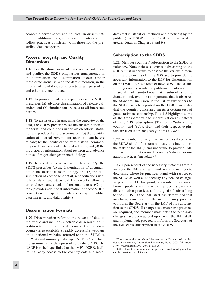economic performance and policies. In disseminating the additional data, subscribing countries are to follow practices consistent with those for the prescribed data categories.

#### **Access, Integrity, and Quality Dimensions**

**1.16** For the dimensions of data access, integrity, and quality, the SDDS emphasizes transparency in the compilation and dissemination of data. Under these dimensions, as with the data dimension, in the interest of flexibility, some practices are prescribed and others are encouraged.

**1.17** To promote ready and equal *access*, the SDDS prescribes (a) advance dissemination of release calendars and (b) simultaneous release to all interested parties.

**1.18** To assist users in assessing the *integrity* of the data, the SDDS prescribes (a) the dissemination of the terms and conditions under which official statistics are produced and disseminated; (b) the identification of internal government access to data before release; (c) the identification of ministerial commentary on the occasion of statistical releases; and (d) the provision of information about revision and advance notice of major changes in methodology.

**1.19** To assist users in assessing data *quality*, the SDDS prescribes (a) the dissemination of documentation on statistical methodology and (b) the dissemination of component detail, reconciliations with related data, and statistical frameworks allowing cross-checks and checks of reasonableness. (Chapter 7 provides additional information on these SDDS concepts with respect to ready access by the public, data integrity, and data quality.)

#### **Dissemination Formats**

**1.20** Dissemination refers to the release of data to the public and includes electronic dissemination in addition to more traditional formats. A subscribing country is to establish a readily accessible webpage on its national website, referred to in the SDDS as the "national summary data page (NSDP)," on which it disseminates the data prescribed by the SDDS. The NSDP is to be hyperlinked to the IMF's DSBB, facilitating ready access to the country data and metadata (that is, statistical methods and practices) by the public. (The NSDP and the DSBB are discussed in greater detail in Chapters 8 and 9.)

#### **Subscription to the SDDS**

**1.21** Member countries' subscription to the SDDS is voluntary. Nonetheless, countries subscribing to the SDDS must undertake to observe the various dimensions and elements of the SDDS and to provide the necessary information to the IMF for dissemination on the DSBB. A basic tenet of the SDDS is that a subscribing country wants the public—in particular, the financial markets—to know that it subscribes to the Standard and, even more important, that it observes the Standard. Inclusion in the list of subscribers to the SDDS, which is posted on the DSBB, indicates that the country concerned meets a certain test of good statistical citizenship. Box 1.3 highlights some of the transparency and market efficiency effects of the SDDS subscription. (The terms "subscribing country" and "subscriber" and their respective plurals are used interchangeably in this *Guide*.)

**1.22** A member country that wishes to subscribe to the SDDS should first communicate this intention to the staff of the IMF, $4$  and undertake to provide IMF staff with information on the country's data dissemination practices (metadata).5

**1.23** Upon receipt of the necessary metadata from a member, the IMF staff will work with the member to determine where its practices stand with respect to the SDDS as well as to identify any needed changes in practices. At this point, a member may make known publicly its intent to improve its data and dissemination practices and the goal of subscribing to the SDDS. If the IMF staff has determined that no changes are needed, the member may proceed to inform the Secretary of the IMF of its subscription to the SDDS. If changes to a member's practices are required, the member may, after the necessary changes have been agreed upon with the IMF staff, and implemented, proceed to inform the Secretary of the IMF of its subscription to the SDDS.

<sup>4</sup>The communication should be sent to the Director of the Statistics Department, International Monetary Fund, 700 19th Street, N.W., Washington, D.C. 20431, U.S.A.

<sup>5</sup>Other than the summary descriptions of methodology, which can be provided at a later date.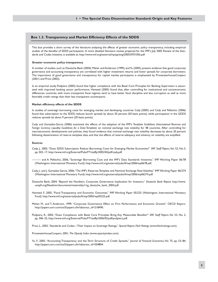#### **Box 1.3. Transparency and Market Efficiency Effects of the SDDS**

This box provides a short survey of the literature analyzing the effects of greater economic policy transparency, including empirical studies of the benefits of SDDS participation. A more detailed literature review, prepared for the IMF's July 2005 Review of the Standards and Codes Initiative, is available at: http://www.imf.org/external/np/pp/eng/2005/070105b.pdf.

#### **Greater economic policy transparency**

A number of studies, such as Deutsche Bank (2004), Maher and Anderson (1999), and Yu (2005), present evidence that good corporate governance and accounting transparency are correlated with higher investment returns and lower spreads for corporate borrowers. The importance of good governance and transparency for capital market participants is emphasized by PricewaterhouseCoopers (2001) and Price (2002).

In an empirical study, Podpiera (2005) found that higher compliance with the Basel Core Principles for Banking Supervision is associated with improved banking sector performance. Hameed (2005) found that, after controlling for institutional and socioeconomic differences, countries with more transparent fiscal regimes tend to have better fiscal discipline and less corruption as well as more favorable credit ratings than their less transparent counterparts.

#### **Market efficiency effects of the SDDS**

In studies of sovereign borrowing costs for emerging market and developing countries Cady (2005) and Cady and Pellechio (2006) found that subscription to the SDDS reduces launch spreads by about 20 percent (50 basis points), while participation in the GDDS reduces spreads by about 9 percent (20 basis points).

Cady and Gonzalez-Garcia (2006) examined the effects of the adoption of the IMF's *Template Guidelines (International Reserves and Foreign Currency Liquidity: Guidelines for a Data Template)* on nominal exchange rate volatility for 48 countries. After controlling for macroeconomic developments and policies, they found evidence that nominal exchange rate volatility decreases by about 20 percent following dissemination of reserve template data, and that the effects of reserve adequacy and solvency on volatility are amplified.

#### **Sources**

- Cady, J., 2005, "Does SDDS Subscription Reduce Borrowing Costs for Emerging Market Economies?" *IMF Staff Papers*, Vol. 52, No.3, pp. 503–17, http://www.imf.org/External/Pubs/FT/staffp/2005/04/pdf/cady.pdf.
- ——— and A. Pellechio, 2006, "Sovereign Borrowing Cost and the IMF's Data Standards Initiatives," IMF Working Paper 06/78 (Washington: International Monetary Fund), http://www.imf.org/external/pubs/ft/wp/2006/wp0678.pdf.
- Cady, J., and J. Gonzalez-Garcia, 2006, "The IMF's Reserves Template and Nominal Exchange Rate Volatility," IMF Working Paper 06/274 (Washington: International Monetary Fund), http://www.imf.org/external/pubs/ft/wp/2006/wp06274.pdf.
- Deutsche Bank, 2004, "Beyond the Numbers. Corporate Governance: Implication for Investors," *Deutsche Bank Report,* http://www. unepfi.org/fileadmin/documents/materiality1/cg\_deutsche\_bank\_2004.pdf.
- Hameed, F., 2005, "Fiscal Transparency and Economic Outcomes," IMF Working Paper 05/225 (Washington, International Monetary Fund), http://www.imf.org/external/pubs/ft/wp/2005/wp05225.pdf.
- Maher, M., and T. Anderson, 1999, "Corporate Governance: Effect on Firm Performance and Economic Growth," OECD Report, http://papers.ssrn.com/sol3/papers.cfm?abstract\_id=218490.
- Podpiera, R., 2005, "Does Compliance with Basel Core Principles Bring Any Measurable Benefits?" *IMF Staff Papers*, Vol. 53, No. 2, pp. 306–25, http://www.imf.org/External/Pubs/FT/staffp/2006/02/pdf/podpiera.pdf.

Price, L., 2002, "Standards and Codes—Their Impact on Sovereign Ratings," *Special Report, Fitch Ratings* (www.fitchratings.com).

PricewaterhouseCoopers, 2001, *The Opacity Index* (www.opacityindex.com).

Yu, F., 2005, "Accounting Transparency and the Term Structure of Credit Spreads," *Journal of Financial Economics*, Vol. 75, pp. 53–84, http://papers.ssrn.com/sol3/papers.cfm?abstract\_id=504804.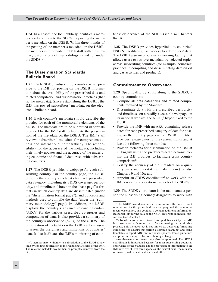**1.24** In all cases, the IMF publicly identifies a member's subscription to the SDDS by posting the member's metadata on the DSBB. Within three months of the posting of the member's metadata on the DSBB, the member is to provide the IMF staff with the summary descriptions of methodology called for under the SDDS.6

#### **The Dissemination Standards Bulletin Board**

**1.25** Each SDDS subscribing country is to provide to the IMF for posting on the DSBB information about the availability of the prescribed data and related compilation and dissemination practices (that is, the metadata). Since establishing the DSBB, the IMF has posted subscribers' metadata on the electronic bulletin board.

**1.26** Each country's metadata should describe the practice for each of the monitorable elements of the SDDS. The metadata are to be submitted in formats provided by the IMF staff to facilitate the presentation of the metadata on the DSBB. The IMF staff reviews subscribers' metadata for comprehensiveness and international comparability. The responsibility for the accuracy of the metadata, including their timely updates and the accuracy of the underlying economic and financial data, rests with subscribing countries.

**1.27** The DSBB provides a webpage for each subscribing country. On the country page, the DSBB presents the country's metadata for each prescribed data category, including its SDDS coverage, periodicity, and timeliness (shown in the "base page"); formats in which country data are disseminated (under the "dissemination format page"); and concepts and methods used to compile the data (under the "summary methodology" page). In addition, the DSBB displays the country's advance release calendars (ARCs) for the various prescribed categories and components of data. It also provides a summary of the country's observance (SOO) of the SDDS. The presentation of metadata on the DSBB allows users to assess the usefulness and limitations of countries' data. It also facilitates the IMF's monitoring of countries' observance of the SDDS (see also Chapters  $8-10$ ).

**1.28** The DSBB provides hyperlinks to countries' NSDPs, facilitating user access to subscribers' data. The DSBB also incorporates a querying facility that allows users to retrieve metadata by selected topics across subscribing countries (for example, countries' practices in compiling and disseminating data on oil and gas activities and products).

#### **Commitment to Observance**

**1.29** Specifically, by subscribing to the SDDS, a country commits to:

- Compile all data categories and related compo-• nents required by the Standard;
- Disseminate data with the prescribed periodicity and timeliness on a readily accessible webpage on its national website, the NSDP,<sup>7</sup> hyperlinked to the DSBB;
- Provide the IMF with an ARC containing release dates for each prescribed category of data for posting on the country page on the DSBB; the ARC provides release dates for the current month and at least the following three months;
- Provide metadata for dissemination on the DSBB in English using the predetermined electronic format the IMF provides, to facilitate cross-country comparison;<sup>8</sup>
- Certify the accuracy of the metadata on a quarterly basis and undertake to update them (see also Chapters 9 and 10); and
- Appoint an SDDS coordinator<sup>9</sup> to work with the IMF on various operational aspects of the SDDS.

**1.30** The SDDS coordinator is the main contact person the subscribing country designates to work with

<sup>6</sup>A member may withdraw its subscription to the SDDS at any time by sending notification to the Managing Director of the IMF. The relevant metadata would then be promptly removed from the DSBB.

<sup>7</sup>The NSDP would contain, at a minimum, the most recent observation for the prescribed data category and the next most recent observation, and could also contain additional information. Responsibility for the data on the NSDP rests with individual subscribers (see Chapter 8).

<sup>8</sup>Subscribers are required to observe guidelines set by the IMF, in consultation with subscribers, for automating the monitoring process. This includes, but is not limited to, observing formatting guidelines for NSDPs that permit electronic scanning, and using templates to report ARC and metadata updates. These guidelines and procedures may evolve as technology changes.

<sup>9</sup>An alternate coordinator may also be appointed. The SDDS coordinator is important because for most subscribing countries observance of the Standard and the provision of information to the IMF involves at least three agencies: the central bank, the ministry of finance, and the national statistical office.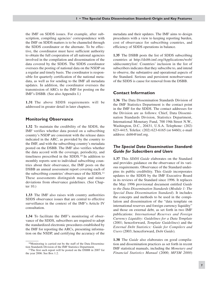the IMF on SDDS issues. For example, after subscription, compiling agencies' correspondence with the IMF on SDDS matters is to be channeled through the SDDS coordinator or the alternate. To be effective, the coordinator must have sufficient authority to obtain the full cooperation of all national agencies involved in the compilation and dissemination of the data covered by the SDDS. The SDDS coordinator oversees the posting of national data on the NSDP on a regular and timely basis. The coordinator is responsible for quarterly certification of the national metadata, as well as for sending to the IMF all metadata updates. In addition, the coordinator oversees the transmission of ARCs to the IMF for posting on the IMF's DSBB. (See also Appendix I.)

**1.31** The above SDDS requirements will be addressed in greater detail in later chapters.

#### **Monitoring Observance**

**1.32** To maintain the credibility of the SDDS, the IMF verifies whether data posted on a subscribing country's NSDP are consistent with the release dates indicated in the ARC, as provided by the country to the IMF, and with the subscribing country's metadata posted on the DSBB. The IMF also verifies whether the data accord with the coverage, periodicity, and timeliness prescribed in the SDDS.10 In addition to monthly reports sent to individual subscribing countries about their observance, the IMF posts on the DSBB an annual assessment report covering each of the subscribing countries' observance of the SDDS.11 These assessments distinguish major and minor deviations from observance guidelines. (See Chapter 10.)

**1.33** The IMF also raises with country authorities SDDS observance issues that are central to effective surveillance in the context of the IMF's Article IV consultation.

**1.34** To facilitate the IMF's monitoring of observance of the SDDS, subscribers are required to adopt the standardized electronic procedures established by the IMF for reporting the ARCs, presenting information on the NSDP, and certifying the accuracy of the

metadata and their updates. The IMF aims to design procedures with a view to keeping reporting burden, cost of observance for subscribing countries, and efficiency of SDDS operations in balance.

**1.35** The DSBB posts the list of SDDS subscribing countries at http://dsbb.imf.org/Applications/web/ sddscountrylist/. Countries' inclusion in the list of subscribers indicates that they subscribe to, and intend to observe, the substantive and operational aspects of the Standard. Serious and persistent nonobservance of the SDDS is cause for removal from the DSBB.

#### **Contact Information**

**1.36** The Data Dissemination Standards Division of the IMF Statistics Department is the contact point in the IMF for the SDDS. The contact addresses for the Division are as follows: Chief, Data Dissemination Standards Division, Statistics Department, International Monetary Fund, 700 19th Street N.W., Washington, D.C., 20431, U.S.A. Telephone: (202) 623-4415, Telefax: (202) 623-6165 (or 6460); e-mail address: dsbb@imf.org.

#### *The Special Data Dissemination Standard: Guide for Subscribers and Users*

**1.37** This *SDDS Guide* elaborates on the Standard and provides guidance on the observance of its various requirements. Observance of the Standard underpins its public credibility. This *Guide* incorporates updates to the SDDS by the IMF Executive Board in its reviews of the Standard since 1996. It replaces the May 1996 provisional document entitled *Guide to the Data Dissemination Standards* (*Module 1: The Special Data Dissemination Standard*). It includes the concepts and methods to be used in the compilation and dissemination of the "data template on international reserves and foreign currency liquidity" and those on external debt, as set forth in two IMF publications: *International Reserves and Foreign Currency Liquidity: Guidelines for a Data Template* (2001; henceforward, *Template Guidelines*) and the *External Debt Statistics: Guide for Compilers and Users* (2003; henceforward, *Debt Guide*)*.*

**1.38** The *Guide* also elaborates on good compilation and dissemination practices as set forth in recent IMF statistical manuals, including the *Monetary and Financial Statistics Manual* (2000; *MFSM 2000*)

<sup>10</sup>Monitoring is carried out by the staff of the Data Dissemination Standards Division of the IMF Statistics Department.

<sup>11</sup>The first such report will be posted on the DSBB in 2007 for the year 2006. See Box 1.2.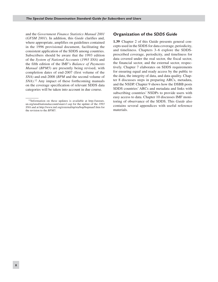and the *Government Finance Statistics Manual 2001* (*GFSM 2001*). In addition, this *Guide* clarifies and, where appropriate, amplifies on guidelines contained in the 1996 provisional document, facilitating the consistent application of the SDDS among countries. Subscribers should be aware that the 1993 edition of the *System of National Accounts* (*1993 SNA*) and the fifth edition of the IMF's *Balance of Payments Manual* (*BPM5*) are presently being revised, with completion dates of end-2007 (first volume of the *SNA*) and end-2008 (*BPM* and the second volume of *SNA*).12 Any impact of these forthcoming manuals on the coverage specification of relevant SDDS data categories will be taken into account in due course.

#### **Organization of the** *SDDS Guide*

**1.39** Chapter 2 of this Guide presents general concepts used in the SDDS for data coverage, periodicity, and timeliness. Chapters 3–6 explore the SDDSprescribed coverage, periodicity, and timeliness for data covered under the real sector, the fiscal sector, the financial sector, and the external sector, respectively. Chapter 7 elaborates on SDDS requirements for ensuring equal and ready access by the public to the data, the integrity of data, and data quality. Chapter 8 discusses steps in preparing ARCs, metadata, and the NSDP. Chapter 9 shows how the DSBB posts SDDS countries' ARCs and metadata and links with subscribing countries' NSDPs to provide users with easy access to data. Chapter 10 discusses IMF monitoring of observance of the SDDS. This *Guide* also contains several appendices with useful reference materials.

<sup>12</sup>Information on these updates is available at http://unstats. un.org/unsd/nationalaccount/snarev1.asp for the update of the *1993 SNA* and at http://www.imf.org/external/np/sta/bop/bopman5.htm for the revision to the *BPM5*.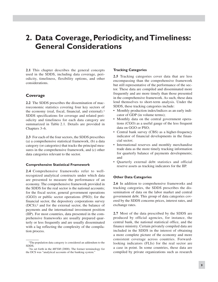### **2. Data Coverage, Periodicity, andTimeliness: General Considerations**

**2.1** This chapter describes the general concepts used in the SDDS, including data coverage, periodicity, timeliness, flexibility options, and other considerations.

#### **Coverage**

**2.2** The SDDS prescribes the dissemination of macroeconomic statistics covering four key sectors of the economy (real, fiscal, financial, and external).<sup>1</sup> SDDS specifications for coverage and related periodicity and timeliness for each data category are summarized in Table 2.1. Details are provided in Chapters 3–6.

**2.3** For each of the four sectors, the SDDS prescribes (a) a comprehensive statistical framework, (b) a data category (or categories) that tracks the principal measures in the comprehensive framework, and (c) other data categories relevant to the sector.

#### **Comprehensive Statistical Framework**

**2.4** Comprehensive frameworks refer to wellrecognized analytical constructs under which data are presented to measure the performance of an economy. The comprehensive framework provided in the SDDS for the real sector is the national accounts; for the fiscal sector, general government operations (GGO) or public sector operations (PSO); for the financial sector, the depository corporations survey (DCS);2 and for the external sector, the balance of payments and the international investment position (IIP). For most countries, data presented in the comprehensive frameworks are usually prepared quarterly or less frequently and are usually disseminated with a lag reflecting the complexity of the compilation process.

#### **Tracking Categories**

**2.5** Tracking categories cover data that are less encompassing than the comprehensive framework but still representative of the performance of the sector. These data are compiled and disseminated more frequently and are more timely than those presented in the comprehensive framework. As such, these data lend themselves to short-term analysis. Under the SDDS, these tracking categories include:

- Monthly production index/indices as an early indicator of GDP (in volume terms);
- Monthly data on the central government operations (CGO) as a useful gauge of the less frequent data on GGO or PSO;
- Central bank survey (CBS) as a higher-frequency indicator of financial developments in the financial sector;
- International reserves and monthly merchandise trade data as the more timely tracking information for quarterly balance of payments developments; and
- Quarterly external debt statistics and official reserve assets as tracking indicators for the IIP.

#### **Other Data Categories**

**2.6** In addition to comprehensive frameworks and tracking categories, the SDDS prescribes the dissemination of data on the labor market and central government debt. This group of data categories covered by the SDDS concerns prices, interest rates, and exchange rates.

**2.7** Most of the data prescribed by the SDDS are produced by official agencies, for instance, the central bank, the national statistical office, and the finance ministry. Certain privately compiled data are included in the SDDS in the interest of obtaining a more complete picture of the economy and more consistent coverage across countries. Forwardlooking indicators (FLIs) for the real sector are a case in point. In some countries, these data are compiled by private organizations such as research

<sup>&</sup>lt;sup>1</sup>The population data category is considered an addendum to the SDDS.

<sup>2</sup>As set forth in the *MFSM* (2000). The former terminology for the DCS was "analytical accounts of the banking system."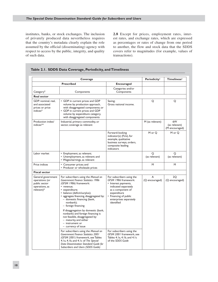institutes, banks, or stock exchanges. The inclusion of privately produced data nevertheless requires that the country's metadata clearly explain the role assumed by the official (disseminating) agency with respect to access by the public, integrity, and quality of such data.

**2.8** Except for prices, employment rates, interest rates, and exchange rates, which are expressed as percentages or rates of change from one period to another, the flow and stock data that the SDDS covers refer to magnitudes (for example, values of transactions).

|  | Table 2.1. SDDS Data Coverage, Periodicity, and Timeliness |  |
|--|------------------------------------------------------------|--|
|  |                                                            |  |

|                                                                                       | Coverage                                                                                                                                                                                                                                                                                                                                                                                                    |                                                                                                                                                                                                        | Periodicity <sup>1</sup> | <b>Timeliness<sup>1</sup></b>         |
|---------------------------------------------------------------------------------------|-------------------------------------------------------------------------------------------------------------------------------------------------------------------------------------------------------------------------------------------------------------------------------------------------------------------------------------------------------------------------------------------------------------|--------------------------------------------------------------------------------------------------------------------------------------------------------------------------------------------------------|--------------------------|---------------------------------------|
| <b>Prescribed</b>                                                                     |                                                                                                                                                                                                                                                                                                                                                                                                             | <b>Encouraged</b>                                                                                                                                                                                      |                          |                                       |
| Category <sup>2</sup>                                                                 | Components                                                                                                                                                                                                                                                                                                                                                                                                  | Categories and/or<br>Components                                                                                                                                                                        |                          |                                       |
| <b>Real sector</b>                                                                    |                                                                                                                                                                                                                                                                                                                                                                                                             |                                                                                                                                                                                                        |                          |                                       |
| GDP: nominal, real,<br>and associated<br>prices or price<br>indices*                  | • GDP in current prices and GDP<br>volume by production approach,<br>with disaggregated components; or<br>• GDP in current prices and GDP<br>volume by expenditure category,<br>with disaggregated components                                                                                                                                                                                               | Saving;<br>Gross national income.                                                                                                                                                                      | Q                        | Q                                     |
| Production index/<br>indices <sup>**</sup>                                            | Industrial, primary commodity, or<br>sector, coverage as relevant                                                                                                                                                                                                                                                                                                                                           |                                                                                                                                                                                                        | M (as relevant)          | 6W<br>(as relevant)<br>(M encouraged) |
|                                                                                       |                                                                                                                                                                                                                                                                                                                                                                                                             | Forward-looking<br>indicator(s) (FLIs), for<br>example, qualitative<br>business surveys, orders,<br>composite leading<br>indicators                                                                    | M or O                   | M or O                                |
| Labor market                                                                          | • Employment, as relevant;<br>• Unemployment, as relevant; and<br>• Wages/earnings, as relevant                                                                                                                                                                                                                                                                                                             |                                                                                                                                                                                                        | O<br>(as relevant)       | O<br>(as relevant)                    |
| Price indices                                                                         | • Consumer prices; and<br>• Producer or wholesale prices                                                                                                                                                                                                                                                                                                                                                    |                                                                                                                                                                                                        | M                        | M                                     |
| <b>Fiscal sector</b>                                                                  |                                                                                                                                                                                                                                                                                                                                                                                                             |                                                                                                                                                                                                        |                          |                                       |
| General government<br>operations (or<br>public sector<br>operations, as<br>relevant)* | For subscribers using the Manual on<br><b>Government Finance Statistics 1986</b><br>(GFSM 1986) framework:<br>• revenue;<br>• expenditure;<br>• balance (deficit/surplus);<br>• aggregate financing, disaggregated by:<br>- domestic financing (bank,<br>nonbank);<br>$-$ foreign financing<br>If disaggregation by domestic (bank,<br>nonbank) and foreign financing is<br>not feasible, disaggregated by: | For subscribers using the<br>GFSM 1986 framework:<br>• Interest payments,<br>indicated separately<br>as a component of<br>expenditure<br>• Financing of public<br>enterprises separately<br>identified | A<br>(Q encouraged)      | 20<br>(Q encouraged)                  |
|                                                                                       | - maturity, and either<br>$-$ instrument or<br>- currency of issue<br>For subscribers using the Manual on<br>Government Finance Statistics 2001                                                                                                                                                                                                                                                             | For subscribers using the<br>GFSM 2001 framework, see                                                                                                                                                  |                          |                                       |
|                                                                                       | (GFSM 2001) framework, see Tables<br>4.1a, 4.1b, and 4.1c of The Special<br>Data Dissemination Standard: Guide for<br>Subscribers and Users (SDDS Guide)                                                                                                                                                                                                                                                    | Tables 4.1a, 4.1b, and 4.1c<br>of the SDDS Guide                                                                                                                                                       |                          |                                       |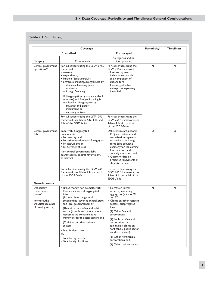#### **2 • Data Coverage, Periodicity, andTimeliness: General Considerations**

#### **Table 2.1** *(continued)*

| Coverage                                                                                             |                                                                                                                                                                                                                                                                                                                                                                                                                        |                                                                                                                                                                                                                                                                                  | <b>Periodicity</b> | <b>Timeliness<sup>1</sup></b> |
|------------------------------------------------------------------------------------------------------|------------------------------------------------------------------------------------------------------------------------------------------------------------------------------------------------------------------------------------------------------------------------------------------------------------------------------------------------------------------------------------------------------------------------|----------------------------------------------------------------------------------------------------------------------------------------------------------------------------------------------------------------------------------------------------------------------------------|--------------------|-------------------------------|
| <b>Prescribed</b>                                                                                    |                                                                                                                                                                                                                                                                                                                                                                                                                        | <b>Encouraged</b>                                                                                                                                                                                                                                                                |                    |                               |
| Category <sup>2</sup>                                                                                | Components                                                                                                                                                                                                                                                                                                                                                                                                             | Categories and/or<br>Components                                                                                                                                                                                                                                                  |                    |                               |
| Central government<br>operations**                                                                   | For subscribers using the GFSM 1986<br>framework:<br>• revenue:<br>• expenditure;<br>• balance (deficit/surplus);<br>• aggregate financing, disaggregated by:<br>- domestic financing (bank,<br>nonbank);<br>- foreign financing<br>If disaggregation by domestic (bank,<br>nonbank) and foreign financing is<br>not feasible, disaggregated by:<br>$-$ maturity, and either<br>- instrument or<br>– currency of issue | For subscribers using the<br>GFSM 1986 framework:<br>• Interest payments,<br>indicated separately<br>as a component of<br>expenditure<br>• Financing of public<br>enterprises separately<br>identified                                                                           | M                  | M                             |
|                                                                                                      | For subscribers using the GFSM 2001<br>framework, see Tables 4.1a, 4.1b, and<br>4. I c of the SDDS Guide                                                                                                                                                                                                                                                                                                               | For subscribers using the<br>GFSM 2001 framework, see<br>Tables 4.1a, 4.1b, and 4.1c<br>of the SDDS Guide                                                                                                                                                                        |                    |                               |
| Central government<br>debt                                                                           | Total, with disaggregated<br>components:<br>• by maturity; and<br>• by residency (domestic, foreign); or<br>• by instrument; or<br>• by currency of issue<br>Non-central-government debt<br>guaranteed by central government,<br>as relevant                                                                                                                                                                           | Debt-service projections:<br>• Projected interest and<br>amortization payments<br>on medium- and long-<br>term debt, provided<br>quarterly for the coming<br>four quarters, and<br>annually thereafter; and<br>• Quarterly data on<br>projected repayments of<br>short-term debt | Q                  | Q                             |
|                                                                                                      | For subscribers using the GFSM 2001<br>framework, see Tables 4.1a and 4.1d<br>of the SDDS Guide                                                                                                                                                                                                                                                                                                                        | For subscribers using the<br>GFSM 2001 framework, see<br>Tables 4.1a and 4.1d of the<br><b>SDDS Guide</b>                                                                                                                                                                        |                    |                               |
| <b>Financial sector</b>                                                                              |                                                                                                                                                                                                                                                                                                                                                                                                                        |                                                                                                                                                                                                                                                                                  |                    |                               |
| Depository<br>corporations<br>survey*<br>(formerly, the<br>analytical accounts<br>of banking sector) | • Broad money (for example, M3);<br>• Domestic claims, disaggregated<br>into:<br>(la) net claims on general<br>government (covering central, state,<br>and local governments); or<br>(1b) claims on nonfinancial public<br>sector (if public sector operations<br>represent the comprehensive<br>framework for the fiscal sector); and<br>(2) claims on other resident<br>sectors                                      | • Narrower (lower-<br>ordered) monetary<br>aggregates (such as MI<br>and $M2$ );<br>• Claims on other resident<br>sectors, disaggregated<br>into:<br>(1) Other financial<br>corporations;<br>(2) Public nonfinancial<br>corporations (not<br>applicable if claims on             | M                  | M                             |
|                                                                                                      | • Net foreign assets<br>Or<br>• Total foreign assets<br>• Total foreign liabilities                                                                                                                                                                                                                                                                                                                                    | nonfinancial public sector<br>are disseminated);<br>(3) Other nonfinancial<br>corporations; and                                                                                                                                                                                  |                    |                               |
|                                                                                                      |                                                                                                                                                                                                                                                                                                                                                                                                                        | (4) Other resident sectors                                                                                                                                                                                                                                                       |                    |                               |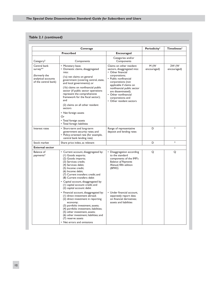#### **Table 2.1** *(continued)*

|                                                                                                                                                                                                                                                                                                                                                                                                                                                                                                                                                             | Periodicity <sup>1</sup>                                                                                                                                                                                                                                                                                                                                         | <b>Timeliness<sup>1</sup></b>                                                                                                                                                                                                                                                                        |                     |                       |
|-------------------------------------------------------------------------------------------------------------------------------------------------------------------------------------------------------------------------------------------------------------------------------------------------------------------------------------------------------------------------------------------------------------------------------------------------------------------------------------------------------------------------------------------------------------|------------------------------------------------------------------------------------------------------------------------------------------------------------------------------------------------------------------------------------------------------------------------------------------------------------------------------------------------------------------|------------------------------------------------------------------------------------------------------------------------------------------------------------------------------------------------------------------------------------------------------------------------------------------------------|---------------------|-----------------------|
|                                                                                                                                                                                                                                                                                                                                                                                                                                                                                                                                                             | <b>Prescribed</b>                                                                                                                                                                                                                                                                                                                                                | <b>Encouraged</b>                                                                                                                                                                                                                                                                                    |                     |                       |
| Category <sup>2</sup>                                                                                                                                                                                                                                                                                                                                                                                                                                                                                                                                       | Components                                                                                                                                                                                                                                                                                                                                                       | Categories and/or<br>Components                                                                                                                                                                                                                                                                      |                     |                       |
| Central bank<br>• Monetary base;<br>survey**<br>• Domestic claims, disaggregated<br>into:<br>(formerly the<br>(la) net claims on general<br>analytical accounts<br>government (covering central, state,<br>of the central bank)<br>and local governments); or<br>(1b) claims on nonfinancial public<br>sector (if public sector operations<br>represent the comprehensive<br>framework for the fiscal sector);<br>and<br>(2) claims on all other resident<br>sectors<br>• Net foreign assets<br>Or<br>• Total foreign assets<br>• Total foreign liabilities |                                                                                                                                                                                                                                                                                                                                                                  | Claims on other resident<br>sectors, disaggregated into:<br>• Other financial<br>corporations;<br>• Public nonfinancial<br>corporations (not<br>applicable if claims on<br>nonfinancial public sector<br>are disseminated);<br>• Other nonfinancial<br>corporations; and<br>• Other resident sectors | M (W<br>encouraged) | 2W (W)<br>encouraged) |
| Interest rates<br>• Short-term and long-term<br>government security rates; and<br>• Policy-oriented rate (for example,<br>central bank lending rate)                                                                                                                                                                                                                                                                                                                                                                                                        |                                                                                                                                                                                                                                                                                                                                                                  | Range of representative<br>deposit and lending rates                                                                                                                                                                                                                                                 | D                   | 3                     |
| Stock market                                                                                                                                                                                                                                                                                                                                                                                                                                                                                                                                                | Share price index, as relevant                                                                                                                                                                                                                                                                                                                                   |                                                                                                                                                                                                                                                                                                      | D                   | $\overline{3}$        |
| <b>External sector</b>                                                                                                                                                                                                                                                                                                                                                                                                                                                                                                                                      |                                                                                                                                                                                                                                                                                                                                                                  |                                                                                                                                                                                                                                                                                                      |                     |                       |
| <b>Balance</b> of<br>payments*                                                                                                                                                                                                                                                                                                                                                                                                                                                                                                                              | • Current account, disaggregated by:<br>(1) Goods: exports;<br>(2) Goods: imports;<br>(3) Services: credit;<br>(4) Services: debit;<br>(5) Income: credit;<br>(6) Income: debit;<br>(7) Current transfers: credit; and<br>(8) Current transfers: debit<br>• Capital account, disaggregated by:<br>(1) capital account: credit; and<br>(2) capital account: debit | • Disaggregation according<br>to the standard<br>components of the IMF's<br><b>Balance of Payments</b><br>Manual, fifth edition<br>(BPM5)                                                                                                                                                            | O                   | O                     |
|                                                                                                                                                                                                                                                                                                                                                                                                                                                                                                                                                             | • Financial account, disaggregated by:<br>(1) direct investment abroad;<br>(2) direct investment in reporting<br>economy;<br>(3) portfolio investment, assets;<br>(4) portfolio investment, liabilities;<br>(5) other investment, assets;<br>(6) other investment, liabilities; and<br>(7) reserve assets<br>• Net errors and omissions                          | • Under financial account,<br>separately report data<br>on financial derivatives:<br>assets and liabilities                                                                                                                                                                                          |                     |                       |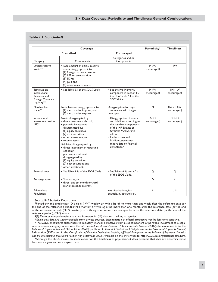#### **2 • Data Coverage, Periodicity, andTimeliness: General Considerations**

#### **Table 2.1** *(concluded)*

|                                                                                 | <b>Periodicity<sup>1</sup></b>                                                                                                                                                                                                                                                                                                                                                                                            | <b>Timeliness<sup>1</sup></b>                                                                                                                                                                                                                                 |                     |                         |  |
|---------------------------------------------------------------------------------|---------------------------------------------------------------------------------------------------------------------------------------------------------------------------------------------------------------------------------------------------------------------------------------------------------------------------------------------------------------------------------------------------------------------------|---------------------------------------------------------------------------------------------------------------------------------------------------------------------------------------------------------------------------------------------------------------|---------------------|-------------------------|--|
|                                                                                 | <b>Prescribed</b>                                                                                                                                                                                                                                                                                                                                                                                                         | <b>Encouraged</b>                                                                                                                                                                                                                                             |                     |                         |  |
| Category <sup>2</sup>                                                           | Components                                                                                                                                                                                                                                                                                                                                                                                                                | Categories and/or<br>Components                                                                                                                                                                                                                               |                     |                         |  |
| Official reserve<br>assets <sup>**</sup>                                        | • Total amount of official reserve<br>assets, disaggregated into:<br>(I) foreign currency reserves;<br>(2) IMF reserve position;<br>$(3)$ SDRs;<br>(4) gold; and<br>(5) other reserve assets.                                                                                                                                                                                                                             |                                                                                                                                                                                                                                                               | M(W)<br>encouraged) | IW                      |  |
| Template on<br>International<br>Reserves and<br>Foreign Currency<br>Liquidity** | • See Table 6.1 of the SDDS Guide.                                                                                                                                                                                                                                                                                                                                                                                        | • See the Pro Memoria<br>component in Section III,<br>item 4 of Table 6.1 of the<br>SDDS Guide.                                                                                                                                                               | M(W)<br>encouraged) | IM (IW<br>encouraged)   |  |
| Merchandise<br>$trade**$                                                        | Trade balance, disaggregated into:<br>(1) merchandise imports; and<br>(2) merchandise exports                                                                                                                                                                                                                                                                                                                             | Disaggregation by major<br>components, with longer<br>time lapse                                                                                                                                                                                              | M                   | 8W (4-6W<br>encouraged) |  |
| International<br>investment position<br>$(IIIP)*$                               | Assets, disaggregated by:<br>· direct investment abroad:<br>· portfolio investment,<br>disaggregated by:<br>(1) equity securities;<br>(2) debt securities;<br>• other investment: and<br>• reserve assets.<br>Liabilities, disaggregated by:<br>• direct investment in reporting<br>economy;<br>• portfolio investment,<br>disaggregated by:<br>(1) equity securities;<br>(2) debt securities; and<br>• other investment. | • Disaggregation of assets<br>and liabilities according to<br>the standard components<br>of the IMF Balance of<br>Payments Manual, fifth<br>edition<br>• Under assets and<br>liabilities, separately<br>report data on financial<br>derivatives. <sup>4</sup> | A(Q)<br>encouraged) | 3Q (Q<br>encouraged)    |  |
| External debt                                                                   | • See Table 6.2a of the SDDS Guide.                                                                                                                                                                                                                                                                                                                                                                                       | • See Tables 6.2b and 6.2c<br>of the SDDS Guide.                                                                                                                                                                                                              | O                   | O                       |  |
| Exchange rates                                                                  | • Spot rates; and<br>• three- and six-month forward<br>market rates, as relevant                                                                                                                                                                                                                                                                                                                                          |                                                                                                                                                                                                                                                               | D                   | 3                       |  |
| Addendum:<br>Population                                                         |                                                                                                                                                                                                                                                                                                                                                                                                                           | Key distributions, for<br>example, by age and sex.                                                                                                                                                                                                            | A                   | 5                       |  |

Source: IMF Statistics Department.

1Periodicity and timeliness: ("D") daily; ("W") weekly or with a lag of no more than one week after the reference date (or the end of the reference period); ("M") monthly or with lag of no more than one month after the reference date (or the end of the reference period); ("Q") quarterly or with lag of no more than one quarter after the reference date (or the end of the reference period); ("A") annual.

 $2$ <sup>(\*</sup>) Denotes comprehensive statistical frameworks; (\*\*) denotes tracking categories.

<sup>3</sup>Given that data are widely available from private sources, dissemination of official producers may be less time-sensitive. 4The SDDS encourages subscribers to reclassify financial derivatives from a subcomponent of portfolio investment to a separate functional category, in line with the *International Investment Position—A Guide to Data Sources* (2002), the amendments to the *Balance of Payments Manual*, fifth edition *(BPM5)* published in *Financial Derivatives: A Supplement to the Balance of Payments Manual*, fifth edition (1993), and in the *Classification of Financial Derivatives Involving Affiliated Enterprises in the Balance of Payments Statistics and the International Investment Position (IIP) Statement, 2002*. Available on the IMF's website: http://www.imf.org/external/data.htm. 5Although the SDDS makes no specification for the timeliness of population, it does presume that data are disseminated at least once a year and on a regular basis.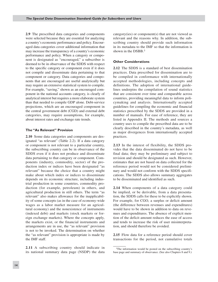**2.9** The prescribed data categories and components were selected because they are essential for analyzing a country's economic performance and policy. Encouraged data categories cover additional information that may increase the transparency of a country's economic performance and policy. When a category or component is designated as "encouraged," a subscriber is deemed to be in observance of the SDDS with respect to the specific category or component even if it does not compile and disseminate data pertaining to that component or category. Data categories and components that are encouraged are useful analytically but may require an extensive statistical system to compile. For example, "saving," shown as an encouraged component in the national accounts category, is clearly of analytical interest but requires a more elaborate system than that needed to compile GDP alone. Debt-service projections, which are an encouraged component in the central government debt (CGD) and external debt categories, may require assumptions, for example, about interest rates and exchange rate trends.

#### **The "As Relevant" Provision**

**2.10** Some data categories and components are designated "as relevant" (Table 2.2). If a data category or component is not relevant to a particular country, the subscribing country can be in observance of the SDDS even if it does not produce and disseminate data pertaining to that category or component. Components (industry, commodity, sector) of the production index or indices have been designated "as relevant" because the choice that a country might make about which index or indices to disseminate depends on its economic structure, including industrial production in some countries, commodity production (for example, petroleum) in others, and agricultural production in still others. The term "as relevant" also makes allowance for the inapplicability of some concepts (as in the case of economy-wide wages as a labor market measure for an agricultural economy) and the nonexistence of instruments (indexed debt) and markets (stock markets or foreign exchange markets). Where the concepts apply, the markets exist, or the financial instruments and arrangements are in use, the "as relevant" provision is not to be invoked. The determination on whether the "as relevant" provision is appropriate is made by the IMF staff.

**2.11** A subscribing country should indicate in its national summary data page (NSDP) the data category(ies) or component(s) that are not viewed as relevant and the reasons why. In addition, the subscribing country should provide such information in its metadata to the IMF so that the information is shown in the DSBB.<sup>3</sup>

#### **Other Considerations**

**2.12** The SDDS is a standard of best dissemination practices. Data prescribed for dissemination are to be compiled in conformance with internationally accepted methodologies, including concepts and definitions. The adoption of international guidelines underpins the compilation of sound statistics that are consistent over time and comparable across countries, providing meaningful data to inform policymaking and analysis. Internationally accepted guidelines for compiling the economic and financial statistics prescribed by the SDDS are provided in a number of manuals. For ease of reference, they are listed in Appendix II. The methods and sources a country uses to compile the prescribed data are to be clearly described in the country's metadata, as well as major divergences from internationally accepted practices.

**2.13** In the interest of flexibility, the SDDS provides that the data disseminated do not have to be final data; they may be preliminary and subject to revision and should be designated as such. However, estimates that are not based on data collected for the reference period would not be considered preliminary and would not conform with the SDDS specifications. The SDDS also allows summary aggregates to be disseminated and identified as such.

**2.14** When components of a data category could be implied, or be derivable, from a data presentation, the SDDS calls for these to be explicitly shown. For example, for CGO, a surplus or deficit amount (the difference between revenues and expenditures) would have to be shown in addition to data on revenues and expenditures. The absence of explicit mention of the deficit amount reduces the ease of access and tends to increase the risk of user misinterpretation, and should therefore be avoided.

**2.15** Flow data for a reference period should cover transactions for the period, not cumulative totals

<sup>3</sup>The information would be posted on the subscribing country's base page and summary of observance. (See also Chapters 8 and 9.)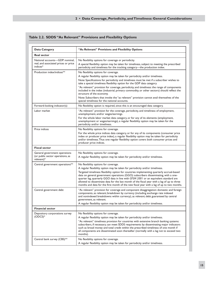#### **Table 2.2. SDDS "As Relevant" Provisions and Flexibility Options**

| Data Category                                                                       | "As Relevant" Provisions and Flexibility Options                                                                                                                                                                                                                                                                                                                                                                                                                                                                                                                                                                                                                   |
|-------------------------------------------------------------------------------------|--------------------------------------------------------------------------------------------------------------------------------------------------------------------------------------------------------------------------------------------------------------------------------------------------------------------------------------------------------------------------------------------------------------------------------------------------------------------------------------------------------------------------------------------------------------------------------------------------------------------------------------------------------------------|
| <b>Real sector</b>                                                                  |                                                                                                                                                                                                                                                                                                                                                                                                                                                                                                                                                                                                                                                                    |
| National accounts-GDP: nominal,<br>real, and associated prices or price<br>indices* | No flexibility options for coverage or periodicity.<br>A special flexibility option may be taken for timeliness, subject to meeting the prescribed<br>periodicity and timeliness for the tracking category-the production index.                                                                                                                                                                                                                                                                                                                                                                                                                                   |
| Production index/indices**                                                          | No flexibility options for coverage.<br>A regular flexibility option may be taken for periodicity and/or timeliness.<br>Note: Specifications for periodicity and timeliness must be met if a subscriber wishes to<br>take a special timeliness flexibility option for the GDP data category.<br>"As relevant" provision for coverage, periodicity, and timeliness: the range of components<br>included in the index (industrial, primary commodity, or other sectors) should reflect the<br>structure of the economy.<br>Note: Subscribers that invoke the "as relevant" provision cannot avail themselves of the<br>special timeliness for the national accounts. |
| Forward-looking indicator(s)                                                        | No flexibility option is required, since this is an encouraged data category.                                                                                                                                                                                                                                                                                                                                                                                                                                                                                                                                                                                      |
| Labor market                                                                        | "As relevant" provision for the coverage, periodicity, and timeliness of employment,<br>unemployment, and/or wages/earnings.<br>For the whole labor market data category, or for any of its elements (employment,<br>unemployment or wages/earnings), a regular flexibility option may be taken for the<br>periodicity and/or timeliness.                                                                                                                                                                                                                                                                                                                          |
| Price indices                                                                       | No flexibility options for coverage.<br>For the whole price indices data category, or for any of its components (consumer price<br>index or producer price index), a regular flexibility option may be taken for periodicity<br>and/or timeliness. Thus one regular flexibility option covers both consumer prices and<br>producer price indices.                                                                                                                                                                                                                                                                                                                  |
| <b>Fiscal sector</b>                                                                |                                                                                                                                                                                                                                                                                                                                                                                                                                                                                                                                                                                                                                                                    |
| General government operations<br>(or public sector operations, as<br>relevant)*     | No flexibility options for coverage.<br>A regular flexibility option may be taken for periodicity and/or timeliness.                                                                                                                                                                                                                                                                                                                                                                                                                                                                                                                                               |
| Central government operations**                                                     | No flexibility options for coverage.<br>A regular flexibility option may be taken for periodicity and/or timeliness.<br>Targeted timeliness flexibility option for countries implementing quarterly accrual-based<br>data on general government operations (GGO): subscribers disseminating, with a one-<br>quarter lag, quarterly GGO data in line with GFSM 2001 or an equivalent standard are<br>allowed to disseminate data for the last month of the fiscal year with a lag of up to three<br>months and data for the first month of the new fiscal year with a lag of up to two months.                                                                      |
| Central government debt                                                             | "As relevant" provision for coverage and component disaggregation: domestic and foreign<br>components, as relevant; breakdown by currency (including exchange rate indexed<br>and nonindexed breakdowns within currency), as relevant; debt guaranteed by central<br>government, as relevant.<br>A regular flexibility option may be taken for periodicity and/or timeliness.                                                                                                                                                                                                                                                                                      |
| <b>Financial sector</b>                                                             |                                                                                                                                                                                                                                                                                                                                                                                                                                                                                                                                                                                                                                                                    |
| Depository corporations survey<br>$(ODCS)*$                                         | No flexibility options for coverage.<br>A regular flexibility option may be taken for periodicity and/or timeliness.<br>"As relevant" timeliness provision for countries with extensive branch banking systems:<br>subscribers, if necessary, can meet SDDS requirements by disseminating major indicators<br>such as broad money and total credit within the prescribed timeliness of one month if<br>all components are disseminated soon thereafter (normally with a lag not to exceed two<br>months).                                                                                                                                                          |
| Central bank survey (CBS)**                                                         | No flexibility options for coverage.<br>A regular flexibility option may be taken for periodicity and/or timeliness.                                                                                                                                                                                                                                                                                                                                                                                                                                                                                                                                               |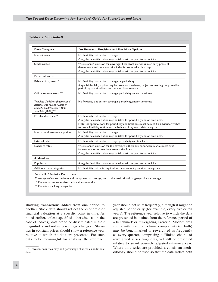#### **Table 2.2** *(concluded)*

| <b>Data Category</b>                                                                                                          | "As Relevant" Provisions and Flexibility Options                                                                                                                                                                               |
|-------------------------------------------------------------------------------------------------------------------------------|--------------------------------------------------------------------------------------------------------------------------------------------------------------------------------------------------------------------------------|
| Interest rates                                                                                                                | No flexibility options for coverage.<br>A regular flexibility option may be taken with respect to periodicity.                                                                                                                 |
| Stock market                                                                                                                  | "As relevant" provision for coverage: if the stock market is in an early phase of<br>development and no share price index is produced at this stage.<br>A regular flexibility option may be taken with respect to periodicity. |
| <b>External sector</b>                                                                                                        |                                                                                                                                                                                                                                |
| Balance of payments*                                                                                                          | No flexibility options for coverage or periodicity.<br>A special flexibility option may be taken for timeliness, subject to meeting the prescribed<br>periodicity and timeliness for the merchandise trade.                    |
| Official reserve assets **                                                                                                    | No flexibility options for coverage, periodicity, and/or timeliness.                                                                                                                                                           |
| Template Guidelines (International<br>Reserves and Foreign Currency<br>Liquidity: Guidelines for a Data<br>Template [2001])** | No flexibility options for coverage, periodicity, and/or timeliness.                                                                                                                                                           |
| Merchandise trade**                                                                                                           | No flexibility options for coverage.                                                                                                                                                                                           |
|                                                                                                                               | A regular flexibility option may be taken for periodicity and/or timeliness.                                                                                                                                                   |
|                                                                                                                               | Note: the specifications for periodicity and timeliness must be met if a subscriber wishes<br>to take a flexibility option for the balance of payments data category.                                                          |
| International investment position                                                                                             | No flexibility options for coverage.<br>A regular flexibility option may be taken for periodicity and/or timeliness.                                                                                                           |
| External debt                                                                                                                 | No flexibility options for coverage, periodicity, and timeliness.                                                                                                                                                              |
| Exchange rates                                                                                                                | "As relevant" provision for the coverage: if there are no forward market rates or if<br>forward market transactions are not significant.<br>A regular flexibility option may be taken with respect to periodicity.             |
| <b>Addendum</b>                                                                                                               |                                                                                                                                                                                                                                |
| Population                                                                                                                    | A regular flexibility option may be taken with respect to periodicity.                                                                                                                                                         |
| Additional data categories                                                                                                    | No flexibility option is required, as these are not prescribed categories.                                                                                                                                                     |

Source: IMF Statistics Department.

Coverage refers to the item and components coverage, not to the institutional or geographical coverage.

\* Denotes comprehensive statistical frameworks.

\*\* Denotes tracking categories.

showing transactions added from one period to another. Stock data should reflect the economic or financial valuation at a specific point in time. As noted earlier, unless specified otherwise (as in the case of indices), data are to be disseminated in their magnitudes and not in percentage changes.4 Statistics in constant prices should show a reference year relative to which the data are presented. For such data to be meaningful for analysis, the reference

year should not shift frequently, although it might be adjusted periodically (for example, every five or ten years). The reference year relative to which the data are presented is distinct from the reference period of a benchmark or reweighting exercise. Modern data series with price or volume components (or both) may be benchmarked or reweighted as frequently as every quarter, comprising a "linked chain" of reweighted series fragments, yet still be presented relative to an infrequently adjusted reference year. Where time series are provided, a consistent methodology should be used so that the data reflect both

<sup>4</sup>However, countries may add percentage changes as additional data.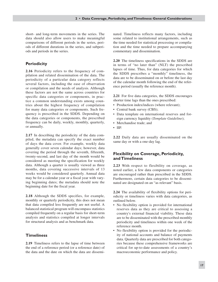short- and long-term movements in the series. The data should also allow users to make meaningful comparisons of different periods in the series, periods of different durations in the series, and subperiods and periods in the series.

#### **Periodicity**

**2.16** Periodicity refers to the frequency of compilation and related dissemination of the data. The periodicity of a particular data category reflects several factors, including the ease of observation or compilation and the needs of analysis. Although these factors are not the same across countries for specific data categories or components, in practice a common understanding exists among countries about the highest frequency of compilation for many data categories or components. Such frequency is prescribed in the SDDS. Depending on the data categories or components, the prescribed frequency can be daily, weekly, monthly, quarterly, or annually.

**2.17** In describing the periodicity of the data compiled, the metadata can specify the exact number of days the data cover. For example, weekly data generally cover seven calendar days; however, data covering the period through the seventh, fifteenth, twenty-second, and last day of the month would be considered as meeting the specification for weekly data. Although a quarter is usually viewed as three months, data covering successive intervals of 13 weeks would be considered quarterly. Annual data may be for a calendar year or a fiscal year with varying beginning dates; the metadata should note the beginning date for the fiscal year.

**2.18** Although the SDDS specifies, for example, monthly or quarterly periodicity, this does not mean that data compiled less frequently are not useful. A balanced statistical program will encompass statistics compiled frequently on a regular basis for short-term analysis and statistics compiled at longer intervals for structural analysis and as benchmark data.

#### **Timeliness**

**2.19** Timeliness refers to the lapse of time between the end of a reference period (or a reference date) of the data and the date on which the data are disseminated. Timeliness reflects many factors, including some related to institutional arrangements, such as the time needed for statistical processing or compilation and the time needed to prepare accompanying commentary and dissemination.

**2.20** The timeliness specifications in the SDDS are in terms of "no later than" (NLT) the prescribed lapses of time. Thus, for data categories for which the SDDS prescribes a "monthly" timeliness, the data are to be disseminated on or before the last day of the calendar month following the end of the reference period (usually the reference month).

**2.21** For five data categories, the SDDS encourages shorter time lags than the ones prescribed:

- Production index/indices (where relevant);
- Central bank survey (CBS);
- Data template on international reserves and for-• eign currency liquidity (*Template Guideline*);
- Merchandise trade; and
- IIP.

**2.22** Daily data are usually disseminated on the same day or with a one-day lag.

#### **Flexibility on Coverage, Periodicity, andTimeliness**

**2.23** With respect to flexibility on coverage, as noted earlier, a few data components or categories are encouraged rather than prescribed in the SDDS. Furthermore, certain data categories to be disseminated are designated on an "as relevant" basis.

**2.24** The availability of flexibility options for periodicity or timeliness varies with data categories, as outlined below.

- No flexibility option is provided for international reserves data as they are critical to assessing a country's external financial viability. These data are to be disseminated with the prescribed monthly periodicity and timeliness within one week of the reference month.
- No flexibility option is provided for the periodicity of national accounts and balance of payments data. Quarterly data are prescribed for both categories because these comprehensive frameworks are critical for up-to-date assessments of a country's macroeconomic performance and policy.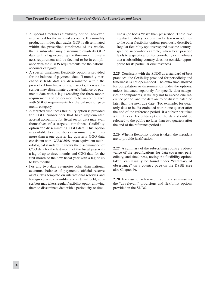- A special timeliness flexibility option, however, is provided for the national accounts. If a monthly production index that tracks GDP is disseminated within the prescribed timeliness of six weeks, then a subscriber may disseminate quarterly GDP data with a lag exceeding the three-month timeliness requirement and be deemed to be in compliance with the SDDS requirements for the national accounts category.
- A special timeliness flexibility option is provided for the balance of payments data. If monthly merchandise trade data are disseminated within the prescribed timeliness of eight weeks, then a subscriber may disseminate quarterly balance of payments data with a lag exceeding the three-month requirement and be deemed to be in compliance with SDDS requirements for the balance of payments category.
- A targeted timeliness flexibility option is provided for CGO. Subscribers that have implemented accrual accounting for fiscal sector data may avail themselves of a targeted timeliness flexibility option for disseminating CGO data. This option is available to subscribers disseminating with no more than a one-quarter lag quarterly GGO data consistent with *GFSM 2001* or an equivalent methodological standard; it allows the dissemination of CGO data for the last month of the fiscal year with a lag of up to three months and CGO data for the first month of the new fiscal year with a lag of up to two months.
- For any two data categories other than national accounts, balance of payments, official reserve assets, data template on international reserves and foreign currency liquidity, and external debt, subscribers may take a regular flexibility option allowing them to disseminate data with a periodicity or time-

liness (or both) "less" than prescribed. These two regular flexibility options can be taken in addition to the other flexibility options previously described. Regular flexibility options respond to some countryspecific need—for example, when best practice leads to a specification for periodicity or timeliness that a subscribing country does not consider appropriate for its particular circumstances.

**2.25** Consistent with the SDDS as a standard of best practices, the flexibility provided for periodicity and timeliness is not open-ended. The extra time allowed for compilation or dissemination under the options, unless indicated separately for specific data categories or components, is usually not to exceed one reference period, and the data are to be disseminated no later than the next due date. (For example, for quarterly data to be disseminated within one quarter after the end of the reference period, if a subscriber takes a timeliness flexibility option, the data should be released to the public no later than two quarters after the end of the reference period.)

**2.26** When a flexibility option is taken, the metadata are to provide justification.

**2.27** A summary of the subscribing country's observance of the specifications for data coverage, periodicity, and timeliness, noting the flexibility options taken, can usually be found under "summary of observance" on a country page on the DSBB (see also Chapter 9).

**2.28** For ease of reference, Table 2.2 summarizes the "as relevant" provisions and flexibility options provided in the SDDS.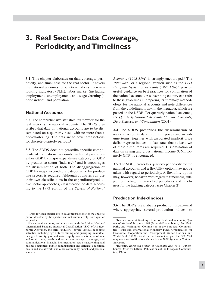### **3. Real Sector: Data Coverage, Periodicity, andTimeliness**

**3.1** This chapter elaborates on data coverage, periodicity, and timeliness for the real sector. It covers the national accounts, production indices, forwardlooking indicators (FLIs), labor market (including employment, unemployment, and wages/earnings), price indices, and population.

#### **National Accounts**

**3.2** The comprehensive statistical framework for the real sector is the national accounts. The SDDS prescribes that data on national accounts are to be disseminated on a quarterly basis with no more than a one-quarter lag. The data are to cover transactions for discrete quarterly periods.1

**3.3** The SDDS does not prescribe specific components of the national accounts; rather, it prescribes either GDP by major expenditure category or GDP by productive sector (industry),<sup>2</sup> and it encourages the dissemination of both. The disaggregation of GDP by major expenditure categories or by productive sectors is required. Although countries can use their own classifications in the expenditure/productive sector approaches, classification of data according to the 1993 edition of the *System of National*

*Accounts* (*1993 SNA*) is strongly encouraged.3 The *1993 SNA,* or a regional version such as the *1995 European System of Accounts* (*1995 ESA*),4 provide useful guidance on best practices for compilation of the national accounts. A subscribing country can refer to these guidelines in preparing its summary methodology for the national accounts and note differences from the guidelines, if any, in the metadata, which are posted on the DSBB. For quarterly national accounts, see *Quarterly National Accounts Manual: Concepts, Data Sources, and Compilation* (2001).

**3.4** The SDDS prescribes the dissemination of national accounts data in current prices and in volume terms, together with associated implicit price deflators/price indices; it also states that at least two of these three items are required. Dissemination of data on saving and gross national income (GNI, formerly GNP) is encouraged.

**3.5** The SDDS prescribes quarterly periodicity for the national accounts, and a flexibility option may not be taken with regard to periodicity. A flexibility option may, however, be taken with regard to timeliness, subject to meeting the prescribed periodicity and timeliness for the tracking category (see Chapter 2).

#### **Production Index/Indices**

**3.6** The SDDS prescribes a production index—and where appropriate, several production indices—to

<sup>1</sup>Data for each quarter are to cover transactions for the specific period denoted by the quarter, and not cumulatively from quarter to quarter. 2In national accounts, and consistent with the United Nations'

International Standard Industrial Classification (ISIC) of All Economic Activities, the term "industry" covers various economic activities including agriculture; mining and quarrying; manufacturing; electricity, gas, and water supply; construction; wholesale and retail trade; hotels and restaurants; transport, storage, and communications; financial intermediation; real estate, renting, and business activities; public administration and defense; education; health and social work; and other community, social, and personal services.

<sup>3</sup>Inter-Secretariat Working Group on National Accounts, *System of National Accounts 1993* (Brussels/Luxembourg, New York, Paris, and Washington: Commission of the European Communities—Eurostat, International Monetary Fund, Organization for Economic Cooperation and Development, United Nations, and World Bank, 1993). Countries that have not adopted the *1993 SNA* may use the classifications shown in the *1968 System of National Accounts*.

<sup>4</sup>Eurostat, *European System of Accounts: ESA 1995* (Luxembourg: Office for Official Publications of the European Communities, 1995).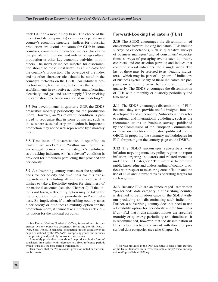track GDP on a more timely basis. The choice of the index (and its components) or indices depends on a country's economic structure—indices for industrial production are useful indicators for GDP in some countries, commodity production indices (for example, petroleum) in others, and indices on agricultural production or other key economic activities in still others. The index or indices selected for dissemination should be those most useful as an indicator for the country's production. The coverage of the index and its other characteristics should be noted in the country's metadata on the DSBB. An industrial production index, for example, is to cover the output of establishments in extractive activities, manufacturing, electricity, and gas and water supply.5 The tracking indicator should be based on a sound methodology.6

**3.7** For developments in quarterly GDP, the SDDS prescribes monthly periodicity for the production index. However, an "as relevant" condition is provided to recognize that in some countries, such as those where seasonal crop production is important, production may not be well represented by a monthly index.

**3.8** Timeliness of dissemination is specified as "within six weeks," and "within one month" is encouraged to maximize the category's usefulness as a tracking indicator. An "as relevant" condition is provided for timeliness paralleling that provided for periodicity.

**3.9** A subscribing country must meet the specifications for periodicity and timeliness for this tracking indicator (including all indices selected)<sup>7</sup> if it wishes to take a flexibility option for timeliness of the national accounts (see also Chapter 2). If the latter is not taken, a flexibility option may be taken for the production index for periodicity and/or timeliness. By implication, if a subscribing country takes a periodicity or timeliness flexibility option for the production index, it cannot take a timeliness flexibility option for the national accounts.

#### **Forward-Looking Indicators (FLIs)**

**3.10** The SDDS encourages the dissemination of one or more forward-looking indicators. FLIs include surveys of expectations, such as qualitative surveys of business managers' and of consumers' expectations; surveys of presaging events such as orders, contracts, and construction permits; and indices that combine several indicators into a single index. The last of these may be referred to as "leading indicators," which may be part of a system of indicators of business cycles. Many of these indicators are prepared on a monthly basis, but some are compiled quarterly. The SDDS encourages the dissemination of FLIs with a monthly or quarterly periodicity and timeliness.

**3.11** The SDDS encourages dissemination of FLIs because they can provide useful insights into the developments of an economy. Subscribers may refer to regional and international guidelines, such as the recommendations on business surveys published by the Commission of the European Communities or those on short-term indicators published by the OECD, in preparing the summary methodologies for FLIs for posting on the country page on the DSBB.

**3.12** The SDDS encourages subscribers with inflation-targeting monetary policy regimes to report inflation-targeting indicators and related metadata under the FLI category.8 The intent is to promote public knowledge and understanding of country practices with respect to measuring core inflation and the use of FLIs and interest rates as operating targets for such regimes.

**3.13** Because FLIs are an "encouraged" rather than "prescribed" data category, a subscribing country is deemed to be in observance of the SDDS without producing and disseminating such indicators. Further, a subscribing country does not need to use a flexibility option for periodicity and/or timeliness if any FLI that it disseminates misses the specified monthly or quarterly periodicity and timeliness. It is recommended, however, that the dissemination of FLIs follow practices consistent with those for prescribed data categories (see also Chapter 1).

<sup>5</sup>See United Nations Statistical Office, *International Recommendations for Industrial Statistics*, Series M, No. 48, Rev. 1 (New York, 1983). In principle, production indices could cover all output as defined by the *1993 SNA*, comprising goods and services from privately and publicly controlled enterprises. 6A monthly production index should be produced in the form of

consistent time series, with reference to a fixed reference period, which is usually the base period weighted by 1.<br>
<sup>7</sup>This means that the "as relevant" provision noted earlier can-

not be invoked.

<sup>8</sup>This was provided in the IMF Executive Board's Fifth Review of the Data Standards Initiatives, available at http://www.imf.org/ external/np/sta/dsbb/2003/eng.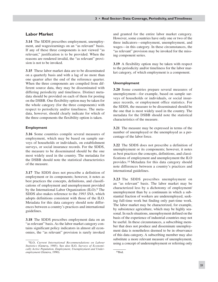#### **Labor Market**

**3.14** The SDDS prescribes employment, unemployment, and wages/earnings on an "as relevant" basis. If any of these three components is not viewed "as relevant," justification is to be provided. When the reasons are rendered invalid, the "as relevant" provision is not to be invoked.

**3.15** These labor market data are to be disseminated on a quarterly basis and with a lag of no more than one quarter after the end of the reference quarter. When the three components are compiled from different source data, they may be disseminated with differing periodicity and timeliness. Distinct metadata should be provided on each of them for posting on the DSBB. One flexibility option may be taken for the whole category (for the three components) with respect to periodicity and/or timeliness. The metadata, however, should clearly indicate for which of the three components the flexibility option is taken.

#### **Employment**

**3.16** Some countries compile several measures of employment, which may be based on sample surveys of households or individuals, on establishment surveys, or social insurance records. For the SDDS, the measure to be disseminated should be the one most widely used in the country. The metadata for the DSBB should note the statistical characteristics of the measure.

**3.17** The SDDS does not prescribe a definition of employment or its components; however, it notes as best practices the concepts, definitions, and classifications of employment and unemployment provided by the International Labor Organization (ILO).9 The SDDS also makes reference to the *1993 SNA*, which adopts definitions consistent with those of the ILO. Metadata for this data category should note differences between a country's practices and international guidelines.

**3.18** The SDDS prescribes employment data on an "as relevant" basis. As the labor market category contains significant policy indicators in almost all economies, the "as relevant" provision is rarely invoked and granted for the entire labor market category. However, some countries have only one or two of the three indicators—employment, unemployment, and wages—in this category. In these circumstances, the "as relevant" provision may be invoked for the missing component series.

**3.19** A flexibility option may be taken with respect to the periodicity and/or timeliness for the labor market category, of which employment is a component.

#### **Unemployment**

**3.20** Some countries prepare several measures of unemployment—for example, based on sample surveys of households or individuals, or social insurance records, or employment office statistics. For the SDDS, the measure to be disseminated should be the one that is most widely used in the country. The metadata for the DSBB should note the statistical characteristics of the measure.

**3.21** The measure may be expressed in terms of the number of unemployed or the unemployed as a percentage of the labor force.

**3.22** The SDDS does not prescribe a definition of unemployment or its components; however, it notes as best practices the concepts, definitions, and classifications of employment and unemployment the ILO provides.10 Metadata for this data category should note differences between a country's practices and international guidelines.

**3.23** The SDDS prescribes unemployment on an "as relevant" basis. The labor market may be characterized less by a dichotomy of employment/ unemployment than by a continuum in which a substantial fraction of workers are underemployed, seeking full-time work but finding only part-time work. The labor market may be characterized, for example, by subsistence agriculture, which may be highly seasonal. In such situations, unemployment defined on the basis of the experience of industrial countries may not be useful. In these circumstances, a subscribing member that does not produce and disseminate unemployment data is nonetheless deemed to be in observance of this data category. A subscribing member may also substitute a more relevant measure of unemployment, using a concept of underemployment or referring only

<sup>9</sup>ILO, *Current International Recommendations on Labour Statistics* (Geneva, 1985). See also ILO, *Surveys of Economically Active Population, Employment, Unemployment and Underemployment* (Geneva, 1990).

<sup>10</sup>Ibid.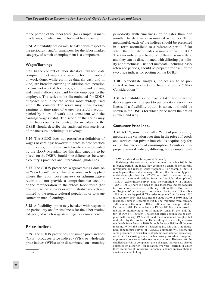to the portion of the labor force (for example, in manufacturing), in which unemployment has meaning.

**3.24** A flexibility option may be taken with respect to the periodicity and/or timeliness for the labor market category, of which unemployment is a component.

#### **Wages/Earnings**

**3.25** In the context of labor statistics, "wages" data comprise direct wages and salaries for time worked or work done, while earnings data (in cash and in kind) are broader, covering in addition remuneration for time not worked, bonuses, gratuities, and housing and family allowances paid by the employer to the employee. The series to be disseminated for SDDS purposes should be the series most widely used within the country. The series may show average earnings or time rates of wages (preferably accompanied by hours of work data consistent with the earnings/wages data). The scope of the series may differ from country to country. The metadata for the DSBB should describe the statistical characteristics of the measure, including its coverage.

**3.26** The SDDS does not prescribe a definition of wages or earnings; however, it notes as best practice the concepts, definitions, and classifications provided by the ILO.<sup>11</sup> Metadata for this data category to be posted on the DSBB should note differences between a country's practices and international guidelines.

**3.27** The SDDS prescribes wages/earnings data on an "as relevant" basis. This provision can be applied where the labor force surveys or administrative records do not provide a comprehensive account of the remuneration to the whole labor force (for example, where surveys or administrative records are limited to the nonagricultural population or to wage earners in manufacturing).

**3.28** A flexibility option may be taken with respect to the periodicity and/or timeliness for the labor market category, of which wages/earnings is a component.

#### **Price Indices**

**3.29** The SDDS prescribes consumer price indices (CPIs), producer price indices (PPIs), or wholesale price indices (WPIs) to be disseminated on a monthly periodicity with timeliness of no later than one month. The data are disseminated as indices. To be meaningful, each of the indices should be presented in a form normalized to a reference period, $12$  for which the normalized index assumes the value 100.13 The two indices are based on different source data, and they can be disseminated with differing periodicity and timeliness. Distinct metadata, including base/ reference periods, should be prepared for each of the two price indices for posting on the DSBB.

**3.30** To facilitate analysis, indices are to be presented as time series (see Chapter 2, under "Other Considerations").

**3.31** A flexibility option may be taken for the whole data category with respect to periodicity and/or timeliness. If a flexibility option is taken, it should be shown in the DSBB for which price index the option is taken and why.

#### **Consumer Price Index**

**3.32** A CPI, sometimes called "a retail prices index," measures the variation over time in the prices of goods and services that private households acquire, pay for, or use for purposes of consumption. Countries may prepare several indices, differing, for example, with

<sup>11</sup>Ibid*.*

<sup>12</sup>Which should not be adjusted frequently.

<sup>13</sup>Although the normalized index assumes the value 100 in the reference period, the index may comprise a chain of periodically reweighted and rebased series fragments. For example, the CPI may begin with an index January  $1980 = 100$  with (possibly priceupdated) weights from the 1978/79 household expenditure survey. A rebased index with weights from the (possibly price-updated) 1983/84 expenditure survey may be compiled with January  $1985 = 100.0$ . There is a need to link these two indices together to form a consistent series with, say, 1980 = 100.0. Both series or "fragments" are compiled to include, for instance, December 1984 as an overlap period. The series fragment from January 1980 to December 1984 thus assumes the value 100.0 in 1980 and, for instance, 150.0 in December 1984. The fragment from January 1985 assumes the value 100.0 in 1985 and, for example, 98.4 in December 1984. The new January 1985 = 100.0 series is linked to the old by multiplying all of its monthly values by the "link factor"  $150/99.4 = 1.509054$ . The official series continues to be compiled with January 1985 = 100 and the concomitant weights, but multiplied by the link factor. The resulting series displays consistent levels from January 1980 through January 1985 until the next rebasing. When the index is rebased again, with, say, the household expenditure survey of 1988/89, compilers will follow the same procedure to consistently attach the new, rebased series fragment onto the existing series. Such a linking procedure is required to present a consistent series over many periods. However, for the detailed analysis of component price changes, indices may also be compiled on a shorter—for instance, five-year—period, in which there are no weight revisions. For annual chained indices, there is a natural annual linking.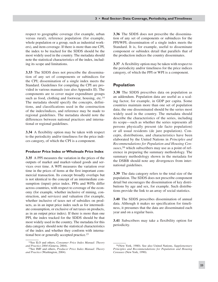respect to geographic coverage (for example, urban versus rural), reference population (for example, whole population or a group, such as industrial workers), and item coverage. If there is more than one CPI, the index to be tracked for the SDDS should be the most widely used in the country. The metadata should note the statistical characteristics of the index, including its scope and limitations.

**3.33** The SDDS does not prescribe the dissemination of any set of components or subindices for the CPI; dissemination of a single index meets the Standard. Guidelines for compiling the CPI are provided in various manuals (see also Appendix II). The components are to cover major expenditure groups such as food, clothing and footwear, housing, etc.<sup>14</sup> The metadata should specify the concepts, definitions, and classifications used in the construction of the index/indices, and reference may be made to regional guidelines. The metadata should note the differences between national practices and international or regional guidelines.

**3.34** A flexibility option may be taken with respect to the periodicity and/or timeliness for the price indices category, of which the CPI is a component.

#### **Producer Price Index or Wholesale Price Index**

**3.35** A PPI measures the variation in the prices of the outputs of market and market-valued goods and services over time. A WPI measures the variation over time in the prices of items at the first important commercial transaction. Its concept broadly overlaps but is not identical to the concept of an intermediate consumption (input) price index. PPIs and WPIs differ across countries, with respect to coverage of the economy (for example, whether inclusive of mining, construction, and services) and valuation (for example, whether inclusive of taxes net of subsidies on products, as in an input price index such as for intermediate consumption, or exclusive of net taxes on products, as in an output price index). If there is more than one PPI, the index tracked for the SDDS should be that most widely used in the country. The metadata for this data category should note the statistical characteristics of the index and whether they conform with international best or generally accepted practice.15

**3.36** The SDDS does not prescribe the dissemination of any set of components or subindices for the PPI/WPI; dissemination of a single index meets the Standard. It is, for example, useful to disseminate component or subindex detail that parallels that of the production indices the country disseminates.

**3.37** A flexibility option may be taken with respect to the periodicity and/or timeliness for the price indices category, of which the PPI or WPI is a component.

#### **Population**

**3.38** The SDDS prescribes data on population as an addendum. Population data are useful as a scaling factor, for example, in GDP per capita. Some countries maintain more than one set of population data; the one disseminated should be the series most widely used in the country. The metadata should describe the characteristics of the series, including its scope—such as whether the series represents all persons physically present (de facto population) or all usual residents (de jure population). Concepts, distributions, and characteristics have been elaborated by the United Nations in *Principles and Recommendations for Population and Housing Censuses*, 16 which subscribers may use as a point of reference in preparing the summary methodology. The summary methodology shown in the metadata for the DSBB should note any divergences from international guidelines.

**3.39** The data category refers to the total size of the population. The SDDS does not prescribe component detail but encourages the dissemination of key distributions by age and sex, for example. Such distributions provide the link to an array of social statistics.

**3.40** The SDDS prescribes dissemination of annual data. Although it makes no specification for timeliness, it presumes that the data are disseminated each year and on a regular basis.

**3.41** Subscribers may take a flexibility option for periodicity.

<sup>14</sup>See ILO and others, *Consumer Price Index Manual: Theory and Practice 2004* (Geneva, 2004).

<sup>15</sup>See IMF and others, *Producer Price Index Manual: Theory and Practice* (Washington, 2004).

<sup>16(</sup>New York, 1980). See also United Nations, *Supplementary Principles and Recommendations for Population and Housing Censuses* (New York, 1990).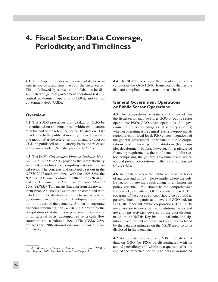# **4. Fiscal Sector: Data Coverage, Periodicity, andTimeliness**

**4.1** This chapter provides an overview of data coverage, periodicity, and timeliness for the fiscal sector. This is followed by a discussion of data to be disseminated on general government operations (GGO), central government operations (CGO), and central government debt (CGD).

## **Overview**

**4.2** The SDDS prescribes that (a) data on GGO be disseminated on an annual basis within two quarters after the end of the reference period; (b) data on CGO be released to the public at monthly frequency within one month after the reference month; and (c) data on CGD be published on a quarterly basis and released within one quarter. (See also paragraph 2.15.)

**4.3** The IMF's *Government Finance Statistics Manual 2001* (*GFSM 2001*) provides the internationally accepted guidelines for compiling data on the fiscal sector. The concepts and principles set out in the *GFSM 2001* are harmonized with the *1993 SNA,* the *Balance of Payments Manual*, fifth edition *(BPM5)*, 1 and the *Monetary and Financial Statistics Manual 2000 (MFSM).* This means that data from the government finance statistics system can be combined with data from other statistical systems to assess general government or public sector developments in relation to the rest of the economy. Similar to corporate financial statements, the *GFSM 2001* promotes the compilation of statistics on government operations on an accrual basis, accompanied by a cash flow statement and a balance sheet. (The *GFSM 2001* replaces the 1986 *Manual on Government Finance Statistics*.)

**4.4** The SDDS encourages the classification of fiscal data in the *GFSM 2001* framework, whether the data are compiled on an accrual or cash basis.

## **General Government Operations or Public Sector Operations**

**4.5** The comprehensive statistical framework for the fiscal sector may be either GGO or public sector operations (PSO). GGO covers operations of all governmental units (including social security systems) whether operating at the central level, state/provincial/ region level, or local level. PSO covers operations of the general government, nonfinancial public corporations, and financial public institutions (for example, development banks); however, for a picture of financing requirements, the nonfinancial public sector, comprising the general government and nonfinancial public corporations, is the preferred concept (Figure 4.1).

**4.6** In countries where the public sector is the focus of analysis and policy—for example, where the public sector borrowing requirement is an important policy variable—PSO should be the comprehensive framework; elsewhere, GGO should be used. The coverage of the chosen concept should be as broad as possible, including units at all levels of GGO and, for PSO, all important public corporations. The SDDS metadata are to describe the institutional units and government activities covered by the data disseminated on the NSDP. Key institutional units and significant government activities and accounts excluded by the data disseminated on the NSDP are also to be disclosed in the metadata.

**4.7** As indicated above, the SDDS prescribes that data on GGO (or PSO) be disseminated with an annual periodicity and within two quarters after the end of the reference period. The data disseminated

<sup>1</sup>IMF, *Balance of Payments Manual,* fifth edition *(BPM5)* (Washington, 1993). See also footnote 3 in Chapter 3.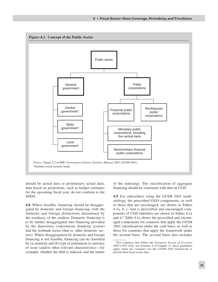

should be actual data or preliminary actual data; data based on projections, such as budget estimates for the upcoming fiscal year, do not conform to the SDDS.

**4.8** Where feasible, financing should be disaggregated by domestic and foreign financing, with the domestic and foreign distinctions determined by the residency of the creditor. Domestic financing is to be further disaggregated into financing provided by the depository corporations (banking system) and the nonbank sector (that is, other domestic sectors). Where disaggregation by domestic and foreign financing is not feasible, financing can be classified by (a) maturity and (b) type of instrument or currency of issue (and/or other relevant characteristics—for example, whether the debt is indexed, and the nature of the indexing). The classification of aggregate financing should be consistent with that on CGD.

**4.9** For subscribers using the *GFSM 2001* methodology, the prescribed GGO components, as well as those that are encouraged, are shown in Tables 4.1a, b, c, and e; prescribed and encouraged components of CGD liabilities are shown in Tables 4.1a and d.2 Table 4.1a shows the prescribed and encouraged components for countries that apply the *GFSM 2001* classifications under the cash basis, as well as those for countries that apply the framework under the accrual basis. The accrual basis also includes

<sup>2</sup>For countries that follow the *European System of Accounts* 1995 (*1995 ESA;* see footnote 4 of Chapter 3), these guidelines apply when the countries use the *GFSM 2001* framework to present their fiscal sector data.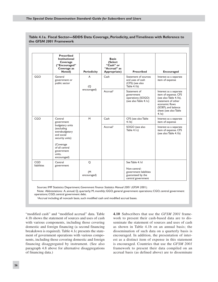|                                  | <b>Prescribed</b><br><b>Institutional</b><br>Coverage<br>("Encouraged"<br>Coverage as<br>Noted)                                                         | <b>Periodicity</b>  | <b>Basis</b><br>(Select<br>"Cash" or<br>"Accrual" as<br>Appropriate) | <b>Prescribed</b>                                                          | <b>Encouraged</b>                                                                                                                                                         |
|----------------------------------|---------------------------------------------------------------------------------------------------------------------------------------------------------|---------------------|----------------------------------------------------------------------|----------------------------------------------------------------------------|---------------------------------------------------------------------------------------------------------------------------------------------------------------------------|
| GGO                              | General<br>government or<br>public sector                                                                                                               | A<br>$\overline{Q}$ | Cash                                                                 | Statement of sources<br>and uses of cash<br>(CFS) (see also<br>Table 4.1b) | Interest as a separate<br>item of expense                                                                                                                                 |
|                                  |                                                                                                                                                         | encouraged)         | Accrual                                                              | Statement of<br>government<br>operations (SOGO)<br>(see also Table 4.1c)   | Interest as a separate<br>item of expense. CFS<br>(see also Table 4.1b),<br>statement of other<br>economic flows<br>(SOEF), and balance<br>sheet (see also Table<br>4.1e) |
| CGO                              | Central<br>government                                                                                                                                   | M                   | Cash                                                                 | CFS (see also Table<br>4.1 <sub>b</sub>                                    | Interest as a separate<br>item of expense                                                                                                                                 |
|                                  | budgetary units<br>(excluding<br>extrabudgetary<br>and social<br>security units)<br>(Coverage)<br>of all central<br>government<br>units.<br>encouraged) |                     | Accrual                                                              | SOGO (see also<br>Table 4.1c)                                              | Interest as a separate<br>item of expense. CFS<br>(see also Table 4.1b)                                                                                                   |
| <b>CGD</b><br><b>liabilities</b> | Central<br>government                                                                                                                                   | $\circ$             |                                                                      | See Table 4.1d<br>Non-central-                                             |                                                                                                                                                                           |
|                                  |                                                                                                                                                         | (M)<br>encouraged)  |                                                                      | government liabilities<br>guaranteed by the<br>central government          |                                                                                                                                                                           |

#### **Table 4.1a. Fiscal Sector—SDDS Data Coverage, Periodicity, andTimeliness with Reference to the** *GFSM 2001* **Framework**

Sources: IMF Statistics Department; *Government Finance Statistics Manual 2001 (GFSM 2001).*

Note: Abbreviations: A, annual; Q, quarterly; M, monthly; GGO, general government operations; CGO, central government operations; CGD, central government debt.

1Accrual including all noncash basis, such modified cash and modified accrual bases.

"modified cash" and "modified accrual" data. Table 4.1b shows the statement of sources and uses of cash with various components, including those covering domestic and foreign financing (a second financing breakdown is required). Table 4.1c presents the statement of government operations with various components, including those covering domestic and foreign financing disaggregated by instrument. (See also paragraph 4.8 above for alternative disaggregations of financing data.)

**4.10** Subscribers that use the *GFSM 2001* framework to present their cash-based data are to disseminate the statement of sources and uses of cash as shown in Table 4.1b on an annual basis; the dissemination of such data on a quarterly basis is encouraged. In addition, the presentation of interest as a distinct item of expense in this statement is encouraged. Countries that use the *GFSM 2001* framework to present their data compiled on an accrual basis (as defined above) are to disseminate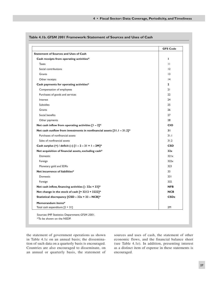|                                                                                         | <b>GFS Code</b> |
|-----------------------------------------------------------------------------------------|-----------------|
| <b>Statement of Sources and Uses of Cash</b>                                            |                 |
| Cash receipts from operating activities*                                                | I.              |
| <b>Taxes</b>                                                                            | $\mathbf{H}$    |
| Social contributions                                                                    | 12              |
| Grants                                                                                  | 13              |
| Other receipts                                                                          | 4               |
| Cash payments for operating activities*                                                 | $\mathbf{2}$    |
| Compensation of employees                                                               | 21              |
| Purchases of goods and services                                                         | 22              |
| Interest                                                                                | 24              |
| <b>Subsidies</b>                                                                        | 25              |
| Grants                                                                                  | 26              |
| Social benefits                                                                         | 27              |
| Other payments                                                                          | 28              |
| Net cash inflow from operating activities $[1 - 2]$ *                                   | <b>CIO</b>      |
| Net cash outflow from investments in nonfinancial assets $\lceil 3 \rceil$ . I - 31.2]* | 31              |
| Purchases of nonfinancial assets                                                        | 31.1            |
| Sales of nonfinancial assets                                                            | 31.2            |
| Cash surplus (+) / deficit (-) $[1 - 2 - 3] = 1 - 2M$ <sup>*</sup>                      | <b>CSD</b>      |
| Net acquisition of financial assets, excluding cash*                                    | 32x             |
| Domestic                                                                                | 321x            |
| Foreign                                                                                 | 322x            |
| Monetary gold and SDRs                                                                  | 323             |
| Net incurrence of liabilities*                                                          | 33              |
| Domestic                                                                                | 331             |
| Foreign                                                                                 | 332             |
| Net cash inflow, financing activities $[-32x + 33]$ *                                   | <b>NFB</b>      |
| Net change in the stock of cash [= 3212 + 3222]*                                        | <b>NCB</b>      |
| Statistical discrepancy [CSD - 32x + 33 - NCB]*                                         | CSDz            |
| Memorandum items*                                                                       |                 |
| Total cash expenditure $[2 + 31]$                                                       | 2M              |

**Table 4.1b.** *GFSM 2001* **Framework: Statement of Sources and Uses of Cash**

the statement of government operations as shown in Table 4.1c on an annual basis; the dissemination of such data on a quarterly basis is encouraged. Countries are also encouraged to disseminate, on an annual or quarterly basis, the statement of sources and uses of cash, the statement of other economic flows, and the financial balance sheet (see Table 4.1e). In addition, presenting interest as a distinct item of expense in these statements is encouraged.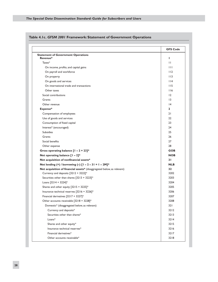|                                                                         | <b>GFS Code</b> |
|-------------------------------------------------------------------------|-----------------|
| <b>Statement of Government Operations</b>                               |                 |
| Revenue*                                                                | п               |
| Taxes*                                                                  | $\mathbf{H}$    |
| On income, profits, and capital gains                                   | $\mathbf{H}$    |
| On payroll and workforce                                                | 112             |
| On property                                                             | 113             |
| On goods and services                                                   | 114             |
| On international trade and transactions                                 | 115             |
| Other taxes                                                             | 116             |
| Social contributions                                                    | 12              |
| Grants                                                                  | $\overline{13}$ |
| Other revenue                                                           | 4               |
| Expense*                                                                | $\mathbf{2}$    |
| Compensation of employees                                               | 21              |
| Use of goods and services                                               | 22              |
| Consumption of fixed capital                                            | 23              |
| Interest* (encouraged)                                                  | 24              |
| <b>Subsidies</b>                                                        | 25              |
| Grants                                                                  | 26              |
| Social benefits                                                         | 27              |
| Other expense                                                           | 28              |
| Gross operating balance $[1 - 2 + 23]$ *                                | <b>GOB</b>      |
| Net operating balance $[1 - 2]$ *                                       | <b>NOB</b>      |
| Net acquisition of nonfinancial assets*                                 | 31              |
| Net lending (+) / borrowing (-) $[1 - 2 - 31 = 1 - 2M]*$                | <b>NLB</b>      |
| Net acquisition of financial assets* (disaggregated below, as relevant) | 32              |
| Currency and deposits [3212 + 3222]*                                    | 3202            |
| Securities other than shares [3213 + 3223]*                             | 3203            |
| Loans [3214 + 3224]*                                                    | 3204            |
| Shares and other equity [3215 + 3225]*                                  | 3205            |
| Insurance technical reserves [3216 + 3226]*                             | 3206            |
| Financial derivatives [3217 + 3227]*                                    | 3207            |
| Other accounts receivable [3218 + 3228]*                                | 3208            |
| Domestic* (disaggregated below, as relevant)                            | 321             |
| Currency and deposits*                                                  | $3212$          |
| Securities other than shares*                                           | 3213            |
| Loans*                                                                  | $3214$          |
| Shares and other equity*                                                | 3215            |
| Insurance technical reserves*                                           | 3216            |
| Financial derivatives*                                                  | 3217            |
| Other accounts receivable*                                              | 3218            |

## **Table 4.1c.** *GFSM 2001* **Framework: Statement of Government Operations**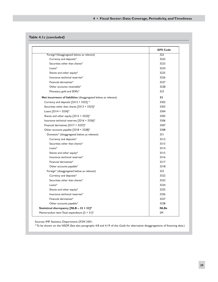## **Table 4.1c** *(concluded)*

|                                                                  | <b>GFS Code</b> |
|------------------------------------------------------------------|-----------------|
| Foreign*(disaggregated below, as relevant)                       | 322             |
| Currency and deposits*                                           | 3222            |
| Securities other than shares*                                    | 3223            |
| $Loans*$                                                         | 3224            |
| Shares and other equity*                                         | 3225            |
| Insurance technical reserves*                                    | 3226            |
| Financial derivatives*                                           | 3227            |
| Other accounts receivable*                                       | 3228            |
| Monetary gold and SDRs*                                          | 323             |
| Net incurrence of liabilities (disaggregated below, as relevant) | 33              |
| Currency and deposits [3312 + 3322] *                            | 3302            |
| Securities other than shares $[3313 + 3323]$ *                   | 3303            |
| Loans $[3314 + 3324]$ *                                          | 3304            |
| Shares and other equity $[3315 + 3325]$ *                        | 3305            |
| Insurance technical reserves [3316 + 3326]*                      | 3306            |
| Financial derivatives $[3317 + 3327]$ *                          | 3307            |
| Other accounts payable [3318 + 3328]*                            | 3308            |
| Domestic* (disaggregated below, as relevant)                     | 33 I            |
| Currency and deposits*                                           | 3312            |
| Securities other than shares*                                    | 3313            |
| $Loans*$                                                         | 3314            |
| Shares and other equity*                                         | 3315            |
| Insurance technical reserves*                                    | 3316            |
| Financial derivatives*                                           | 3317            |
| Other accounts payable*                                          | 3318            |
| Foreign* (disaggregated below, as relevant)                      | 332             |
| Currency and deposits*                                           | 3322            |
| Securities other than shares*                                    | 3323            |
| Loans*                                                           | 3324            |
| Shares and other equity*                                         | 3325            |
| Insurance technical reserves*                                    | 3326            |
| Financial derivatives*                                           | 3327            |
| Other accounts payable*                                          | 3328            |
| Statistical discrepancy [NLB - 32 + 33]*                         | <b>NLBz</b>     |
| Memorandum item: Total expenditure $[2 + 3]$ <sup>*</sup>        | 2M              |

Sources: IMF Statistics Department; *GFSM 2001.*

\* To be shown on the NSDP. (See also paragraphs 4.8 and 4.19 of this *Guide* for alternative disaggregations of financing data.)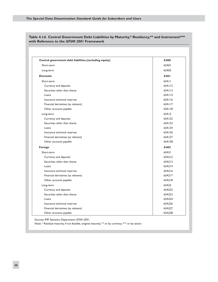| 63A01<br>63A02<br>63A1<br>63A11<br>63A112<br>63A113<br>63A114<br>63A116<br>63A117<br>63A118<br>63A12<br>63A122<br>63A123<br>63A124<br>63A126<br>63A127 |
|--------------------------------------------------------------------------------------------------------------------------------------------------------|
|                                                                                                                                                        |
|                                                                                                                                                        |
|                                                                                                                                                        |
|                                                                                                                                                        |
|                                                                                                                                                        |
|                                                                                                                                                        |
|                                                                                                                                                        |
|                                                                                                                                                        |
|                                                                                                                                                        |
|                                                                                                                                                        |
|                                                                                                                                                        |
|                                                                                                                                                        |
|                                                                                                                                                        |
|                                                                                                                                                        |
|                                                                                                                                                        |
|                                                                                                                                                        |
| 63A128                                                                                                                                                 |
| 63A2                                                                                                                                                   |
| 63A21                                                                                                                                                  |
| 63A212                                                                                                                                                 |
| 63A213                                                                                                                                                 |
| 63A214                                                                                                                                                 |
| 63A216                                                                                                                                                 |
| 63A217                                                                                                                                                 |
| 63A218                                                                                                                                                 |
| 63A22                                                                                                                                                  |
| 63A222                                                                                                                                                 |
| 63A223                                                                                                                                                 |
| 63A224                                                                                                                                                 |
| 63A226                                                                                                                                                 |
| 63A227                                                                                                                                                 |
|                                                                                                                                                        |

**Table 4.1d. Central Government Debt Liabilities by Maturity,\* Residency,\*\* and Instrument\*\*\* with Reference to the** *GFSM 2001* **Framework**

Sources: IMF Statistics Department; *GFSM 2001.*

Note: \* Residual maturity; if not feasible, original maturity; \*\* or by currency; \*\* or by sector.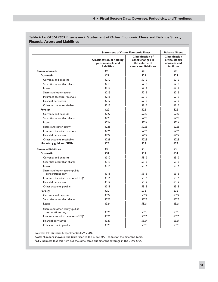|                                                       | <b>Statement of Other Economic Flows</b>                                      | <b>Balance Sheet</b>                                                                    |                                                                               |  |
|-------------------------------------------------------|-------------------------------------------------------------------------------|-----------------------------------------------------------------------------------------|-------------------------------------------------------------------------------|--|
|                                                       | <b>Classification of holding</b><br>gains in assets and<br><b>liabilities</b> | <b>Classification of</b><br>other changes in<br>the volume of<br>assets and liabilities | <b>Classification</b><br>of the stocks<br>of assets and<br><b>liabilities</b> |  |
| <b>Financial assets</b>                               | 42                                                                            | 52                                                                                      | 62                                                                            |  |
| <b>Domestic</b>                                       | 421                                                                           | 521                                                                                     | 621                                                                           |  |
| Currency and deposits                                 | 4212                                                                          | 5212                                                                                    | 6212                                                                          |  |
| Securities other than shares                          | 4213                                                                          | 5213                                                                                    | 6213                                                                          |  |
| Loans                                                 | 4214                                                                          | $5214$                                                                                  | 6214                                                                          |  |
| Shares and other equity                               | 4215                                                                          | 5215                                                                                    | 6215                                                                          |  |
| Insurance technical reserves                          | 4216                                                                          | 5216                                                                                    | 6216                                                                          |  |
| Financial derivatives                                 | 4217                                                                          | 5217                                                                                    | 6217                                                                          |  |
| Other accounts receivable                             | 4218                                                                          | 5218                                                                                    | 6218                                                                          |  |
| Foreign                                               | 422                                                                           | 522                                                                                     | 622                                                                           |  |
| Currency and deposits                                 | 4222                                                                          | 5222                                                                                    | 6222                                                                          |  |
| Securities other than shares                          | 4223                                                                          | 5223                                                                                    | 6223                                                                          |  |
| Loans                                                 | 4224                                                                          | 5224                                                                                    | 6224                                                                          |  |
| Shares and other equity                               | 4225                                                                          | 5225                                                                                    | 6225                                                                          |  |
| Insurance technical reserves                          | 4226                                                                          | 5226                                                                                    | 6226                                                                          |  |
| Financial derivatives                                 | 4227                                                                          | 5227                                                                                    | 6227                                                                          |  |
| Other accounts receivable                             | 4228                                                                          | 5228                                                                                    | 6228                                                                          |  |
| Monetary gold and SDRs                                | 423                                                                           | 523                                                                                     | 623                                                                           |  |
| <b>Financial liabilities</b>                          | 43                                                                            | 53                                                                                      | 63                                                                            |  |
| <b>Domestic</b>                                       | 431                                                                           | 531                                                                                     | 631                                                                           |  |
| Currency and deposits                                 | 4312                                                                          | 5312                                                                                    | 6312                                                                          |  |
| Securities other than shares                          | 4313                                                                          | 5313                                                                                    | 6313                                                                          |  |
| Loans                                                 | 4314                                                                          | 5314                                                                                    | 6314                                                                          |  |
| Shares and other equity (public<br>corporations only) | 4315                                                                          | 5315                                                                                    | 6315                                                                          |  |
| Insurance technical reserves (GFS) <sup>1</sup>       | 4316                                                                          | 5316                                                                                    | 6316                                                                          |  |
| <b>Financial derivatives</b>                          | 4317                                                                          | 5317                                                                                    | 6317                                                                          |  |
| Other accounts payable                                | 4318                                                                          | 5318                                                                                    | 6318                                                                          |  |
| Foreign                                               | 432                                                                           | 532                                                                                     | 632                                                                           |  |
| Currency and deposits                                 | 4322                                                                          | 5322                                                                                    | 6322                                                                          |  |
| Securities other than shares                          | 4323                                                                          | 5323                                                                                    | 6323                                                                          |  |
| Loans                                                 | 4324                                                                          | 5324                                                                                    | 6324                                                                          |  |
| Shares and other equity (public<br>corporations only) | 4325                                                                          | 5325                                                                                    | 6325                                                                          |  |
| Insurance technical reserves (GFS) <sup>1</sup>       | 4326                                                                          | 5326                                                                                    | 6326                                                                          |  |
| <b>Financial derivatives</b>                          | 4327                                                                          | 5327                                                                                    | 6327                                                                          |  |
| Other accounts payable                                | 4328                                                                          | 5328                                                                                    | 6328                                                                          |  |

## **Table 4.1e.** *GFSM 2001* **Framework: Statement of Other Economic Flows and Balance Sheet, Financial Assets and Liabilities**

Sources: IMF Statistics Department; *GFSM 2001.*

Note: Numbers shown in the table refer to the *GFSM 2001* codes for the different items.

1GFS indicates that this item has the same name but different coverage in the *1993 SNA*.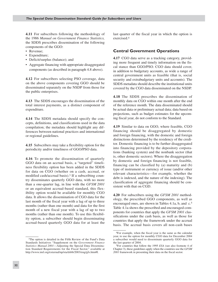**4.11** For subscribers following the methodology of the 1986 *Manual on Government Finance Statistics,* the SDDS prescribes dissemination of the following components of the GGO:

- Revenue;
- Expenditure; •
- Deficit/surplus (balance); and
- Aggregate financing with appropriate disaggregated components (as described in paragraph 4.8 above).

**4.12** For subscribers selecting PSO coverage, data on the above components covering GGO should be disseminated separately on the NSDP from those for the public enterprises.

**4.13** The SDDS encourages the dissemination of the total interest payments, as a distinct component of expenditure.

**4.14** The SDDS metadata should specify the concepts, definitions, and classifications used in the data compilation; the metadata should highlight any differences between national practices and international or regional guidelines.

**4.15** Subscribers may take a flexibility option for the periodicity and/or timeliness of GGO/PSO data.

**4.16** To promote the dissemination of quarterly GGO data on an accrual basis, a "targeted" timeliness flexibility option has been added in the SDDS for data on CGO (whether on a cash, accrual, or modified cash/accrual basis).3 If a subscribing country disseminates quarterly GGO data, with no more than a one-quarter lag, in line with the *GFSM 2001* or an equivalent accrual-based standard, this flexibility option would be available for monthly CGO data. It allows the dissemination of CGO data for the last month of the fiscal year with a lag of up to three months (rather than one month) and data for the first month of a new fiscal year with a lag of up to two months (rather than one month). To use this flexibility option, a subscriber should begin disseminating accrual-based quarterly GGO data for at least the last quarter of the fiscal year in which the option is exercised.4

## **Central Government Operations**

**4.17** CGO data serve as a tracking category, providing more frequent and timely information on the fiscal stance than GGO/PSO. CGO data should cover, in addition to budgetary accounts, as wide a range of central government units as feasible (that is, social security and extrabudgetary units and accounts). The SDDS metadata should describe the institutional units covered by the CGO data disseminated on the NSDP.

**4.18** The SDDS prescribes the dissemination of monthly data on CGO within one month after the end of the reference month. The data disseminated should be actual data or preliminary actual data; data based on projections, such as budget estimates for the upcoming fiscal year, do not conform to the Standard.

**4.19** Similar to data on GGO, where feasible, CGO financing should be disaggregated by domestic and foreign financing, with the domestic and foreign distinctions determined by the residency of the creditor. Domestic financing is to be further disaggregated into financing provided by the depository corporations (banking system) and the nonbank sector (that is, other domestic sectors). Where the disaggregation by domestic and foreign financing is not feasible, financing can be classified by (a) maturity and (b) type of instrument or currency of issue (and/or other relevant characteristics—for example, whether the debt is indexed, and the nature of the indexing). The classification of aggregate financing should be consistent with that on CGD.

**4.20** For subscribers using the *GFSM 2001* methodology, the prescribed GGO components, as well as encouraged ones, are shown in Tables 4.1a, b, and c.<sup>5</sup> Table 4.1a shows the prescribed and encouraged components for countries that apply the *GFSM 2001* classifications under the cash basis, as well as those for countries that apply the framework under the accrual basis. The accrual basis covers all non-cash bases

<sup>3</sup>The option is detailed in the Fifth Review of the Fund's Data Standards Initiatives "Supplement on the *Government Finance Statistics Manual 2001*—Adjusting the Special Data Dissemination Standard Requirements for the Fiscal Sector," available at http://www.imf.org/external/np/sta/dsbb/2003/eng/gfs.htm#I.

<sup>4</sup>For example, when the fiscal year is the same as the calendar year, to use the option for monthly CGO data for December 2004 a subscriber would need to disseminate quarterly GGO data for the last quarter of 2004.

<sup>5</sup>For countries that follow the 1995 *ESA* (see also footnote 4 of Chapter 3), these guidelines apply when the countries use the *GFSM 2001* framework in presenting their data on the fiscal sector.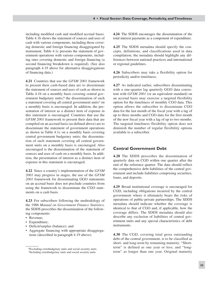including modified cash and modified accrual bases. Table 4.1b shows the statement of sources and uses of cash with various components, including those covering domestic and foreign financing disaggregated by instrument. Table 4.1c presents the statement of government operations with various components, including ones covering domestic and foreign financing (a second financing breakdown is required). (See also paragraph 4.19 above for alternative disaggregations of financing data.)

**4.21** Countries that use the *GFSM 2001* framework to present their cash-based data are to disseminate the statement of sources and uses of cash as shown in Table 4.1b on a monthly basis covering central government budgetary units;<sup>6</sup> the dissemination of such a statement covering all central government units7 on a monthly basis is encouraged. In addition, the presentation of interest as a distinct item of expense in this statement is encouraged. Countries that use the *GFSM 2001* framework to present their data that are compiled on an accrual basis (as defined above) are to disseminate the statement of government operations as shown in Table 4.1c on a monthly basis covering central government budgetary units; the dissemination of such statement covering all central government units on a monthly basis is encouraged. Also encouraged is the dissemination of the statement of sources and uses of cash on a monthly basis. In addition, the presentation of interest as a distinct item of expense in this statement is encouraged.

**4.22** Since a country's implementation of the *GFSM 2001* may progress in stages, the use of the *GFSM 2001* framework for disseminating GGO statements on an accrual basis does not preclude countries from using the framework to disseminate the CGO statements on a cash basis.

**4.23** For subscribers following the methodology of the 1986 *Manual on Government Finance Statistics,* the SDDS prescribes the dissemination of the following components:

- Revenue; •
- Expenditure; •
- Deficit/surplus (balance); and
- Aggregate financing with appropriate disaggrega-• tions (described in paragraph 4.19 above).

**4.24** The SDDS encourages the dissemination of the total interest payments as a component of expenditure.

**4.25** The SDDS metadata should specify the concepts, definitions, and classifications used in data compilation; the metadata should highlight any differences between national practices and international or regional guidelines.

**4.26** Subscribers may take a flexibility option for periodicity and/or timeliness.

**4.27** As indicated earlier, subscribers disseminating with a one-quarter lag quarterly GGO data consistent with *GFSM 2001* (or an equivalent standard) on an accrual basis may exercise a targeted flexibility option for the timeliness of monthly CGO data. This option allows the subscriber to disseminate CGO data for the last month of the fiscal year with a lag of up to three months and CGO data for the first month of the new fiscal year with a lag of up to two months. The targeted timeliness flexibility option does not diminish the number of regular flexibility options available to a subscriber.

#### **Central Government Debt**

**4.28** The SDDS prescribes the dissemination of quarterly data on CGD within one quarter after the end of the reference quarter. The data should reflect the comprehensive debt liabilities of the central government and include liabilities comprising securities, loans, and deposits.

**4.29** Broad institutional coverage is encouraged for CGD, including obligations incurred by the central government where it ultimately bears the risks of operations of public-private partnerships. The SDDS metadata should indicate whether the coverage is identical to that of CGO and, if applicable, how the coverage differs. The SDDS metadata should also describe any exclusion of liabilities of central government units and any special characteristics of debt instruments.

**4.30** The CGD, covering total gross outstanding debt of the central government, is to be classified as short- and long-term by remaining maturity. "Shortterm" is defined as one year or less; and "longterm" as longer than one year. Original maturity

<sup>6</sup>Excluding extrabudgetary units and social security units. 7Including extrabudgetary units and social security units.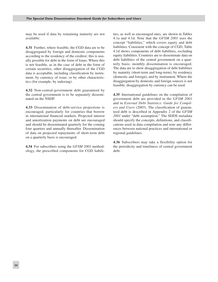may be used if data by remaining maturity are not available.

**4.31** Further, where feasible, the CGD data are to be disaggregated by foreign and domestic components according to the residency of the creditor; this is usually possible for debt in the form of loans. Where this is not feasible, as in the case of debt in the form of certain securities, other disaggregation of the CGD data is acceptable, including classification by instrument, by currency of issue, or by other characteristics (for example, by indexing).

**4.32** Non-central-government debt guaranteed by the central government is to be separately disseminated on the NSDP.

**4.33** Dissemination of debt-service projections is encouraged, particularly for countries that borrow in international financial markets. Projected interest and amortization payments on debt are encouraged and should be disseminated quarterly for the coming four quarters and annually thereafter. Dissemination of data on projected repayments of short-term debt on a quarterly basis is encouraged.

**4.34** For subscribers using the *GFSM 2001* methodology, the prescribed components for CGD liabili-

ties, as well as encouraged ones, are shown in Tables 4.1a and 4.1d. Note that the *GFSM 2001* uses the concept "liabilities," which covers equity and debt liabilities. Consistent with the concept of CGD, Table 4.1d shows components of debt liabilities, excluding equity liabilities. Countries are to disseminate data on debt liabilities of the central government on a quarterly basis; monthly dissemination is encouraged. The data are to show disaggregation of debt liabilities by maturity (short-term and long-term), by residency (domestic and foreign), and by instrument. Where the disaggregation by domestic and foreign sources is not feasible, disaggregation by currency can be used.

**4.35** International guidelines on the compilation of government debt are provided in the *GFSM 2001* and in *External Debt Statistics: Guide for Compilers and Users* (2003). The classification of guaranteed debt is described in Appendix 2 of the *GFSM 2001* under "debt assumption." The SDDS metadata should specify the concepts, definitions, and classifications used in data compilation and note any differences between national practices and international or regional guidelines.

**4.36** Subscribers may take a flexibility option for the periodicity and timeliness of central government debt.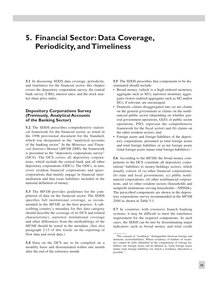# **5. Financial Sector: Data Coverage, Periodicity, and Timeliness**

**5.1** In discussing SDDS data coverage, periodicity, and timeliness for the financial sector, this chapter covers the depository corporation survey, the central bank survey (CBS), interest rates, and the stock market share price index.

## **Depository Corporations Survey (Previously, Analytical Accounts of the Banking Sector)**

**5.2** The SDDS prescribes comprehensive statistical framework for the financial sector, as noted in the 1996 provisional document for the Standard, which was designated as the "analytical accounts of the banking sector." In the *Monetary and Financial Statistics Manual* (*MFSM 2000*)*,* the framework is presented as the "depository corporations survey" (DCS). The DCS covers all depository corporations, which include the central bank and all other depository corporations (ODCs). The ODCs, in turn, cover resident financial corporations and quasicorporations that mainly engage in financial intermediation and that issue liabilities included in the national definition of money.

**5.3** The *MFSM* provides guidelines for the compilation of data on the financial sector. The SDDS specifies full institutional coverage, as recommended in the *MFSM*, as the best practice. A subscribing country's metadata for this data category should describe the coverage of its DCS and related characteristics; narrower institutional coverage and other differences from the methodology of the *MFSM* should be noted in the metadata. (See also paragraph 2.15 of this *Guide* on the reporting of flow data and stock data.)

**5.4** Data on the DCS are to be compiled on a monthly basis and disseminated within one month after the end of the reference month.

**5.5** The SDDS prescribes that components to be disseminated should include:

- Broad money (which is a high-ordered monetary aggregate such as M3); narrower monetary aggregates (lower-ordered aggregates such as M2 and/or M1), if relevant, are encouraged;
- Domestic claims disaggregated into (a) net claims on the general government or claims on the nonfinancial public sector (depending on whether general government operations, GGO, or public sector operations, PSO, represent the comprehensive framework for the fiscal sector) and (b) claims on the other resident sectors; and
- Foreign assets and foreign liabilities of the deposi-• tory corporations, presented as total foreign assets and total foreign liabilities or as net foreign assets (total foreign assets minus total foreign liabilities).<sup>1</sup>

**5.6** According to the *MFSM*, the broad money components in the DCS constitute all depository corporations' liabilities to money-holdings sectors, which usually consist of (a) other financial corporations, (b) state and local governments, (c) public nonfinancial corporations, (d) other nonfinancial corporations, and (e) other resident sectors (households and nonprofit institutions serving households—NPISHs). The prescribed components are shown in the depository corporations survey recommended in the *MFSM 2000* as shown in Table 5.1.

**5.7** In countries with extensive branch banking systems, it may be difficult to meet the timeliness requirement for the required components. In such cases, the SDDS can be met by disseminating major indicators such as broad money and total credit

<sup>1</sup>The concept of "residency" distinguishes between foreign and domestic assets/liabilities. Where residency of holders of securities cannot be fully identified in the computation of foreign liabilities, net foreign assets can be defined as "total foreign assets minus total foreign liabilities for which a residency allocation is possible."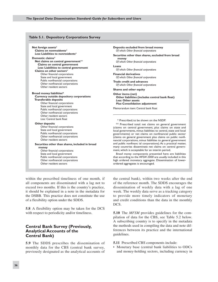#### **Table 5.1. Depository Corporations Survey**

**Net foreign assets**\* **Claims on nonresidents**\* *Less***: Liabilities to nonresidents**\*

#### **Domestic claims**\*

**Net claims on central government**\*\*  **Claims on central government** *Less***: Liabilities to central government Claims on other sectors**\* Other financial corporations State and local government Public nonfinancial corporations Other nonfinancial corporations

## **Broad money liabilities\***

Other resident sectors

#### **Currency outside depository corporations Transferable deposits**

 Other financial corporations State and local government Public nonfinancial corporations Other nonfinancial corporations Other resident sectors *Less:* Central bank float

#### **Other deposits**

 Other financial corporations State and local government Public nonfinancial corporations Other nonfinancial corporations Other resident sectors

#### **Securities other than shares, included in broad money** Other financial corporations

 State and local government Public nonfinancial corporations Other nonfinancial corporations Other resident sectors

**Deposits excluded from broad money** *Of which: Other financial corporations* 

#### **Securities other than shares, excluded from broad money**

*Of which: Other financial corporations* 

#### **Loans** *Of which: Other financial corporations*

**Financial derivatives** *Of which: Other financial corporations* 

**Trade credit and advances** *Of which: Other financial corporations* 

**Shares and other equity**

**Other items (net) Other liabilities (includes central bank float)** *Less:* **Other assets** *Plus:* **Consolidation adjustment**

Memorandum item: Central bank float

\* Prescribed; to be shown on the NSDP.

\*\* Prescribed total: net claims on general government (claims on central government, plus claims on state and local governments, minus liabilities to central, state and local governments) or net claims on nonfinancial public sector (claims on general government plus claims on public nonfinancial corporations, minus liabilities to general government and public nonfinanc ial corporations). As a practical matter, many countries disseminate net claims on central government, which is acceptable for an interim period.

*Broad money* components presented here are liabilities that according to the *MFSM 2000* are usually included in this high ordered monetary aggregate. Dissemination of lowerordered aggregates is encouraged.

within the prescribed timeliness of one month, if all components are disseminated with a lag not to exceed two months. If this is the country's practice, it should be explained in a note in the metadata for the DSBB. This practice does not constitute the use of a flexibility option under the SDDS.

**5.8** A flexibility option may be taken for the DCS with respect to periodicity and/or timeliness.

## **Central Bank Survey (Previously, Analytical Accounts of the Central Bank)**

**5.9** The SDDS prescribes the dissemination of monthly data for the CBS (central bank survey, previously designated as the analytical accounts of

the central bank), within two weeks after the end of the reference month. The SDDS encourages the dissemination of weekly data with a lag of one week. The weekly data serve as a tracking category to provide more timely indicators of monetary and credit conditions than the data in the monthly DCS.

**5.10** The *MFSM* provides guidelines for the compilation of data for the CBS, see Table 5.2 below. A subscribing country is to specify in the metadata the methods used in compiling the data and note differences between its practice and the international guidelines.

**5.11** Prescribed CBS components include:

• Monetary base (central bank liabilities to ODCs and money-holding sectors, including currency in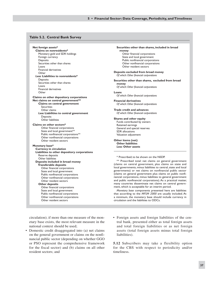#### **5 • Financial Sector: Data Coverage, Periodicity, andTimeliness**

#### **Table 5.2. Central Bank Survey**

**Net foreign assets\* Claims on nonresidents\*** Monetary gold and SDR holdings Foreign currency **Deposits**  Securities other than shares Loans Financial derivatives **Other** *Less:* **Liabilities to nonresidents\* Deposits**  Securities other than shares Loans Financial derivatives Other **Claims on other depository corporations Net claims on central government\*\* Claims on central government Securities**  Other claims *Less:* **Liabilities to central government Deposits**  Other liabilities **Claims on other sectors\*** Other financial corporations State and local government\*\* Public nonfinancial corporations\*\* Other nonfinancial corporations Other resident sectors **Monetary base\* Currency in circulation Liabilities to other depository corporations** Reserve deposits Other liabilities **Deposits included in broad money Transferable deposits** Other financial corporations State and local government Public nonfinancial corporations Other nonfinancial corporations Other resident sectors  **Other deposits** Other financial corporations State and local government Public nonfinancial corporations Other nonfinancial corporations Other resident sectors

 **Securities other than shares, included in broad money** Other financial corporations State and local government Public nonfinancial corporations Other nonfinancial corporations Other resident sectors **Deposits excluded from broad money** *Of which: Other financial corporations*  **Securities other than shares, excluded from broad money** *Of which: Other financial corporations*  **Loans** *Of which: Other financial corporations*  **Financial derivatives** *Of which: Other financial corporations*  **Trade credit and advances** *Of which: Other financial corporations*  **Shares and other equity** Funds contributed by owners Retained earnings General and special reserves SDR allocations Valuation adjustment **Other items (net) Other liabilities** *Less:* **Other assets** \* Prescribed; to be shown on the NSDP. \*\* Prescribed total: net claims on general government (claims on central government, plus claims on state and local governments, minus liabilities to central, state and local governments) or net claims on nonfinancial public sector (claims on general government plus claims on public nonfinancial corporations, minus liabilities to general government and public nonfinancial corporations). As a practical matter,

many countries disseminate net claims on central government, which is acceptable for an interim period. *Monetary base* components presented here are liabilities that according to the *MFSM 2000* are usually included. At a minimum, the monetary base should include currency in

circulation and the liabilities to ODCs.

circulation); if more than one measure of the monetary base exists, the most relevant measure in the national context should be used;

• Domestic credit disaggregated into (a) net claims on the general government or claims on the nonfinancial public sector (depending on whether GGO or PSO represent the comprehensive framework for the fiscal sector) and (b) claims on all other resident sectors; and

Foreign assets and foreign liabilities of the cen-• tral bank, presented either as total foreign assets and total foreign liabilities or as net foreign assets (total foreign assets minus total foreign liabilities).

**5.12** Subscribers may take a flexibility option for the CBS with respect to periodicity and/or timeliness.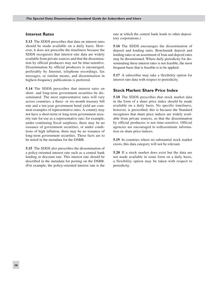## **Interest Rates**

**5.13** The SDDS prescribes that data on interest rates should be made available on a daily basis. However, it does not prescribe the timeliness because the SDDS recognizes that interest rate data are widely available from private sources and that the dissemination by official producers may not be time-sensitive. Dissemination by official producers is encouraged, preferably by Internet, telephone recordings, fax messages, or similar means, and dissemination in highest-frequency publications is preferred.

**5.14** The SDDS prescribes that interest rates on short- and long-term government securities be disseminated. The most representative rates will vary across countries; a three- or six-month treasury bill rate and a ten-year government bond yield are common examples of representative rates. A country may not have a short-term or long-term government security rate for use as a representative rate; for example, under continuing fiscal surpluses, there may be no issuance of government securities, or under conditions of high inflation, there may be no issuance of long-term government securities. These facts are to be noted in the metadata for the DSBB.

**5.15** The SDDS also prescribes the dissemination of a policy-oriented interest rate such as a central bank lending or discount rate. This interest rate should be described in the metadata for posting on the DSBB. (For example, the policy-oriented interest rate is the

rate at which the central bank lends to other depository corporations.)

**5.16** The SDDS encourages the dissemination of deposit and lending rates. Benchmark deposit and lending rates or an assortment of loan and deposit rates may be disseminated. Where daily periodicity for disseminating these interest rates is not feasible, the most frequent basis that is feasible is to be applied.

**5.17** A subscriber may take a flexibility option for interest rate data with respect to periodicity.

## **Stock Market: Share Price Index**

**5.18** The SDDS prescribes that stock market data in the form of a share price index should be made available on a daily basis. No specific timeliness, however, is prescribed; this is because the Standard recognizes that share price indices are widely available from private sources, so that the dissemination by official producers is not time-sensitive. Official agencies are encouraged to redisseminate information on share price indices.

**5.19** In countries where no substantial stock market exists, this data category will not be relevant.

**5.20** If a stock market does exist but the data are not made available in some form on a daily basis, a flexibility option may be taken with respect to periodicity.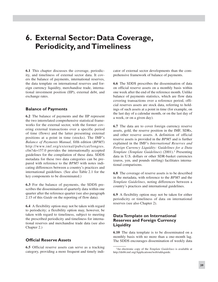# **6. External Sector: Data Coverage, Periodicity, andTimeliness**

**6.1** This chapter discusses the coverage, periodicity, and timeliness of external sector data. It covers the balance of payments, international reserves, the data template on international reserves and foreign currency liquidity, merchandise trade, international investment position (IIP), external debt, and exchange rates.

## **Balance of Payments**

**6.2** The balance of payments and the IIP represent the two interrelated comprehensive statistical frameworks for the external sector, with the former covering external transactions over a specific period of time (flows) and the latter presenting external positions at a point in time (stocks). The IMF's *Balance of Payments Manual,* fifth edition (*BPM5*) http://www.imf.org/external/pubs/cat/longres. cfm?sk=157.0 provides the internationally accepted guidelines for the compilation of these data. SDDS metadata for these two data categories can be prepared with reference to the *BPM5* with notes indicating differences between a country's practices and international guidelines. (See also Table 2.1 for the key components to be disseminated.)

**6.3** For the balance of payments, the SDDS prescribes the dissemination of quarterly data within one quarter after the reference quarter (see also paragraph 2.15 of this *Guide* on the reporting of flow data).

**6.4** A flexibility option may not be taken with regard to periodicity; a flexibility option may, however, be taken with regard to timeliness, subject to meeting the prescribed periodicity and timeliness for international reserves and merchandise trade data (see also Chapter 2.)

## **Official Reserve Assets**

**6.5** Official reserve assets can serve as a tracking category, providing a more frequent and timely indicator of external sector developments than the comprehensive framework of balance of payments.

**6.6** The SDDS prescribes the dissemination of data on official reserve assets on a monthly basis within one week after the end of the reference month. Unlike balance of payments statistics, which are flow data covering transactions over a reference period, official reserves assets are stock data, referring to holdings of such assets at a point in time (for example, on the last day of a calendar month, or on the last day of a week, or on a given day).

**6.7** The data are to cover foreign currency reserve assets, gold, the reserve position in the IMF, SDRs, and other reserve assets. A definition of official reserve assets is provided in the *BPM5* and is further explained in the IMF's *International Reserves and Foreign Currency Liquidity: Guidelines for a Data Template* (*Template Guidelines*) (2001).1 Presenting data in U.S. dollars or other SDR-basket currencies (euros, yen, and pounds sterling) facilitates international comparisons.

**6.8** The coverage of reserve assets is to be described in the metadata, with reference to the *BPM5* and the *Template Guidelines*, noting differences between a country's practices and international guidelines.

**6.9** A flexibility option may not be taken for either periodicity or timeliness of data on international reserves (see also Chapter 2).

## **DataTemplate on International Reserves and Foreign Currency Liquidity**

**6.10** The data template is to be disseminated on a monthly basis with no more than a one-month lag. The SDDS encourages dissemination of weekly data

<sup>1</sup>An electronic copy of the *Template Guidelines* is available at http://dsbb.imf.org/Applications/web/sddsguide.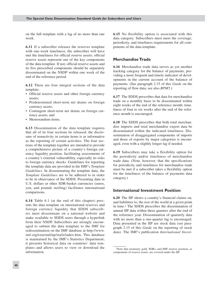on the full template with a lag of no more than one week.

**6.11** If a subscriber releases the reserves template with one-week timeliness, the subscriber will have met the timeliness for official reserve assets; official reserve assets represent one of the key components of the data template. If not, official reserve assets and its five prescribed components should be separately disseminated on the NSDP within one week of the end of the reference period.

**6.12** There are four integral sections of the data template:

- Official reserve assets and other foreign currency assets;
- Predetermined short-term net drains on foreign currency assets;
- Contingent short-term net drains on foreign cur-• rency assets; and
- Memorandum items.

**6.13** Dissemination of the data template requires that all of its four sections be released; the disclosure of nonactivity in certain items is as informative as the reporting of certain activities. The four sections of the template together are intended to provide a comprehensive picture of a country's foreign currency liquidity position, facilitating assessments of a country's external vulnerability, especially its risks to foreign currency shocks. Guidelines for reporting the template data are provided in the IMF's *Template Guidelines.* In disseminating the template data, the *Template Guidelines* are to be adhered to in order to be in observance of the SDDS. Presenting data in U.S. dollars or other SDR-basket currencies (euros, yen, and pounds sterling) facilitates international comparisons.

**6.14** Table 6.1 (at the end of this chapter) presents the data template on international reserves and foreign currency liquidity that SDDS subscribers must disseminate on a national website and make available to SDDS users through a hyperlink from their NSDP. Subscribers are strongly encouraged to submit the data template to the IMF for redissemination on the IMF database at http://www. imf.org/external/np/sta/ir/index.htm. This database is maintained by the IMF's Statistics Department; it presents historical data on countries' data templates and allows users to view or download the information.

**6.15** No flexibility option is associated with this data category. Subscribers must meet the coverage, periodicity, and timeliness requirements for all components of the data template.

## **MerchandiseTrade**

**6.16** Merchandise trade data serves as yet another tracking category for the balance of payments, providing a more frequent and timely indicator of developments in the current account of the balance of payments. (See paragraph 2.15 of this *Guide* on the reporting of flow data; see also *BPM5*.)

**6.17** The SDDS prescribes that data for merchandise trade on a monthly basis to be disseminated within eight weeks of the end of the reference month; timeliness of four to six weeks after the end of the reference month is encouraged.

**6.18** The SDDS prescribes that both total merchandise imports and total merchandise export data be disseminated within the indicated timeliness. Dissemination of disaggregated components of imports and those of exports by major categories is encouraged, even with a slightly longer lag if needed.

**6.19** Subscribers may take a flexibility option for the periodicity and/or timeliness of merchandise trade data. (Note, however, that the specifications for periodicity and timeliness for merchandise trade must be met if a subscriber takes a flexibility option for the timeliness of the balance of payments data category.)

## **International Investment Position**

**6.20** The IIP shows a country's financial claims on, and liabilities to, the rest of the world at a given point in time.2 The SDDS prescribes the dissemination of annual IIP data within three quarters after the end of the reference year. Dissemination of quarterly data with no more than a one-quarter lag is encouraged. Data presented in the IIP are stock data (see paragraph 2.15 of this *Guide* on the reporting of stock data). The IMF's publication *International Invest-*

<sup>2</sup>Note that monetary gold, SDRs, and IMF reserve position, as components of reserve assets, are covered under the IIP.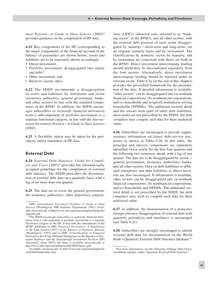*ment Position—A Guide to Data Sources* (2002)3 provides guidance on the compilation of IIP data.

**6.21** Key components of the IIP (corresponding to the major components of the financial account of the balance of payments) are shown below; assets and liabilities are to be separately shown accordingly:

- Direct investment;
- Portfolio investment, disaggregated into equity and debt;4
- Other investment; and
- Reserves (assets only).

**6.22** The SDDS recommends a disaggregation of assets and liabilities by instrument and sector (monetary authorities, general government, banks, and other sectors) in line with the standard components of the *BPM5*. In addition, the SDDS encourages subscribers to reclassify financial derivatives from a subcomponent of portfolio investment to a separate functional category, in line with the *International Investment Position—A Guide to Data Sources* (2002).

**6.23** A flexibility option may be taken for the periodicity and/or timeliness of IIP data.

## **External Debt**

**6.24** *External Debt Statistics: Guide for Compil*ers and Users (2003)<sup>5</sup> provides the internationally accepted guidelines for the compilation of external debt statistics. The SDDS prescribes the dissemination of external debt data on a quarterly basis with a lag of no more than one quarter.

**6.25** The data are to cover the general government, the monetary authorities, other depository corporations (ODCs) subsector (also referred to as "banking sector" in the *BPM5*), and all other sectors, with the external debt position of each sector disaggregated by maturity—short-term and long-term—on an original maturity basis and by instrument. The classifications by domestic sector, by maturity, and by instrument are consistent with those set forth in the *BPM5.* Direct investment intercompany lending should preferably be disseminated separately from the four sectors. Alternatively, direct investment intercompany lending should be reported under its relevant sector. Table 6.2a (at the end of this chapter) provides the prescribed framework for the presentation of the data*.* If detailed information is available, "other sectors" can be disaggregated into (a) nonbank financial corporations, (b) nonfinancial corporations, and (c) households and nonprofit institutions serving households (NPISHs). The additional sectoral detail and the arrears item (part of other debt liabilities, short-term) are not prescribed by the SDDS, but debt compilers may compile such data for their analytical value.

**6.26** Subscribers are encouraged to provide supplementary information on future debt-service payments as shown in Table 6.2b. In this table, the principal and interest components are separately identified, twice yearly for the first four quarters and the following two semesters ahead, with a lag of one quarter. The data are to be disaggregated by sector general government, monetary authorities, banks, and all other sectors. Data on debt liabilities to affiliated enterprises and debt liabilities to direct investors are also encouraged. If information is available, other sectors can be disaggregated into (a) nonbank financial corporations, (b) nonfinancial corporations, and (c) households and NPISHs. The additional sectoral detail is not prescribed by the SDDS, but debt compilers may wish to compile such data for their analytical value.

**6.27** In addition, the dissemination of a domestic/ foreign currency disaggregation of external debt with quarterly periodicity and timeliness is encouraged (see Table 6.2c).

**6.28** Subscribers are strongly encouraged to submit external debt data for dissemination on the World Bank's Quarterly External Debt Statistics database.6

<sup>3</sup>IMF, *International Investment Position—A Guide to Data Sources* (Washington: IMF Statistics Department, 2002). Available electronically at http://www.imf.org/external/np/sta/iip/guide/ iipguide.pdf.

<sup>4</sup>The SDDS encourages subscribers to reclassify financial derivatives from a subcomponent of portfolio investment to a separate functional category in the IIP, in line with the amendments to the *BPM5* published in IMF, *Financial Derivatives: A Supplement to the Fifth Edition (1993) of the Balance of Payments Manual*, (Washington, 1993) and in IMF, "Classification of Financial Derivatives Involving Affiliated Enterprises in the Balance of Payments Statistics and the International Investment Position (IIP) Statement" (June 2002); the latter is available electronically at http://www.imf.org/external/np/sta/fd/2002/fdclass.pdf.

<sup>5</sup>Available electronically at http://www.imf.org/external/pubs/ft/ eds/ENG/Guide/index.htm.

<sup>6</sup>For more information, see the following webpage: http://www. worldbank.org/data, under "Quarterly External Debt Statistics."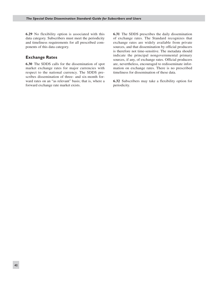**6.29** No flexibility option is associated with this data category. Subscribers must meet the periodicity and timeliness requirements for all prescribed components of this data category.

## **Exchange Rates**

**6.30** The SDDS calls for the dissemination of spot market exchange rates for major currencies with respect to the national currency. The SDDS prescribes dissemination of three- and six-month forward rates on an "as relevant" basis; that is, where a forward exchange rate market exists.

**6.31** The SDDS prescribes the daily dissemination of exchange rates. The Standard recognizes that exchange rates are widely available from private sources, and that dissemination by official producers is therefore not time-sensitive. The metadata should indicate the principal nongovernmental primary sources, if any, of exchange rates. Official producers are, nevertheless, encouraged to redisseminate information on exchange rates. There is no prescribed timeliness for dissemination of these data.

**6.32** Subscribers may take a flexibility option for periodicity.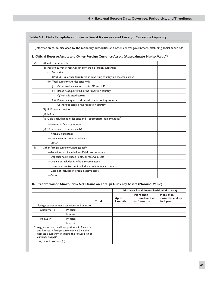#### **Table 6.1. DataTemplate on International Reserves and Foreign Currency Liquidity**

(Information to be disclosed by the monetary authorities and other central government, excluding social security)<sup>1</sup>

## **I. Official Reserve Assets and Other Foreign Currency Assets (Approximate MarketValue)2**

| А. | Official reserve assets                                                  |  |  |  |  |  |
|----|--------------------------------------------------------------------------|--|--|--|--|--|
|    | (I) Foreign currency reserves (in convertible foreign currencies)        |  |  |  |  |  |
|    | (a) Securities                                                           |  |  |  |  |  |
|    | Of which: issuer headquartered in reporting country but located abroad   |  |  |  |  |  |
|    | (b) Total currency and deposits with:                                    |  |  |  |  |  |
|    | Other national central banks, BIS and IMF<br>(i)                         |  |  |  |  |  |
|    | Banks headquartered in the reporting country<br>(ii)                     |  |  |  |  |  |
|    | Of which: located abroad                                                 |  |  |  |  |  |
|    | (iii) Banks headquartered outside the reporting country                  |  |  |  |  |  |
|    | Of which: located in the reporting country                               |  |  |  |  |  |
|    | (2) IMF reserve position                                                 |  |  |  |  |  |
|    | $(3)$ SDRs                                                               |  |  |  |  |  |
|    | (4) Gold (including gold deposits and, if appropriate, gold swapped) $3$ |  |  |  |  |  |
|    | -Volume in fine troy ounces                                              |  |  |  |  |  |
|    | (5) Other reserve assets (specify)                                       |  |  |  |  |  |
|    | -Financial derivatives                                                   |  |  |  |  |  |
|    | -Loans to nonbank nonresidents                                           |  |  |  |  |  |
|    | $-$ Other                                                                |  |  |  |  |  |
| В. | Other foreign currency assets (specify)                                  |  |  |  |  |  |
|    | -Securities not included in official reserve assets                      |  |  |  |  |  |
|    | -Deposits not included in official reserve assets                        |  |  |  |  |  |
|    | -Loans not included in official reserve assets                           |  |  |  |  |  |
|    | -Financial derivatives not included in official reserve assets           |  |  |  |  |  |
|    | -Gold not included in official reserve assets                            |  |  |  |  |  |
|    | $-$ Other                                                                |  |  |  |  |  |

#### **II. Predetermined Short-Term Net Drains on Foreign Currency Assets (NominalValue)**

|                                                                                                                                                                                         |                                                                  |       | <b>Maturity Breakdown (Residual Maturity)</b> |                                            |                                           |
|-----------------------------------------------------------------------------------------------------------------------------------------------------------------------------------------|------------------------------------------------------------------|-------|-----------------------------------------------|--------------------------------------------|-------------------------------------------|
|                                                                                                                                                                                         |                                                                  | Total | Up to<br>month                                | More than<br>I month and up<br>to 3 months | More than<br>3 months and up<br>to I year |
|                                                                                                                                                                                         | 1. Foreign currency loans, securities, and deposits <sup>4</sup> |       |                                               |                                            |                                           |
| —Outflows $(-)$                                                                                                                                                                         | Principal                                                        |       |                                               |                                            |                                           |
|                                                                                                                                                                                         | Interest                                                         |       |                                               |                                            |                                           |
| $-$ Inflows $(+)$                                                                                                                                                                       | Principal                                                        |       |                                               |                                            |                                           |
|                                                                                                                                                                                         | Interest                                                         |       |                                               |                                            |                                           |
| 2. Aggregate short and long positions in forwards<br>and futures in foreign currencies vis-à-vis the<br>domestic currency (including the forward leg of<br>currency swaps) <sup>5</sup> |                                                                  |       |                                               |                                            |                                           |
| (a) Short positions $(-)$                                                                                                                                                               |                                                                  |       |                                               |                                            |                                           |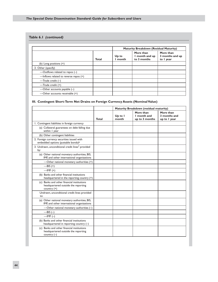# **Table 6.1** *(continued)*

|                                            |              | <b>Maturity Breakdown (Residual Maturity)</b> |                                            |                                           |
|--------------------------------------------|--------------|-----------------------------------------------|--------------------------------------------|-------------------------------------------|
|                                            | <b>Total</b> | Up to<br>month                                | More than<br>I month and up<br>to 3 months | More than<br>3 months and up<br>to I year |
| (b) Long positions $(+)$                   |              |                                               |                                            |                                           |
| 3. Other (specify)                         |              |                                               |                                            |                                           |
| -Outflows related to repos $(-)$           |              |                                               |                                            |                                           |
| $-$ Inflows related to reverse repos $(+)$ |              |                                               |                                            |                                           |
| —Trade credit $(-)$                        |              |                                               |                                            |                                           |
| $-$ Trade credit $(+)$                     |              |                                               |                                            |                                           |
| —Other accounts payable $(-)$              |              |                                               |                                            |                                           |
| -Other accounts receivable (+)             |              |                                               |                                            |                                           |

#### **III. Contingent Short-Term Net Drains on Foreign Currency Assets (NominalValue)**

|                                                                                                    |       | Maturity Breakdown (residual maturity) |                                            |                                           |
|----------------------------------------------------------------------------------------------------|-------|----------------------------------------|--------------------------------------------|-------------------------------------------|
|                                                                                                    | Total | Up to I<br>month                       | More than<br>I month and<br>up to 3 months | More than<br>3 months and<br>up to I year |
| 1. Contingent liabilities in foreign currency                                                      |       |                                        |                                            |                                           |
| (a) Collateral guarantees on debt falling due<br>within I year                                     |       |                                        |                                            |                                           |
| (b) Other contingent liabilities                                                                   |       |                                        |                                            |                                           |
| 2. Foreign currency securities issued with<br>embedded options (puttable bonds) <sup>6</sup>       |       |                                        |                                            |                                           |
| 3. Undrawn, unconditional credit lines <sup>7</sup> provided<br>by:                                |       |                                        |                                            |                                           |
| (a) Other national monetary authorities, BIS,<br>IMF, and other international organizations        |       |                                        |                                            |                                           |
| —Other national monetary authorities $(+)$                                                         |       |                                        |                                            |                                           |
| $-BIS (+)$                                                                                         |       |                                        |                                            |                                           |
| $-MF (+)$                                                                                          |       |                                        |                                            |                                           |
| (b) Banks and other financial institutions<br>headquartered in the reporting country (+)           |       |                                        |                                            |                                           |
| (c) Banks and other financial institutions<br>headquartered outside the reporting<br>country (+)   |       |                                        |                                            |                                           |
| Undrawn, unconditional credit lines provided<br>to:                                                |       |                                        |                                            |                                           |
| (a) Other national monetary authorities, BIS,<br>IMF, and other international organizations        |       |                                        |                                            |                                           |
| -Other national monetary authorities $(-)$                                                         |       |                                        |                                            |                                           |
| $-BIS(-)$                                                                                          |       |                                        |                                            |                                           |
| $-MF(-)$                                                                                           |       |                                        |                                            |                                           |
| (b) Banks and other financial institutions<br>headquartered in reporting country (-)               |       |                                        |                                            |                                           |
| (c) Banks and other financial institutions<br>headquartered outside the reporting<br>country $(-)$ |       |                                        |                                            |                                           |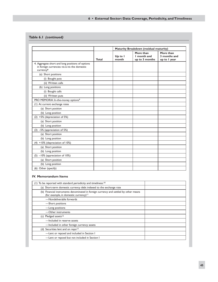# **6 • External Sector: Data Coverage, Periodicity, andTimeliness**

# **Table 6.1** *(continued)*

|                                                                                                                           |       |                  | Maturity Breakdown (residual maturity)     |                                           |  |
|---------------------------------------------------------------------------------------------------------------------------|-------|------------------|--------------------------------------------|-------------------------------------------|--|
|                                                                                                                           | Total | Up to I<br>month | More than<br>I month and<br>up to 3 months | More than<br>3 months and<br>up to I year |  |
| 4. Aggregate short and long positions of options<br>in foreign currencies vis-à-vis the domestic<br>currency <sup>8</sup> |       |                  |                                            |                                           |  |
| (a) Short positions                                                                                                       |       |                  |                                            |                                           |  |
| (i) Bought puts                                                                                                           |       |                  |                                            |                                           |  |
| (ii) Written calls                                                                                                        |       |                  |                                            |                                           |  |
| (b) Long positions                                                                                                        |       |                  |                                            |                                           |  |
| (i) Bought calls                                                                                                          |       |                  |                                            |                                           |  |
| (ii) Written puts                                                                                                         |       |                  |                                            |                                           |  |
| PRO MEMORIA: In-the-money options <sup>9</sup>                                                                            |       |                  |                                            |                                           |  |
| (1) At current exchange rates                                                                                             |       |                  |                                            |                                           |  |
| (a) Short position                                                                                                        |       |                  |                                            |                                           |  |
| (b) Long position                                                                                                         |       |                  |                                            |                                           |  |
| $(2)$ +5% (depreciation of 5%)                                                                                            |       |                  |                                            |                                           |  |
| (a) Short position                                                                                                        |       |                  |                                            |                                           |  |
| (b) Long position                                                                                                         |       |                  |                                            |                                           |  |
| $(3)$ -5% (appreciation of 5%)                                                                                            |       |                  |                                            |                                           |  |
| (a) Short position                                                                                                        |       |                  |                                            |                                           |  |
| (b) Long position                                                                                                         |       |                  |                                            |                                           |  |
| $(4)$ +10% (depreciation of 10%)                                                                                          |       |                  |                                            |                                           |  |
| (a) Short position                                                                                                        |       |                  |                                            |                                           |  |
| (b) Long position                                                                                                         |       |                  |                                            |                                           |  |
| $(5)$ -10% (appreciation of 10%)                                                                                          |       |                  |                                            |                                           |  |
| (a) Short position                                                                                                        |       |                  |                                            |                                           |  |
| (b) Long position                                                                                                         |       |                  |                                            |                                           |  |
| (6) Other (specify)                                                                                                       |       |                  |                                            |                                           |  |

## **IV. Memorandum Items**

| To be reported with standard periodicity and timeliness: <sup>10</sup>                                                                    |  |
|-------------------------------------------------------------------------------------------------------------------------------------------|--|
| (a) Short-term domestic currency debt indexed to the exchange rate                                                                        |  |
| (b) Financial instruments denominated in foreign currency and settled by other means<br>(for example, in domestic currency) <sup>11</sup> |  |
| -Nondeliverable forwards                                                                                                                  |  |
| -Short positions                                                                                                                          |  |
| -Long positions                                                                                                                           |  |
| -Other instruments                                                                                                                        |  |
| Pledged assets <sup>12</sup><br>(c)                                                                                                       |  |
| -Included in reserve assets                                                                                                               |  |
| -Included in other foreign currency assets                                                                                                |  |
| (d) Securities lent and on repo <sup>13</sup>                                                                                             |  |
| -Lent or repoed and included in Section I                                                                                                 |  |
| -Lent or repoed but not included in Section I                                                                                             |  |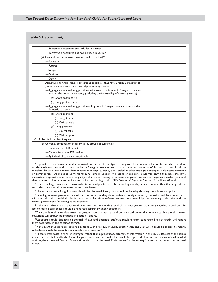#### **Table 6.1** *(continued)*

| -Borrowed or acquired and included in Section I                                                                                                                    |  |
|--------------------------------------------------------------------------------------------------------------------------------------------------------------------|--|
| -Borrowed or acquired but not included in Section I                                                                                                                |  |
| (e) Financial derivative assets (net, marked to market) <sup>14</sup>                                                                                              |  |
| -Forwards                                                                                                                                                          |  |
| -Futures                                                                                                                                                           |  |
| -Swaps                                                                                                                                                             |  |
| -Options                                                                                                                                                           |  |
| $-$ Other                                                                                                                                                          |  |
| (f) Derivatives (forward, futures, or options contracts) that have a residual maturity of<br>greater than one year, which are subject to margin calls.             |  |
| -Aggregate short and long positions in forwards and futures in foreign currencies<br>vis-à-vis the domestic currency (including the forward leg of currency swaps) |  |
| (a) Short positions $(-)$                                                                                                                                          |  |
| (b) Long positions (+)                                                                                                                                             |  |
| -Aggregate short and long positions of options in foreign currencies vis-à-vis the<br>domestic currency                                                            |  |
| (a) Short positions                                                                                                                                                |  |
| (i) Bought puts                                                                                                                                                    |  |
| (ii) Written calls                                                                                                                                                 |  |
| (b) Long positions                                                                                                                                                 |  |
| (i) Bought calls                                                                                                                                                   |  |
| (ii) Written puts                                                                                                                                                  |  |
| (2) To be disclosed less frequently:                                                                                                                               |  |
| (a) Currency composition of reserves (by groups of currencies)                                                                                                     |  |
| -Currencies in SDR basket                                                                                                                                          |  |
| -Currencies not in SDR basket                                                                                                                                      |  |
| -By individual currencies (optional)                                                                                                                               |  |

<sup>1</sup>In principle, only instruments denominated and settled in foreign currency (or those whose valuation is directly dependent on the exchange rate and that are settled in foreign currency) are to be included in categories of Sections I, II, and III of the template. Financial instruments denominated in foreign currency and settled in other ways (for example, in domestic currency or commodities) are included as memorandum items in Section IV. Netting of positions is allowed only if they have the same maturity, are against the same counterparty, and a master netting agreement is in place. Positions on organized exchanges could also be netted. Monetary authorities are defined according to the IMF's *Balance of Payments Manual*, fifth edition *(BPM5)*.

2In cases of large positions vis-à-vis institutions headquartered in the reporting country, in instruments other than deposits or securities, they should be reported as separate items.

<sup>3</sup>The valuation basis for gold assets should be disclosed; ideally this would be done by showing the volume and price.

4Including interest payments due within the corresponding time horizons. Foreign currency deposits held by nonresidents with central banks should also be included here. Securities referred to are those issued by the monetary authorities and the central government (excluding social security).

<sup>5</sup>In the event that there are forward or futures positions with a residual maturity greater than one year, which could be subject to margin calls, these should be reported separately under Section IV.

6Only bonds with a residual maturity greater than one year should be reported under this item, since those with shorter maturities will already be included in Section II above.

7Reporters should distinguish potential inflows and potential outflows resulting from contingent lines of credit and report them separately in the specified format.

<sup>8</sup>In the event that there are options positions with a residual maturity greater than one year, which could be subject to margin calls, these should be reported separately under Section IV.

9These "stress tests" are an encouraged, rather than a prescribed, category of information in the SDDS. Results of the stress tests could be disclosed in the form of a graph. As a rule, notional value should be reported. However, in the case of cash-settled options, the estimated future inflow/outflow should be disclosed. Positions are "in the money" or would be, under the assumed values.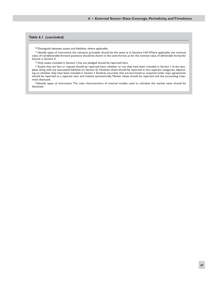#### **6 • External Sector: Data Coverage, Periodicity, andTimeliness**

#### **Table 6.1** *(concluded)*

<sup>10</sup> Distinguish between assets and liabilities, where applicable.

<sup>11</sup> Identify types of instrument; the valuation principles should be the same as in Sections I**–**III. Where applicable, the notional value of nondeliverable forward positions should be shown in the same format as for the nominal value of deliverable forwards/ futures in Section II.

<sup>12</sup> Only assets included in Section I that are pledged should be reported here.

<sup>13</sup> Assets that are lent or repoed should be reported here, whether or not they have been included in Section I of the template, along with any associated liabilities (in Section II). However, these should be reported in two separate categories, depending on whether they have been included in Section I. Similarly, securities that are borrowed or acquired under repo agreements should be reported as a separate item and treated symmetrically. Market values should be reported and the accounting treatment disclosed.

14Identify types of instrument. The main characteristics of internal models used to calculate the market value should be disclosed.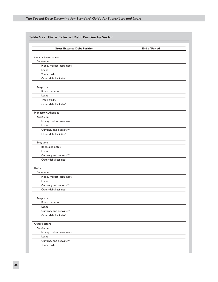| <b>Gross External Debt Position</b>                | <b>End of Period</b> |  |  |  |  |
|----------------------------------------------------|----------------------|--|--|--|--|
| <b>General Government</b>                          |                      |  |  |  |  |
| Short-term                                         |                      |  |  |  |  |
| Money market instruments                           |                      |  |  |  |  |
| Loans                                              |                      |  |  |  |  |
| Trade credits                                      |                      |  |  |  |  |
| Other debt liabilities*                            |                      |  |  |  |  |
|                                                    |                      |  |  |  |  |
| Long-term                                          |                      |  |  |  |  |
| Bonds and notes                                    |                      |  |  |  |  |
| Loans                                              |                      |  |  |  |  |
| Trade credits                                      |                      |  |  |  |  |
| Other debt liabilities*                            |                      |  |  |  |  |
|                                                    |                      |  |  |  |  |
| Monetary Authorities                               |                      |  |  |  |  |
| Short-term                                         |                      |  |  |  |  |
| Money market instruments                           |                      |  |  |  |  |
| Loans                                              |                      |  |  |  |  |
| Currency and deposits**<br>Other debt liabilities* |                      |  |  |  |  |
|                                                    |                      |  |  |  |  |
| Long-term                                          |                      |  |  |  |  |
| Bonds and notes                                    |                      |  |  |  |  |
| Loans                                              |                      |  |  |  |  |
| Currency and deposits**                            |                      |  |  |  |  |
| Other debt liabilities*                            |                      |  |  |  |  |
|                                                    |                      |  |  |  |  |
| <b>Banks</b>                                       |                      |  |  |  |  |
| Short-term                                         |                      |  |  |  |  |
| Money market instruments                           |                      |  |  |  |  |
| Loans                                              |                      |  |  |  |  |
| Currency and deposits**<br>Other debt liabilities* |                      |  |  |  |  |
|                                                    |                      |  |  |  |  |
| Long-term                                          |                      |  |  |  |  |
| Bonds and notes                                    |                      |  |  |  |  |
| Loans                                              |                      |  |  |  |  |
| Currency and deposits**                            |                      |  |  |  |  |
| Other debt liabilities*                            |                      |  |  |  |  |
|                                                    |                      |  |  |  |  |
| Other Sectors                                      |                      |  |  |  |  |
| Short-term                                         |                      |  |  |  |  |
| Money market instruments                           |                      |  |  |  |  |
| Loans                                              |                      |  |  |  |  |
| Currency and deposits**                            |                      |  |  |  |  |
| Trade credits                                      |                      |  |  |  |  |

# **Table 6.2a. Gross External Debt Position by Sector**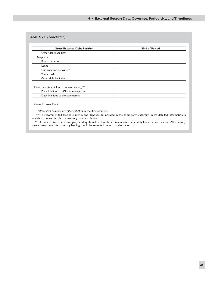#### **6 • External Sector: Data Coverage, Periodicity, andTimeliness**

#### **Table 6.2a** *(concluded)*

| <b>Gross External Debt Position</b>        | <b>End of Period</b> |
|--------------------------------------------|----------------------|
| Other debt liabilities*                    |                      |
| Long-term                                  |                      |
| Bonds and notes                            |                      |
| Loans                                      |                      |
| Currency and deposits**                    |                      |
| Trade credits                              |                      |
| Other debt liabilities*                    |                      |
| Direct Investment: Intercompany Lending*** |                      |
| Debt liabilities to affiliated enterprises |                      |
| Debt liabilities to direct investors       |                      |
|                                            |                      |
| <b>Gross External Debt</b>                 |                      |

*\*Other debt liabilities* are *other liabilities* in the IIP statement.

\*\*It is recommended that all currency and deposits be included in the short-term category unless detailed information is available to make the short-term/long-term attribution.

\*\*\*Direct investment intercompany lending should preferably be disseminated separately from the four sectors. Alternatively, direct investment intercompany lending should be reported under its relevant sector.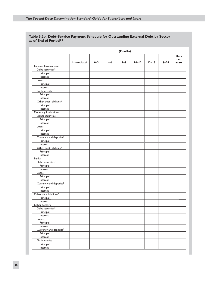|                                     | (Months)               |         |     |         |           |           |           |                      |
|-------------------------------------|------------------------|---------|-----|---------|-----------|-----------|-----------|----------------------|
|                                     | Immediate <sup>3</sup> | $0 - 3$ | 4–6 | $7 - 9$ | $10 - 12$ | $13 - 18$ | $19 - 24$ | Over<br>two<br>years |
| General Government                  |                        |         |     |         |           |           |           |                      |
| Debt securities <sup>3</sup>        |                        |         |     |         |           |           |           |                      |
| Principal                           |                        |         |     |         |           |           |           |                      |
| Interest                            |                        |         |     |         |           |           |           |                      |
| Loans                               |                        |         |     |         |           |           |           |                      |
| Principal                           |                        |         |     |         |           |           |           |                      |
| Interest                            |                        |         |     |         |           |           |           |                      |
| Trade credits                       |                        |         |     |         |           |           |           |                      |
| Principal                           |                        |         |     |         |           |           |           |                      |
| Interest                            |                        |         |     |         |           |           |           |                      |
| Other debt liabilities <sup>4</sup> |                        |         |     |         |           |           |           |                      |
| Principal                           |                        |         |     |         |           |           |           |                      |
| Interest                            |                        |         |     |         |           |           |           |                      |
| Monetary Authorities                |                        |         |     |         |           |           |           |                      |
| Debts securities <sup>3</sup>       |                        |         |     |         |           |           |           |                      |
| Principal                           |                        |         |     |         |           |           |           |                      |
| Interest                            |                        |         |     |         |           |           |           |                      |
| Loans                               |                        |         |     |         |           |           |           |                      |
| Principal                           |                        |         |     |         |           |           |           |                      |
| Interest                            |                        |         |     |         |           |           |           |                      |
| Currency and deposits <sup>5</sup>  |                        |         |     |         |           |           |           |                      |
| Principal                           |                        |         |     |         |           |           |           |                      |
| Interest                            |                        |         |     |         |           |           |           |                      |
| Other debt liabilities <sup>4</sup> |                        |         |     |         |           |           |           |                      |
| Principal                           |                        |         |     |         |           |           |           |                      |
| Interest                            |                        |         |     |         |           |           |           |                      |
| <b>Banks</b>                        |                        |         |     |         |           |           |           |                      |
| Debt securities <sup>3</sup>        |                        |         |     |         |           |           |           |                      |
|                                     |                        |         |     |         |           |           |           |                      |
| Principal                           |                        |         |     |         |           |           |           |                      |
| Interest                            |                        |         |     |         |           |           |           |                      |
| Loans                               |                        |         |     |         |           |           |           |                      |
| Principal                           |                        |         |     |         |           |           |           |                      |
| Interest                            |                        |         |     |         |           |           |           |                      |
| Currency and deposits <sup>5</sup>  |                        |         |     |         |           |           |           |                      |
| Principal                           |                        |         |     |         |           |           |           |                      |
| Interest                            |                        |         |     |         |           |           |           |                      |
| Other debt liabilities <sup>4</sup> |                        |         |     |         |           |           |           |                      |
| Principal                           |                        |         |     |         |           |           |           |                      |
| Interest                            |                        |         |     |         |           |           |           |                      |
| Other Sectors                       |                        |         |     |         |           |           |           |                      |
| Debt securities <sup>3</sup>        |                        |         |     |         |           |           |           |                      |
| Principal                           |                        |         |     |         |           |           |           |                      |
| Interest                            |                        |         |     |         |           |           |           |                      |
| Loans                               |                        |         |     |         |           |           |           |                      |
| Principal                           |                        |         |     |         |           |           |           |                      |
| Interest                            |                        |         |     |         |           |           |           |                      |
| Currency and deposits <sup>5</sup>  |                        |         |     |         |           |           |           |                      |
| Principal                           |                        |         |     |         |           |           |           |                      |
| Interest                            |                        |         |     |         |           |           |           |                      |
| Trade credits                       |                        |         |     |         |           |           |           |                      |
| Principal                           |                        |         |     |         |           |           |           |                      |
| Interest                            |                        |         |     |         |           |           |           |                      |

### **Table 6.2b. Debt-Service Payment Schedule for Outstanding External Debt by Sector as of End of Period1,2**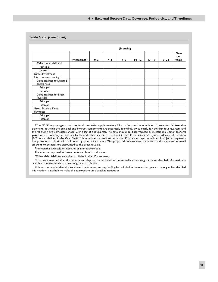#### **6 • External Sector: Data Coverage, Periodicity, andTimeliness**

#### **Table 6.2b.** *(concluded)*

|                                                         | (Months)               |         |         |         |           |           |           |                      |
|---------------------------------------------------------|------------------------|---------|---------|---------|-----------|-----------|-----------|----------------------|
|                                                         | Immediate <sup>3</sup> | $0 - 3$ | $4 - 6$ | $7 - 9$ | $10 - 12$ | $13 - 18$ | $19 - 24$ | Over<br>two<br>years |
| Other debt liabilities <sup>4</sup>                     |                        |         |         |         |           |           |           |                      |
| Principal                                               |                        |         |         |         |           |           |           |                      |
| Interest                                                |                        |         |         |         |           |           |           |                      |
| Direct Investment:<br>Intercompany Lending <sup>6</sup> |                        |         |         |         |           |           |           |                      |
| Debt liabilities to affiliated<br>enterprises           |                        |         |         |         |           |           |           |                      |
| Principal                                               |                        |         |         |         |           |           |           |                      |
| Interest                                                |                        |         |         |         |           |           |           |                      |
| Debt liabilities to direct<br>investors                 |                        |         |         |         |           |           |           |                      |
| Principal                                               |                        |         |         |         |           |           |           |                      |
| Interest                                                |                        |         |         |         |           |           |           |                      |
| Gross External Debt<br>Payments                         |                        |         |         |         |           |           |           |                      |
| Principal                                               |                        |         |         |         |           |           |           |                      |
| Interest                                                |                        |         |         |         |           |           |           |                      |

1The SDDS encourages countries to disseminate supplementary information on the schedule of projected debt-service payments, in which the principal and interest components are separately identified, twice yearly for the first four quarters and the following two semesters ahead, with a lag of one quarter. The data should be disaggregated by institutional sector (general government, monetary authorities, banks, and other sectors), as set out in the IMF's *Balance of Payments Manual,* fifth edition (*BPM5*), and defined in the *Debt Guide*. This schedule is consistent with the SDDS encouraged schedule of projected payments but presents an additional breakdown by type of instrument. The projected debt-service payments are the expected nominal amounts to be paid, not discounted to the present value.

2Immediately available on demand or immediately due.

3Includes money market instruments and bonds and notes.

4Other debt liabilities are other liabilities in the IIP statement.

<sup>5</sup>lt is recommended that all currency and deposits be included in the immediate subcategory unless detailed information is available to make the short-term/long-term attribution.

<sup>6</sup>It is recommended that all direct investment intercompany lending be included in the over two years category unless detailed information is available to make the appropriate time bracket attribution.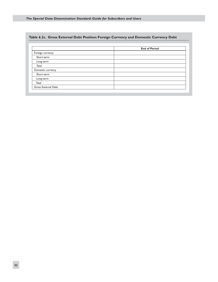# **Table 6.2c. Gross External Debt Position: Foreign Currency and Domestic Currency Debt**

|                     | <b>End of Period</b> |
|---------------------|----------------------|
| Foreign currency    |                      |
| Short-term          |                      |
| Long-term           |                      |
| <b>Total</b>        |                      |
| Domestic currency   |                      |
| Short-term          |                      |
| Long-term           |                      |
| Total               |                      |
| Gross External Debt |                      |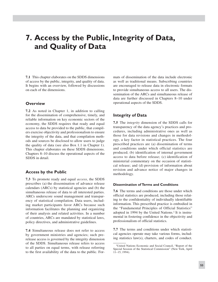# **7. Access by the Public, Integrity of Data, and Quality of Data**

**7.1** This chapter elaborates on the SDDS dimensions of access by the public, integrity, and quality of data. It begins with an overview, followed by discussions on each of the dimensions.

## **Overview**

**7.2** As noted in Chapter 1, in addition to calling for the dissemination of comprehensive, timely, and reliable information on key economic sectors of the economy, the SDDS requires that ready and equal access to data be provided to the public, that compilers exercise objectivity and professionalism to ensure the integrity of the data, and that compilation methods and sources be disclosed to allow users to judge the quality of data (see also Box 1.1 in Chapter 1). This chapter elaborates on these SDDS dimensions. Chapters 8–10 discuss the operational aspects of the SDDS in detail.

## **Access by the Public**

**7.3** To promote ready and equal *access*, the SDDS prescribes (a) the dissemination of advance release calendars (ARCs) by statistical agencies and (b) the simultaneous release of data to all interested parties. ARCs underscore sound management and transparency of statistical compilation. Data users, including market participants favor ARCs because such information facilitates the planning and organizing of their analysis and related activities. In a number of countries, ARCs are mandated by statistical laws, policy directives, and administrative guidelines.

**7.4** Simultaneous release does not refer to access by government ministries and agencies; such prerelease access is governed by the integrity dimension of the SDDS. Simultaneous release refers to access to all parties on equal terms, with release referring to the first availability of the data to the public. Formats of dissemination of the data include electronic as well as traditional means. Subscribing countries are encouraged to release data in electronic formats to provide simultaneous access to all users. The dissemination of the ARCs and simultaneous release of data are further discussed in Chapters 8–10 under operational aspects of the SDDS.

# **Integrity of Data**

**7.5** The *integrity* dimension of the SDDS calls for transparency of the data agency's practices and procedures, including administrative ones as well as those for data revisions and changes in methodology, a key factor in statistical practices. The four prescribed practices are (a) dissemination of terms and conditions under which official statistics are produced; (b) identification of internal government access to data before release; (c) identification of ministerial commentary on the occasion of statistical release; and (d) provision of information about revision and advance notice of major changes in methodology.

### **Dissemination of Terms and Conditions**

**7.6** The terms and conditions are those under which official statistics are produced, including those relating to the confidentiality of individually identifiable information. This prescribed practice is embodied in the "Fundamental Principles of Official Statistics" adopted in 1994 by the United Nations.<sup>1</sup> It is instrumental in fostering confidence in the objectivity and professionalism of official statistics.

**7.7** The terms and conditions under which statistical agencies operate may take various forms, including statistics law(s), charters, and codes of conduct.

<sup>1</sup>United Nations Economic and Social Council, "Report of the Special Session of the Statistical Commission" (New York, April 11–15, 1994).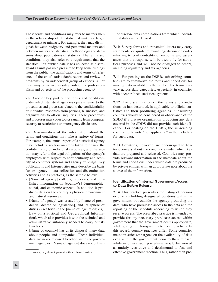These terms and conditions may refer to matters such as the relationship of the statistical unit to a larger department or ministry. For example, they may distinguish between budgetary and personnel matters and between matters on statistical methodology and decisions about publications of statistics. The terms and conditions may also refer to a requirement that the statistical unit publish data it has collected as a safeguard against possible pressure to keep some findings from the public, the qualifications and terms of reference of the chief statistician/director, and review of programs by an independent group of experts. All of these may be viewed as safeguards of the professionalism and objectivity of the producing agency.2

**7.8** Another key part of the terms and conditions under which statistical agencies operate refers to the procedures and processes related to the confidentiality of individual responses from persons, businesses, and organizations to official inquiries. These procedures and processes may cover topics ranging from computer security to restrictions on interagency disclosure.

**7.9** Dissemination of the information about the terms and conditions may take a variety of forms. For example, the annual report of a statistical agency may include a section on steps taken to ensure the confidentiality of individual responses, and the section may refer to the legal obligations of the agency's employees with respect to confidentiality and security of computer systems and agency buildings. Key publications and Internet sites may describe the basis for an agency's data collection and dissemination activities and its practices, as the sample below:

- [Name of agency] collects, processes, and publishes information on [country's] demographic, social, and economic aspects. In addition it produces data on the country's physical environment and natural resources.
- [Name of agency] was created by [name of presidential decree or legislation], and its sphere of duties is set forth in the [name of legislation; e.g., Law on Statistical and Geographical Information], which also provides it with the technical and administrative autonomy needed to carry out its functions.
- [Name of country] has at its disposal many data about people and companies. These individual data are never released to other parties or government agencies. [Name of agency] does not publish

or disclose data combinations from which individual data can be derived.

**7.10** Survey forms and transmittal letters may carry statements or quote relevant legislation or codes referring to confidentiality of response and assurances that the response will be used only for statistical purposes and will not be divulged to others, including regulatory and tax agencies.

**7.11** For posting on the DSBB, subscribing countries are to summarize the terms and conditions for making data available to the public. The terms may vary across data categories, especially in countries with decentralized statistical systems.

**7.12** The dissemination of the terms and conditions, as just described, is applicable to official statistics and their producing agencies. Subscribing countries would be considered in observance of the SDDS if a private organization producing any data covered in the SDDS did not provide such identification. For posting on the DSBB, the subscribing country could note "not applicable" in the metadata for such data.

**7.13** Countries, however, are encouraged to foster openness about the conditions under which key data are prepared and released. Countries may provide relevant information in the metadata about the terms and conditions under which data are produced by private entities with an appropriate note about the source of the information.

#### **Identification of Internal Government Access to Data Before Release**

**7.14** This practice prescribes the listing of persons or officials holding designated positions within the government, but outside the agency producing the data, who have prerelease access to the data and the reporting of the schedule according to which they receive access. The prescribed practice is intended to provide for any necessary prerelease access within government that the government deems appropriate, while giving full transparency to those practices. In this regard, country practices differ. Some countries maintain strict embargoes on the availability of data even within the government prior to their release, while in others such procedures would be viewed as unduly restrictive and detrimental to fast and effective government reaction. Thus, rather than pre-

<sup>2</sup>However, they do not guarantee these characteristics.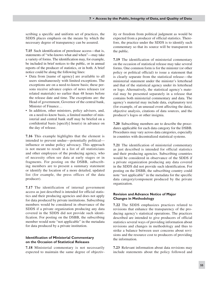scribing a specific and uniform set of practices, the SDDS places emphasis on the means by which the necessary degree of transparency can be assured.

**7.15** Such identification of prerelease access—that is, statements of "who knows what and when"—may take a variety of forms. The identification may, for example, be included in brief notices to the public, or in annual reports of the producer of statistics, or in both. A brief notice could be along the following lines:

- Data from [name of agency] are available to all users simultaneously with limited exceptions. The exceptions are on a need-to-know basis; these persons receive advance copies of news releases (or related materials) no earlier than 48 hours before the release date and time. The exceptions are: the Head of government, Governor of the central bank, Minister of Finance…
- In addition, other ministers, policy advisers, and, on a need-to-know basis, a limited number of ministerial and central bank staff may be briefed on a confidential basis [specify] hour(s) in advance on the day of release.

**7.16** This example highlights that the element is intended to prevent undue—potentially political influence or undue policy advocacy. This approach is not meant to result in a list of all statisticians and other employees of the producing agency, who of necessity often see data at early stages or in fragments. For posting on the DSBB, subscribing members are to present a summary statement or identify the location of a more detailed, updated list (for example, the press offices of the data producer).

**7.17** The identification of internal government access as just described is intended for official statistics and their producing agencies and does not apply for data produced by private institutions. Subscribing members would be considered in observance of the SDDS if a private organization producing any data covered in the SDDS did not provide such identification. For posting on the DSBB, the subscribing member would note "not applicable" in the metadata for data produced by a private institution.

### **Identification of Ministerial Commentary on the Occasion of Statistical Releases**

**7.18** Ministerial commentary is not necessarily expected to maintain the same degree of objectivity or freedom from political judgment as would be expected from a producer of official statistics. Therefore, the practice under the SDDS is to identify such commentary so that its source will be transparent to the public.

**7.19** The identification of ministerial commentary on the occasion of statistical release may take several forms. One common form is for the minister (or other policy or political official) to issue a statement that is clearly separate from the statistical release—the ministerial statement under the minister's letterhead and that of the statistical agency under its letterhead or logo. Alternatively, the statistical agency's material may be presented separately in a release that contains both ministerial commentary and data. The agency's material may include data, explanatory text (for example, of an unusual event affecting the data), objective analysis, citations of data sources, and the producer's logos or other insignia.

**7.20** Subscribing members are to describe the procedures applicable for each data category for the DSBB. Procedures may vary across data categories, especially in countries with decentralized statistical systems.

**7.21** The identification of ministerial commentary as just described is intended for official statistics and their producing agencies. Subscribing countries would be considered in observance of the SDDS if a private organization producing any data covered in the SDDS did not provide such identification. For posting on the DSBB, the subscribing country could note "not applicable" in the metadata for the specific data category/component produced by the private organization.

#### **Revision and Advance Notice of Major Changes in Methodology**

**7.22** The SDDS emphasizes practices related to revisions that enhance the transparency of the producing agency's statistical operations. The practices described are intended to give producers of official statistics several ways of providing information about revisions and changes in methodology and thus to strike a balance between user concerns about revisions and the resource cost to producers of providing the information.

**7.23** Relevant information about data revisions may include statements about the policy followed and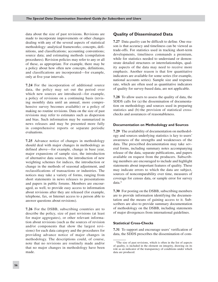data about the size of past revisions. Revisions are made to incorporate improvements or other changes dealing with any of the several aspects of statistical methodology: analytical frameworks; concepts, definitions, and classifications; accounting conventions; source data; and estimating methods (compilation procedures). Revision policies may refer to any or all of these, as appropriate. For example, there may be a policy about how often new concepts, definitions, and classifications are incorporated—for example, only at five-year intervals.

**7.24** For the incorporation of additional source data, the policy may set out the period over which new sources are introduced—for example, a policy of revisions on a continuing basis (revising monthly data until an annual, more comprehensive survey becomes available) or a policy of making no routine revisions. Data on the size of past revisions may refer to estimates such as dispersion and bias. Such information may be summarized in news releases and may be presented more fully in comprehensive reports or separate periodic evaluations.

**7.25** Advance notice of changes in methodology should deal with major changes in methodology as defined above—for example, change in base year, major expansions of sample size, the introduction of alternative data sources, the introduction of new weighting schemes for indices, the introduction or change in the methods of seasonal adjustment, and reclassifications of transactions or industries. The notices may take a variety of forms, ranging from short statements in news releases to presentations and papers in public forums. Members are encouraged, as well, to provide easy access to information about revisions after they are released (for example, telephone, fax, or Internet access to a person able to answer questions about revisions).

**7.26** For the DSBB, subscribing countries are to describe the policy, size of past revisions (at least for major aggregates), or other relevant information about revisions (such as the sources of revision and/or components that show the largest revisions) for each data category and the procedures for providing advance notice of major changes in methodology. The descriptions could, of course, note that no revisions are routinely made and/or that no major changes in methodology have been made.

# **Quality of Disseminated Data**

**7.27** Data *quality* can be difficult to define. One reason is that accuracy and timeliness can be viewed as trade-offs. For statistics used in tracking short-term developments, timeliness commands a premium, while for statistics needed to understand or demonstrate detailed structures or interrelationships, quality aspects of the data may need to receive more emphasis. Another reason is that few quantitative indicators are available for some series (for example, national accounts series). Sample size and response rate, which are often used as quantitative indicators of quality for survey-based data, are not applicable.

**7.28** To allow users to assess the quality of data, the SDDS calls for (a) the dissemination of documentation on methodology and sources used in preparing statistics and (b) the provision of statistical crosschecks and assurances of reasonableness.

#### **Documentation on Methodology and Sources**

**7.29** The availability of documentation on methodology and sources underlying statistics is key to users' awareness of the strengths and weaknesses of the data. The prescribed documentation may take several forms, including summary notes accompanying release of the data, separate publications, and papers available on request from the producers. Subscribing members are encouraged to include and highlight statements about important features of quality. These may indicate errors to which the data are subject, sources of noncomparability over time, measures of coverage for census data, or sample error for survey data.3

**7.30** For posting on the DSBB, subscribing members are to provide information identifying the documentation and the means of gaining access to it. Subscribers are also to provide summary documentation of methodology on the DSBB, including statements of major divergences from international guidelines.

#### **Statistical Cross-Checks**

**7.31** To support and encourage users' verification of data, the SDDS prescribes the dissemination of com-

<sup>3</sup>The size of past revisions, which is often in the list of aspects of quality, is included in the element on integrity, drawing on its role as an indicator of the transparency of conditions under which data are produced.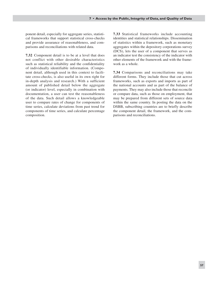ponent detail, especially for aggregate series, statistical frameworks that support statistical cross-checks and provide assurance of reasonableness, and comparisons and reconciliations with related data.

**7.32** Component detail is to be at a level that does not conflict with other desirable characteristics such as statistical reliability and the confidentiality of individually identifiable information. (Component detail, although used in this context to facilitate cross-checks, is also useful in its own right for in-depth analysis and research.) With a sufficient amount of published detail below the aggregate (or indicator) level, especially in combination with documentation, a user can test the reasonableness of the data. Such detail allows a knowledgeable user to compare rates of change for components of time series, calculate deviations from past trend for components of time series, and calculate percentage composition.

**7.33** Statistical frameworks include accounting identities and statistical relationships. Dissemination of statistics within a framework, such as monetary aggregates within the depository corporations survey (DCS), lets the user of a component that serves as an indicator test the consistency of the indicator with other elements of the framework and with the framework as a whole.

**7.34** Comparisons and reconciliations may take different forms. They include those that cut across frameworks, such as exports and imports as part of the national accounts and as part of the balance of payments. They may also include those that reconcile or compare data, such as those on employment, that may be prepared from different sets of source data within the same country. In posting the data on the DSBB, subscribing countries are to briefly describe the component detail, the framework, and the comparisons and reconciliations.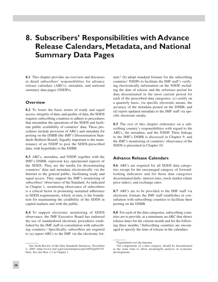# **8. Subscribers' Responsibilities with Advance Release Calendars, Metadata, and National Summary Data Pages**

**8.1** This chapter provides an overview and discusses in detail subscribers' responsibilities for advance release calendars (ARCs), metadata, and national summary data pages (NSDPs).

### **Overview**

**8.2** To foster the basic tenets of ready and equal access, integrity of data, and quality of data, the SDDS requires subscribing countries to adhere to procedures that streamline the operations of the SDDS and facilitate public availability of countries' data. These procedures include provision of ARCs and metadata for posting on the DSBB (the IMF's Dissemination Standards Bulletin Board). Equally important is the maintenance of an NSDP to post the SDDS-prescribed data, with hyperlinks to the DSBB.

**8.3** ARCs, metadata, and NSDP, together with the IMF's DSBB, represent key operational aspects of the SDDS. They are the media for disseminating countries' data and metadata electronically via the Internet to the general public, facilitating ready and equal access. They support the IMF's monitoring of subscribers' observance of the Standard. As indicated in Chapter 1, monitoring observance of subscribers is a critical factor in promoting sustained adherence to SDDS requirements, which, in turn, is the foundation for maintaining the credibility of the SDDS in capital markets and with the public.

**8.4** To support electronic monitoring of SDDS observance, the IMF Executive Board has endorsed the use of standardized electronic procedures established by the IMF staff in consultation with subscribing countries.1 Specifically, subscribers are required to (a) report ARCs to the IMF via the electronic for-

1See Sixth Review of the Data Standards Initiatives, November 2, 2005 (http://www.imf.org/external/np/sec/pn/2005/pn05155. htm). See also Box 1.2 in Chapter 1.

mat;2 (b) adopt standard formats for the subscribing countries' NSDPs to facilitate the IMF staff's verifying electronically information on the NSDP, including the date of release and the reference period for data disseminated in the most current period for each of the prescribed data categories; (c) certify on a quarterly basis, via specific electronic means, the accuracy of the metadata posted on the DSBB; and (d) report updated metadata to the IMF staff via specific electronic media.

**8.5** The rest of this chapter elaborates on a subscribing country's responsibilities with regard to the ARCs, the metadata, and the NSDP. Their linkage to the IMF's DSBB is discussed in Chapter 9, and the IMF's monitoring of countries' observance of the SDDS is presented in Chapter 10.

# **Advance Release Calendars**

**8.6** ARCs are required for all SDDS data categories except for the encouraged category of forwardlooking indicators and for those data categories disseminated daily: interest rates, stock market (share price index), and exchange rates.

**8.7** ARCs are to be provided to the IMF staff via electronic formats the IMF staff establishes in consultation with subscribing countries to facilitate their posting on the DSBB.

**8.8** For each of the data categories, subscribing countries are to provide, at a minimum, an ARC that shows release dates for the current month and for the following three months.3 Subscribing countries are encouraged to specify the time of release in the calendars.

<sup>2</sup>Transmitted over the Internet.

<sup>3</sup>All components of a data category should be disseminated at the same time to allow meaningful analysis of economic developments.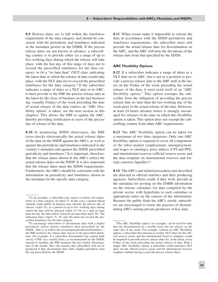**8.9** Release dates are to fall within the timeliness requirement of the data category and should be consistent with the periodicity and timeliness indicated in the metadata posted on the DSBB. If the precise release dates are not known in advance, a subscribing country is to provide either (a) a range of up to five working days during which the release will take place, with the last day of this range of days not to exceed the prescribed timeliness for the data category; or (b) a "no later than" (NLT) date, indicating the latest date at which the release of data would take place, with the NLT date not to exceed the prescribed timeliness for the data category.<sup>4</sup> If the subscriber indicates a range of dates or a NLT date in its ARC, it must provide to the IMF the precise release date at the latest by the close of business on the last business day (usually Friday) of the week preceding the date of actual release of the data (unless an "ARC flexibility option" is taken; see the next section in this chapter). This allows the IMF to update the ARC, thereby providing notification to users of the precise day of release of the data.

**8.10** In monitoring SDDS observance, the IMF cross-checks electronically the actual release dates of the data on the NSDP against the ARCs, as well as against the periodicity and timeliness indicated in the country's metadata and against the SDDS prescribed periodicity and timeliness.5 It is important, therefore, that the release dates shown in the ARCs reflect the actual release dates on the NSDP. It is also important that the release dates meet the SDDS requirements. Furthermore, the ARCs should be consistent with the information on periodicity and timeliness shown in the metadata for the specific data category.

**8.11** When events make it impossible to release the data in accordance with the SDDS periodicity and timeliness requirements, the subscriber must still provide the actual release date for dissemination on the ARC, and the ARC will note the deviations of the release date from that specified by the SDDS.

#### **ARC Flexibility Options**

**8.12** If a subscriber indicates a range of dates or a NLT date on its ARC, but is not in a position to provide a precise release date to the IMF staff at the latest on the Friday of the week preceding the actual release of the data, it must avail itself of an "ARC flexibility option." This option exempts the subscriber from the obligation of providing the precise release date no later than the last working day of the week prior to the actual release of the data. However, at least 24 hours advance notice is strongly encouraged for releases of the data on which this flexibility option is taken. This option does not exempt the subscribing country from other ARC requirements.

**8.13** The ARC flexibility option can be taken for a maximum of two data categories. Only one ARC flexibility option is required to cover all components of the labor market (employment, unemployment, and wages or earnings), price indices (CPI and PPI), and international reserves (official reserve assets and the data template on international reserves and foreign currency liquidity).6

**8.14** The ARCs and related procedures just described are directed to official statistics and their producing agencies. Subscribers could, if they wish, provide in the metadata for posting on the DSBB information on the release calendars for data compiled by the private sector, with hyperlinks to such calendars or appropriate notes on the sources of the information. Because the public finds the ARCs useful, subscribers are encouraged to foster the practice of disseminating ARCs among private producers of key data.

<sup>4</sup>As an example, a subscriber may expect to release all components of a data category on April 15. In this case, a quarter-ahead calendar made public in January may identify the precise day of release (April 15), or a period of up to five working days during which the data will be released (April 15–19), or a date no later than the day the data will be released (no later than April 30). The indicated dates (April 15, 19, and 30) must not exceed the prescribed timeliness for the data category.

<sup>5</sup>To encourage subscribers to disseminate data with a higher periodicity and/or shorter timeliness than prescribed by the SDDS—that is, to follow the encouraged periodicity/timeliness the IMF monitors the release date closest to the prescribed timeliness. For example, if a subscriber disseminates the central bank survey (CBS) on a weekly basis, as recommended by the SDDS, instead of monthly, the IMF monitors the last weekly dissemination of the month. This rule ensures that subscribers will not be penalized if they disseminate data with a higher periodicity than the one prescribed by the SDDS.

<sup>6</sup>The ARC flexibility option, for example, can be used for data that are disseminated on a weekly basis but not always on the same day of the week. For example, without an ARC flexibility option, a subscriber that announces weekly NLT dates for the official reserve assets and the international reserves template would be required to provide precise release dates by, at the latest, every Friday of the week preceding the actual release of data. With a single ARC flexibility option, a subscriber could announce NLT dates for the official reserve assets and the international reserves template without having to provide precise release dates.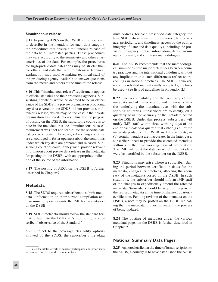#### **Simultaneous release**

**8.15** In posting ARCs on the DSBB, subscribers are to describe in the metadata for each data category the procedures that ensure simultaneous release of the data to all interested parties. These procedures may vary according to the sensitivity and other characteristics of the data. For example, the procedures for high-profile data categories may be stricter than for others, and data that require extensive technical explanation may involve making technical staff of the producing agency available to answer questions from the media and others at the time of the release.

**8.16** This "simultaneous release" requirement applies to official statistics and their producing agencies. Subscribing countries would be deemed to be in observance of the SDDS if a private organization producing any data covered in the SDDS did not provide simultaneous release, which may be the case if the private organization has private clients. Thus, for the purpose of posting on the DSBB, the subscribing country is to note in the metadata that the "simultaneous release" requirement was "not applicable" for the specific data category/component. However, subscribing countries are encouraged to foster openness about the conditions under which key data are prepared and released. Subscribing countries could, if they wish, provide relevant information about private data release in the metadata for posting on the DSBB, with an appropriate indication of the source of the information.

**8.17** The posting of ARCs on the DSBB is further described in Chapter 9.

#### **Metadata**

**8.18** The SDDS requires subscribers to submit metadata—information on their current compilation and dissemination practices—to the IMF for presentation on the DSBB.

**8.19** SDDS metadata should follow the standard format to facilitate the IMF staff's monitoring of subscribers' observance of the Standard.7

**8.20** Subject to the coverage flexibility options allowed by the SDDS, the subscriber's metadata must address, for each prescribed data category, the four SDDS dissemination dimensions (data coverage, periodicity, and timeliness; access by the public; integrity of data; and data quality), including the provision of agency contact information, data dissemination formats, and summary methodologies.

**8.21** The SDDS recommends that the methodological summaries note major differences between country practices and the international guidelines, without any implication that such differences reflect shortcomings in national practices. The SDDS, however, recommends that internationally accepted guidelines be used. (See lists of guidelines in Appendix II.)

**8.22** The responsibility for the accuracy of the metadata and of the economic and financial statistics underlying the metadata rests with the subscribing countries. Subscribers are to certify, on a quarterly basis, the accuracy of the metadata posted on the DSBB. Under this process, subscribers will notify IMF staff, within three working days of the end of each calendar quarter, that either (a) all of the metadata posted on the DSBB are fully accurate; or (b) certain metadata are inaccurate. In the latter case, subscribers need to provide the corrected metadata within a further five working days of notification. The IMF will post the date on which the metadata were last certified by the subscriber on the DSBB.

**8.23** Situations may arise where a subscriber, during the period between certification dates for the metadata, changes its practices, affecting the accuracy of the metadata posted on the DSBB. In such situations, the subscriber should inform IMF staff of the changes to expeditiously amend the affected metadata. Subscribers would be required to provide the revised metadata at the time of the next quarterly certification. Pending revision of the metadata on the DSBB, a note may be posted on the DSBB indicating that the metadata in question were in the process of being updated.

**8.24** The posting of metadata under the various metadata pages on the DSBB is further described in Chapter 9.

#### **National Summary Data Pages**

**8.25** As noted earlier, at the time of its subscription to the SDDS, a country is to have established the NSDP

<sup>7</sup>It also facilitates efforts of market participants and other users to compare practices of different countries.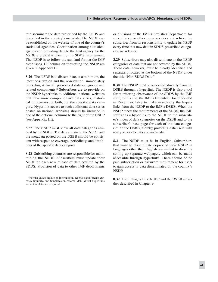to disseminate the data prescribed by the SDDS and described in the country's metadata. The NSDP can be established on the website of one of the country's statistical agencies. Coordination among statistical agencies in providing data to the host agency for the NSDP is critical to meeting this SDDS requirement. The NSDP is to follow the standard format the IMF establishes. Guidelines on formatting the NSDP are given in Appendix III.

**8.26** The NSDP is to disseminate, at a minimum, the latest observation and the observation immediately preceding it for all prescribed data categories and related components.8 Subscribers are to provide on the NSDP hyperlinks to additional national websites that have more comprehensive data series, historical time series, or both, for the specific data category. Hyperlink access to such additional data series posted on national websites should be included in one of the optional columns to the right of the NSDP (see Appendix III).

**8.27** The NSDP must show all data categories covered by the SDDS. The data shown on the NSDP and the metadata posted on the DSBB should be consistent with respect to coverage, periodicity, and timeliness of the specific data category.

**8.28** Subscribing countries are responsible for maintaining the NSDP. Subscribers must update their NSDP on each new release of data covered by the SDDS. Provision of data to other IMF departments or divisions of the IMF's Statistics Department for surveillance or other purposes does not relieve the subscriber from its responsibility to update its NSDP every time that new data in SDDS-prescribed categories are released.

**8.29** Subscribers may also disseminate on the NSDP categories of data that are not covered by the SDDS. These data, however, must be clearly identified and separately located at the bottom of the NSDP under the title "Non-SDDS Data."

**8.30** The NSDP must be accessible directly from the DSBB through a hyperlink. The NSDP is also a tool for monitoring observance of the SDDS by the IMF staff; to this end, the IMF's Executive Board decided in December 1998 to make mandatory the hyperlinks from the NSDP to the IMF's DSBB. When the NSDP meets the requirements of the SDDS, the IMF staff adds a hyperlink to the NSDP to the subscriber's index of data categories on the DSBB and to the subscriber's base page for each of the data categories on the DSBB, thereby providing data users with ready access to data and metadata.

**8.31** The NSDP must be in English. Subscribers that want to disseminate copies of their NSDP in languages other than English are invited to do so by setting up separate webpages, which can be made accessible through hyperlinks. There should be no paid subscription or password requirement for users to gain access to data disseminated on the country's NSDP.

**8.32** The linkage of the NSDP and the DSBB is further described in Chapter 9.

<sup>8</sup>For the data template on international reserves and foreign currency liquidity, and templates on external debt, direct hyperlinks to the templates are required.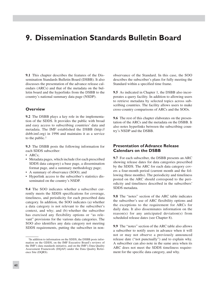# **9. Dissemination Standards Bulletin Board**

**9.1** This chapter describes the features of the Dissemination Standards Bulletin Board (DSBB). It also discusses the presentation of the advance release calendars (ARCs) and that of the metadata on the bulletin board and the hyperlinks from the DSBB to the country's national summary data page (NSDP).

#### **Overview**

**9.2** The DSBB plays a key role in the implementation of the SDDS. It provides the public with broad and easy access to subscribing countries' data and metadata. The IMF established the DSBB (http:// dsbb.imf.org) in 1996 and maintains it as a service to the public.1

**9.3** The DSBB posts the following information for each SDDS subscriber:

- ARCs;
- Metadata pages, which include (for each prescribed SDDS data category) a base page, a dissemination format page, and a summary methodology page;
- A summary of observance (SOO); and
- Hyperlink access to the subscriber's statistics dis-• seminated on the country's NSDP.

**9.4** The SOO indicates whether a subscriber currently meets the SDDS specifications for coverage, timeliness, and periodicity for each prescribed data category. In addition, the SOO indicates (a) whether a data category is not relevant to the subscriber's context, and why; and (b) whether the subscriber has exercised any flexibility options or "as relevant" provisions for the various data categories. The SOO also identifies any data category not meeting SDDS requirements, putting the subscriber in nonobservance of the Standard. In this case, the SOO describes the subscriber's plans for fully meeting the Standard within a specified time frame.

**9.5** As indicated in Chapter 1, the DSBB also incorporates a query facility. In addition to allowing users to retrieve metadata by selected topics across subscribing countries. The facility allows users to make cross-country comparisons of ARCs and the SOOs.

**9.6** The rest of this chapter elaborates on the presentation of the ARCs and the metadata on the DSBB. It also notes hyperlinks between the subscribing country's NSDP and the DSBB.

## **Presentation of Advance Release Calendars on the DSBB**

**9.7** For each subscriber, the DSBB presents an ARC showing release dates for data categories prescribed by the SDDS. The ARC for each data category covers a four-month period (current month and the following three months). The periodicity and timeliness posted on the ARC should correspond to the periodicity and timeliness described in the subscribers' SDDS metadata.

**9.8** The "notes" section of the ARC table indicates the subscriber's use of ARC flexibility options and the exceptions to the requirement for ARCs for daily data. It also disseminates information on the reason(s) for any anticipated deviation(s) from scheduled release dates (see Chapter 8).

**9.9** The "notes" section of the ARC table also allows a subscriber to notify users in advance when it will not or may not observe a previously announced release date ("not punctually") and to explain why. A subscriber can also note in the same area when its ARC does not meet the SDDS timeliness requirement for the specific data category, and why.

<sup>1</sup>In addition to information on the SDDS, the DSBB posts information on the GDDS, on the IMF Executive Board's reviews of the IMF's data standards initiative, and on the IMF's Data Quality Assessment Framework (DQAF) under the Data Quality Reference Site (DQRS).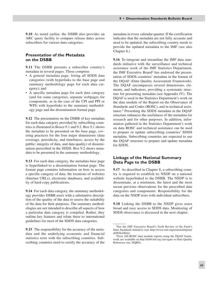**9.10** As noted earlier, the DSBB also provides an ARC query facility to compare release dates across subscribers for various data categories.

#### **Presentation of the Metadata on the DSBB**

**9.11** The DSBB presents a subscriber country's metadata in several pages. These comprise:

- A general metadata page, listing all SDDS data categories (with hyperlinks to the base page and summary methodology page for each data category); and
- A specific metadata page for each data category (and for some categories, separate webpages for components, as in the case of the CPI and PPI or WPI) with hyperlinks to the summary methodology page and the dissemination format page.

**9.12** The presentation on the DSBB of key metadata for each data category provided by subscribing countries is illustrated in Boxes 9.1 and 9.2. Box 9.1 shows the metadata to be presented on the base page, covering practices for the four major dimensions (data coverage, periodicity, and timeliness; access by the public; integrity of data, and data quality) of dissemination prescribed in the SDDS. Box 9.2 shows metadata to be presented in the summary methodology.

**9.13** For each data category, the metadata base page is hyperlinked to a dissemination format page. The format page contains information on how to access a specific category of data, the locations of websites (Internet URLs), electronic databases, and availability of hard-copy publications.

**9.14** For each data category, the summary methodology provides DSBB users with a substantive description of the quality of the data to assess the suitability of the data for their purposes. The summary methodologies are not intended to describe all aspects of how a particular data category is compiled. Rather, they outline key features and relate these to international guidelines for most of the SDDS data categories.

**9.15** The responsibility for the accuracy of the metadata and the underlying economic and financial statistics rests with the subscribing countries. Subscribing countries need to certify the accuracy of the

metadata in every calendar quarter. If the certification indicates that the metadata are not fully accurate and need to be updated, the subscribing country needs to provide the updated metadata to the IMF (see also Chapter 8.)

**9.16** To integrate and streamline the IMF data standards initiative with the surveillance and technical assistance work of the IMF Statistics Department, the IMF Executive Board2 has endorsed the presentation of SDDS countries' metadata in the format of the DQAF (Data Quality Assessment Framework). The DQAF encompasses several dimensions, elements, and indicators, providing a systematic structure for presenting metadata (see Appendix IV). The DQAF is used in the Statistics Department's work on the data module of the Report on the Observance of Standards and Codes (ROSC), and in technical assistance.3 Presenting the SDDS metadata in the DQAF structure enhances the usefulness of the metadata for research and for other purposes. In addition, information gathered in the Statistics Department's work on data ROSC and technical assistance can be used to prepare or update subscribing countries' SDDS metadata. Subscribing countries are expected to use the DQAF structure to prepare and update metadata for SDDS.

#### **Linkage of the National Summary Data Page to the DSBB**

**9.17** As described in Chapter 8, a subscribing country is required to establish its NSDP on a national website hyperlinked to the DSBB. The NSDP is to disseminate, at a minimum, the latest and the most recent previous observations for the prescribed data categories and components. Responsibility for the data on the NSDP rests with individual subscribers.

**9.18** Linking the DSBB to the NSDP gives users broad and easy access to SDDS data. Monitoring of SDDS observance is discussed in the next chapter.

<sup>2</sup>See the IMF Executive Board's Sixth Review of the Fund's Data Standards Initiative (see http://www.imf.org/external/np/sta/ dsbb/list/htm).

<sup>3</sup>Over 100 ROSC data module reports using the DQAF framework are available on http://dsbb.imf.org (navigate to Data Quality Reference site, DQRS).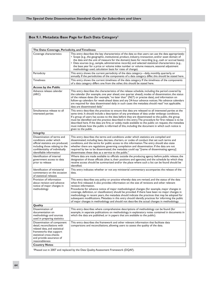# **Box 9.1. Metadata: Base Page for Each Data Category1**

| The Data: Coverage, Periodicity, and Timeliness                                                                                                                                                                          |                                                                                                                                                                                                                                                                                                                                                                                                                                                                                                                                                                                                                                                                                                                                           |  |  |
|--------------------------------------------------------------------------------------------------------------------------------------------------------------------------------------------------------------------------|-------------------------------------------------------------------------------------------------------------------------------------------------------------------------------------------------------------------------------------------------------------------------------------------------------------------------------------------------------------------------------------------------------------------------------------------------------------------------------------------------------------------------------------------------------------------------------------------------------------------------------------------------------------------------------------------------------------------------------------------|--|--|
| Coverage characteristics                                                                                                                                                                                                 | This entry describes the key characteristics of the data so that users can use the data appropriately:<br>• Scope (e.g., the geographic, institutional, product, industry, transaction, and/or asset domain of<br>the data and the unit of measure for the domain); basis for recording (e.g., cash or accrual basis);<br>• Data sources (e.g., sample, administrative records); and selected statistical characteristics (e.g.,<br>the base year for a price or volume index number or volume measure, seasonal adjustment<br>methodology used, calculation basis for rates of change).                                                                                                                                                  |  |  |
| Periodicity                                                                                                                                                                                                              | This entry shows the current periodicity of the data category-daily, monthly, quarterly, or<br>annually. If the periodicities of the components of a data category differ, this should be stated here.                                                                                                                                                                                                                                                                                                                                                                                                                                                                                                                                    |  |  |
| <b>Timeliness</b>                                                                                                                                                                                                        | This entry shows the current timeliness of the data category. If the timeliness of the components<br>of a data category differs one from the other, this should be stated here.                                                                                                                                                                                                                                                                                                                                                                                                                                                                                                                                                           |  |  |
| Access by the Public                                                                                                                                                                                                     |                                                                                                                                                                                                                                                                                                                                                                                                                                                                                                                                                                                                                                                                                                                                           |  |  |
| Advance release calendar<br>(ARC)                                                                                                                                                                                        | This entry describes the characteristics of the release schedule, including the period covered by<br>the calendar (for example, one year ahead, one quarter ahead), modes of dissemination, the status<br>of the release dates (for example, "no later than" (NLT) or precise date), and information on<br>follow-up calendars for week-ahead dates and any 24-hour advance notices. No advance calendars<br>are required for data disseminated daily; in such cases the metadata should read "not applicable;<br>data are disseminated daily."                                                                                                                                                                                           |  |  |
| Simultaneous release to all<br>interested parties                                                                                                                                                                        | This entry describes the practices to ensure that data are released to all interested parties at the<br>same time. It should include a description of any prerelease of data under embargo conditions.<br>If a group of users has access to the data before they are disseminated to the public, the group<br>must be identified and the practice described in this entry. The procedure for first release is to be<br>described here. If the data are first, or solely, made available to the public on request, the metadata<br>must indicate how the public is informed of this, including the document in which such notice is<br>given to the public.                                                                                |  |  |
| <b>Integrity</b>                                                                                                                                                                                                         |                                                                                                                                                                                                                                                                                                                                                                                                                                                                                                                                                                                                                                                                                                                                           |  |  |
| Dissemination of terms and<br>conditions under which<br>official statistics are produced,<br>including those relating to the<br>confidentiality of individually<br>identifiable information                              | This entry describes the terms and conditions under which statistics are compiled and<br>disseminated, including laws, decrees, charters, or codes of conduct that set such terms and<br>conditions, and the terms for public access to this information. The entry should also state<br>whether there are regulations governing compilation and dissemination. If the data are not<br>required by law to be disseminated, the metadata could say "[name of disseminating agency]<br>disseminates these data as a service to the public."                                                                                                                                                                                                 |  |  |
| Identification of internal<br>government access to data<br>prior to release                                                                                                                                              | Where data are made available to officials outside the producing agency before public release, the<br>designation of those officials (that is, their positions and agencies) and the schedule by which they<br>receive access should be summarized and/or the place where such a list can be found should be<br>identified.                                                                                                                                                                                                                                                                                                                                                                                                               |  |  |
| Identification of ministerial<br>commentary on the occasion<br>of statistical releases                                                                                                                                   | This entry indicates whether or not any ministerial commentary accompanies the release of the<br>data.                                                                                                                                                                                                                                                                                                                                                                                                                                                                                                                                                                                                                                    |  |  |
| Provision of information<br>about revision and advance<br>notice of major changes in<br>methodology                                                                                                                      | This entry describes any policy or practice whereby data are revised, and the status of the data<br>when first released. It also provides information on the size of revisions and other relevant<br>revision information.<br>Procedures for advance notice of major methodological changes (for example, major changes in<br>coverage, definition, or classification) should be provided. If there have been no major changes in<br>methodology in recent years, the metadata should indicate the practices that may be adopted for<br>subsequent modifications. Metadata in this entry should identify practices for informing the public<br>of major changes in methodology and should not describe the actual changes in methodology. |  |  |
| Quality                                                                                                                                                                                                                  |                                                                                                                                                                                                                                                                                                                                                                                                                                                                                                                                                                                                                                                                                                                                           |  |  |
| Dissemination of<br>documentation on<br>methodology and sources<br>used in preparing statistics                                                                                                                          | This entry describes where comprehensive descriptions of methodology can be found (for<br>example, in separate publications on methodology, in explanatory notes contained in documents in<br>which the data are published, or in papers that are available to the public).                                                                                                                                                                                                                                                                                                                                                                                                                                                               |  |  |
| Dissemination of component<br>detail, reconciliations with<br>related data, and statistical<br>frameworks that support<br>statistical cross-checks<br>and provide assurance of<br>reasonableness<br><b>Country Notes</b> | This entry describes the framework and other relevant information that facilitate data<br>comparisons and reconciliations, allowing users to assess the quality of the data.                                                                                                                                                                                                                                                                                                                                                                                                                                                                                                                                                              |  |  |
|                                                                                                                                                                                                                          | <sup>1</sup> Phased out in 2007 and replaced by the Data Quality Assessment Framework (DQAF).                                                                                                                                                                                                                                                                                                                                                                                                                                                                                                                                                                                                                                             |  |  |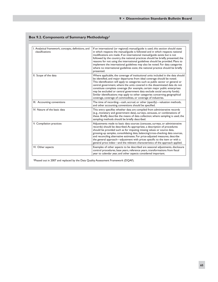# **Box 9.2. Components of Summary Methodology1**

| I. Analytical framework, concepts, definitions, and<br>classifications | If an international (or regional) manual/guide is used, this section should state<br>in which respects the manual/guide is followed and in which respects national<br>modifications are made. If an international manual/guide exists but is not<br>followed by the country, the national practices should be briefly presented; the<br>reasons for not using the international guidelines should be provided. Plans to<br>implement the international guidelines may also be noted. For data categories<br>where no international guidelines exist, the national practice should be briefly<br>presented.                                      |
|------------------------------------------------------------------------|-------------------------------------------------------------------------------------------------------------------------------------------------------------------------------------------------------------------------------------------------------------------------------------------------------------------------------------------------------------------------------------------------------------------------------------------------------------------------------------------------------------------------------------------------------------------------------------------------------------------------------------------------|
| II. Scope of the data                                                  | Where applicable, the coverage of institutional units included in the data should<br>be identified, and major departures from ideal coverage should be noted.<br>This identification will apply to categories such as public sector or general or<br>central government, where the units covered in the disseminated data do not<br>constitute complete coverage (for example, certain major public enterprises<br>may be excluded or central government data exclude social security funds).<br>Similar identifications may apply to other categories concerning geographical<br>coverage, coverage of commodities, or coverage of industries. |
| III. Accounting conventions                                            | The time of recording—cash, accrual, or other (specify)—valuation methods,<br>and other accounting conventions should be specified.                                                                                                                                                                                                                                                                                                                                                                                                                                                                                                             |
| IV. Nature of the basic data                                           | This entry specifies whether data are compiled from administrative records<br>(e.g., monetary and government data), surveys, censuses, or combinations of<br>these. Briefly describe the means of data collection; where sampling is used, the<br>sampling methods should be briefly described.                                                                                                                                                                                                                                                                                                                                                 |
| V. Compilation practices                                               | Adjustments made to basic data sources (censuses, surveys, or administrative<br>records) should be described. As appropriate, a description of procedures<br>should be provided such as for imputing missing values or source data,<br>grossing-up samples, consolidating data, balancing/cross-checking data sources,<br>and reconciling alternative estimates. For price-adjusted measures, describe<br>the general approach—adjustment with prices specific to the item or with a<br>general price index-and the relevant characteristics of the approach applied.                                                                           |
| VI. Other aspects                                                      | Examples of other aspects to be described are seasonal adjustments, disclosure<br>control procedures, base years, reference years, transformations from fiscal<br>year to calendar year, and other aspects considered important.                                                                                                                                                                                                                                                                                                                                                                                                                |

1Phased out in 2007 and replaced by the Data Quality Assessment Framework (DQAF).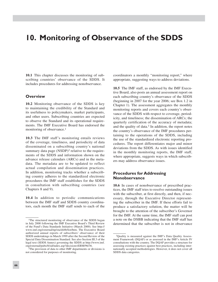# **10. Monitoring of Observance of the SDDS**

**10.1** This chapter discusses the monitoring of subscribing countries' observance of the SDDS. It includes procedures for addressing nonobservance.

#### **Overview**

**10.2** Monitoring observance of the SDDS is key to maintaining the credibility of the Standard and its usefulness to policymakers, market participants, and other users. Subscribing countries are expected to observe the Standard and its operational requirements. The IMF Executive Board has endorsed the monitoring of observance.1

**10.3** The IMF staff's monitoring entails reviews of the coverage, timeliness, and periodicity of data disseminated on a subscribing country's national summary data page (NSDP)<sup>2</sup> relative to the requirements of the SDDS and information shown on the advance release calendars (ARCs) and in the metadata. The metadata are to be updated to reflect actual compilation and dissemination practices. In addition, monitoring tracks whether a subscribing country adheres to the standardized electronic procedures the IMF staff establishes for the SDDS in consultation with subscribing countries (see Chapters 8 and 9).

**10.4** In addition to periodic communications between the IMF staff and SDDS country coordinators, each month the IMF staff sends to each of the

coordinators a monthly "monitoring report," where appropriate, suggesting ways to address deviations.

**10.5** The IMF staff, as endorsed by the IMF Executive Board, also posts an annual assessment report on each subscribing country's observance of the SDDS (beginning in 2007 for the year 2006; see Box 1.2 in Chapter 1). The assessment aggregates the monthly monitoring reports and covers each country's observance of the SDDS with respect to coverage, periodicity, and timeliness; the dissemination of ARCs; the quarterly certification of the accuracy of metadata; and the quality of data. $3$  In addition, the report notes the country's observance of the IMF procedures pertaining to the operations of the SDDS, including the use of the standardized electronic reporting procedures. The report differentiates major and minor deviations from the SDDS. As with issues identified in the monthly monitoring reports, the IMF staff, where appropriate, suggests ways in which subscribers may address observance issues.

## **Procedures for Addressing Nonobservance**

**10.6** In cases of nonobservance of prescribed practices, the IMF staff tries to resolve outstanding issues with the subscriber, at first directly, and then, if necessary, through the Executive Director representing the subscriber in the IMF. If these efforts fail to produce a satisfactory solution, the matter will be brought to the attention of the subscriber's Governor for the IMF. At the same time, the IMF staff can post a note on the DSBB indicating that the IMF staff has determined that the subscriber is not in observance

<sup>1</sup>The structured monitoring of observance of the SDDS began in July 2000 following the IMF Executive Board's Third Review of the Fund's Data Standards Initiative (March 2000). See http:// www.imf.org/external/np/sta/dsbb/list/htm. The Executive Board authorized annual reports of subscribers' observance of their SDDS undertakings in March 1999 after the Second Review of the Special Data Dissemination Standard. See also Section III.3 of the legal text (SDDS Annex) governing the SDDS at http://www.imf. org/external/pubs/ft/sd/index.asp?decision=EBM/96/36.

<sup>2</sup>The provision of data to other IMF departments or divisions is not considered for purposes of monitoring.

<sup>3</sup>Quality is measured against the IMF's Data Quality Assessment Framework (DQAF) or as assessed in the IMF's Article IV consultations with the country. The DQAF provides a structure for assessing existing practices against best practices, including internationally accepted methodologies. However, it does not cover all SDDS data categories.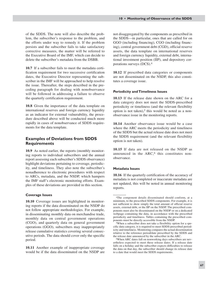of the SDDS. The note will also describe the problem, the subscriber's response to the problem, and the efforts under way to remedy it. If the problem persists and the subscriber fails to take satisfactory corrective measures, the matter will be referred to the Executive Board of the IMF, which can decide to delete the subscriber's metadata from the DSBB.

**10.7** If a subscriber fails to meet the metadata certification requirement for two successive certification dates, the Executive Director representing the subscriber in the IMF will be approached to help resolve the issue. Thereafter, the steps described in the preceding paragraph for dealing with nonobservance will be followed in addressing a failure to observe the quarterly certification requirement.

**10.8** Given the importance of the data template on international reserves and foreign currency liquidity as an indicator for external vulnerability, the procedure described above will be conducted much more rapidly in cases of nonobservance of SDDS requirements for the data template.

# **Examples of Deviations from SDDS Requirements**

**10.9** As noted earlier, the reports (monthly monitoring reports to individual subscribers and the annual report assessing each subscriber's SDDS observance) highlight deviations pertaining to coverage, periodicity, and timeliness. They also note the subscriber's nonadherence to electronic procedures with respect to ARCs, metadata, and the NSDP, which hampers the IMF staff's electronic monitoring efforts. Examples of these deviations are provided in this section.

#### **Coverage Issues**

**10.10** Coverage issues are highlighted in monitoring reports if the data disseminated on the NSDP do not follow appropriate methodologies. For example, in disseminating monthly data on merchandise trade, monthly data on central government operations (CGO), and quarterly data on general government operations (GGO), subscribers may inappropriately release cumulative statistics covering several consecutive periods. The data should cover only the specific period.

**10.11** Another example of inappropriate coverage would be if the data disseminated on the NSDP are not disaggregated by the components as prescribed in the SDDS—in particular, ones that are called for on GGO (including financing), CGO (including financing), central government debt (CGD), official reserve assets, the data template on international reserves and foreign currency liquidity, external debt, international investment position (IIP), and depository corporations surveys (DCS).4

**10.12** If prescribed data categories or components are not disseminated on the NSDP, this also constitutes a coverage issue.

#### **Periodicity andTimeliness Issues**

**10.13** If the release date shown on the ARC for a data category does not meet the SDDS-prescribed periodicity or timeliness (and the relevant flexibility option is not taken), $5$  this would be noted as a nonobservance issue in the monitoring reports.

**10.14** Another observance issue would be a case where the ARC meets the periodicity and timeliness of the SDDS but the actual release date does not meet the SDDS requirement (and the relevant flexibility option is not taken).

**10.15** If data are not released on the NSDP as announced in the  $ARC<sub>0</sub><sup>6</sup>$  this constitutes nonobservance.

#### **Metadata Issues**

**10.16** If the quarterly certification of the accuracy of metadata is not completed or inaccurate metadata are not updated, this will be noted in annual monitoring reports.

<sup>4</sup>The component details disseminated should conform, at a minimum, to the prescribed SDDS components. For example, it is not sufficient to show simply the total amount of official reserve assets, external debt, or the IIP on the NSDP. The prescribed components must also be disseminated on the NSDP or on a dedicated webpage containing the data, in accordance with the prescribed periodicity and timeliness. Tables containing the prescribed components must be directly accessible from the NSDP.

<sup>5</sup>When a subscriber does not take a flexibility option for a specific data category, it is required to meet SDDS-prescribed periodicity and timeliness. Monitoring compares the actual dissemination relative to the reference period/date prescribed by the SDDS and

<sup>&</sup>lt;sup>6</sup>When ARC dates fall on nonworking days subscribers are nevertheless expected to meet these release dates. If a release date falls on a holiday and the subscriber expects difficulties to release the data on that day, the subscriber should change its release date to a date that would meet the SDDS requirements.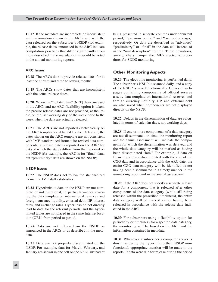**10.17** If the metadata are incomplete or inconsistent with information shown in the ARCs and with the data released on the subscriber's NSDP (for example, the release dates announced in the ARC indicate compilation practices that differ significantly from those described in the metadata), this would be noted in the annual monitoring reports.

#### **ARC Issues**

**10.18** The ARCs do not provide release dates for at least the current and three following months.

**10.19** The ARCs show dates that are inconsistent with the actual release dates.

**10.20** When the "no later than" (NLT) dates are used in the ARCs and no ARC flexibility option is taken, the precise release dates are not provided, at the latest, on the last working day of the week prior to the week when the data are actually released.

**10.21** The ARCs are not reported electronically on the ARC template established by the IMF staff; the dates shown on the ARC template are not consistent with IMF standardized format; for revised data components, a release date is reported on the ARC for data of which the status differs from that reported on the NSDP (for example, the ARC is for "final" data, but "preliminary" data are shown on the NSDP).

#### **NSDP Issues**

**10.22** The NSDP does not follow the standardized format the IMF staff establishes.

**10.23** Hyperlinks to data on the NSDP are not complete or not functional, in particular—ones covering the data template on international reserves and foreign currency liquidity, external debt, IIP, interest rates, and exchange rates. Hyperlinks do not directly lead to data for the relevant periods, and the hyperlinked tables are not placed in the same Internet location (URL) from period to period.

**10.24** Data are not released on the NSDP as announced in the ARCs or as described in the metadata.

**10.25** Data are not properly disseminated on the NSDP. For example, data for March, February, and January are shown in one cell on the NSDP instead of being presented in separate columns under "current period," "previous period," and "two periods ago," respectively. Or data are described as "advance," "preliminary," or "final" in the data cell instead of in the "unit description" column. These deviations, among others, hamper the IMF's electronic procedures for SDDS monitoring.

#### **Other Monitoring Aspects**

**10.26** The electronic monitoring is performed daily. The subscriber's NSDP is scanned daily, and a copy of the NSDP is saved electronically. Copies of webpages containing components of official reserve assets, data template on international reserves and foreign currency liquidity, IIP, and external debt are also saved when components are not displayed directly on the NSDP.

**10.27** Delays in the dissemination of data are calculated in terms of calendar days, not working days.

**10.28** If one or more components of a data category are not disseminated on time, the monitoring report and the annual assessment will indicate the components for which the dissemination was delayed, and the whole data category will be marked as having been disseminated "late." For example, if data on financing are not disseminated with the rest of the CGO data and in accordance with the ARC date, the entire CGO data category will be identified as not having been disseminated in a timely manner in the monitoring report and in the annual assessment.

**10.29** If the ARC does not specify a separate release date for a component that is released after other components of the data category (while still being released within the prescribed timeliness), the entire data category will be marked as not having been released in accordance with the release date indicated in the ARC.

**10.30** For subscribers using a flexibility option for periodicity or timeliness for a specific data category, the monitoring will be based on the ARC and the information contained in metadata.

**10.31** Whenever a subscriber's computer server is down, rendering the hyperlink to their NSDP nonfunctional, appropriate mention will be made in the reports. If data were due for release during the period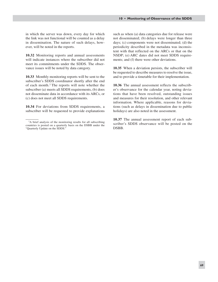in which the server was down, every day for which the link was not functional will be counted as a delay in dissemination. The nature of such delays, however, will be noted in the reports.

**10.32** Monitoring reports and annual assessments will indicate instances where the subscriber did not meet its commitments under the SDDS. The observance issues will be noted by data category.

**10.33** Monthly monitoring reports will be sent to the subscriber's SDDS coordinator shortly after the end of each month.7 The reports will note whether the subscriber (a) meets all SDDS requirements, (b) does not disseminate data in accordance with its ARCs, or (c) does not meet all SDDS requirements.

**10.34** For deviations from SDDS requirements, a subscriber will be requested to provide explanations such as when (a) data categories due for release were not disseminated; (b) delays were longer than three days; (c) components were not disseminated; (d) the periodicity described in the metadata was inconsistent with that reflected on the ARCs or that on the NSDP; (e) ARC dates did not meet SDDS requirements; and (f) there were other deviations.

**10.35** When a deviation persists, the subscriber will be requested to describe measures to resolve the issue, and to provide a timetable for their implementation.

**10.36** The annual assessment reflects the subscriber's observance for the calendar year, noting deviations that have been resolved, outstanding issues and measures for their resolution, and other relevant information. Where applicable, reasons for deviations (such as delays in dissemination due to public holidays) are also noted in the assessment.

**10.37** The annual assessment report of each subscriber's SDDS observance will be posted on the DSBB.

<sup>7</sup>A brief analysis of the monitoring results for all subscribing countries is posted on a quarterly basis on the DSBB under the "Quarterly Update on the SDDS."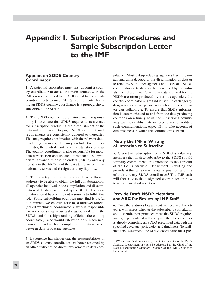# **Appendix I. Subscription Procedures and Sample Subscription Letter to the IMF**

## **Appoint an SDDS Country Coordinator**

**1.** A potential subscriber must first appoint a country coordinator to act as the main contact with the IMF on issues related to the SDDS and to coordinate country efforts to meet SDDS requirements. Naming an SDDS country coordinator is a prerequisite to subscribe to the SDDS.

**2.** The SDDS country coordinator's main responsibility is to ensure that SDDS requirements are met for subscription (including the establishment of the national summary data page, NSDP) and that such requirements are consistently adhered to thereafter. This may require coordination with the relevant dataproducing agencies, that may include the finance ministry, the central bank, and the statistics bureau. The country coordinator is also responsible for metadata certification and updates of metadata as appropriate, advance release calendars (ARCs) and any updates to the ARCs, and the data template on international reserves and foreign currency liquidity.

**3.** The country coordinator should have sufficient authority to be able to obtain the full collaboration of all agencies involved in the compilation and dissemination of the data prescribed by the SDDS. The coordinator should have sufficient resources to fulfill this role. Some subscribing countries may find it useful to nominate two coordinators: (a) a midlevel official (called "technical coordinator"), who is responsible for accomplishing most tasks associated with the SDDS; and (b) a high-ranking official (the country coordinator), who would intervene only when necessary to resolve, for example, coordination issues between data-producing agencies.

**4.** Experience has shown that the responsibilities of an SDDS country coordinator are better assumed by an officer who has no direct involvement in data compilation. Most data-producing agencies have organizational units devoted to the dissemination of data or to relations with other agencies and users and SDDS coordination activities are best assumed by individuals from these units. Given that data required for the NSDP are often produced by various agencies, the country coordinator might find it useful if each agency designates a contact person with whom the coordinator can collaborate. To ensure that SDDS information is communicated to and from the data-producing countries on a timely basis, the subscribing country may wish to establish internal procedures to facilitate such communications, especially to take account of circumstances in which the coordinator is absent.

# **Notify the IMF in Writing of Intention to Subscribe**

**5.** Given that subscription to the SDDS is voluntary, members that wish to subscribe to the SDDS should formally communicate this intention to the Director of the IMF's Statistics Department in writing and provide at the same time the name, position, and title of their country SDDS coordinator.<sup>1</sup> The IMF staff will then advise the designated coordinator on how to work toward subscription.

## **Provide Draft NSDP, Metadata, and ARC for Review by IMF Staff**

**6.** Once the Statistics Department has received this letter, it will assess whether the subscriber's compilation and dissemination practices meet the SDDS requirements; in particular, it will verify whether the subscriber is already compiling all SDDS-prescribed data with the specified coverage, periodicity, and timeliness. To facilitate this assessment, the SDDS coordinator must pro-

<sup>1</sup>Written notification is usually sent to the Director of the IMF's Statistics Department or could be addressed to the Chief of the Data Dissemination Standard Division of the IMF's Statistics Department.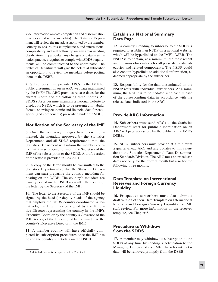vide information on data compilation and dissemination practices (that is, the metadata). The Statistics Department will review the metadata submitted by the member country to ensure this completeness and international comparability and will follow up on any areas needing clarification. In particular, any changes of data dissemination practices required to comply with SDDS requirements will be communicated to the coordinator. The Statistics Department will give the potential subscriber an opportunity to review the metadata before posting them on the DSBB.

**7.** Subscribers must provide ARCs to the IMF for public dissemination on an ARC webpage maintained by the IMF.2 The ARC provides release dates for the current month and the following three months. An SDDS subscriber must maintain a national website to display its NSDP, which is to be presented in tabular format, showing economic and financial data for categories (and components) prescribed under the SDDS.

## **Notification of the Secretary of the IMF**

**8.** Once the necessary changes have been implemented, the metadata approved by the Statistics Department, and all SDDS requirements met, the Statistics Department will inform the member country that it may proceed to inform the Secretary of the IMF of its subscription to the SDDS. A draft version of the letter is provided in Box A1.1.

**9.** A copy of the letter should be transmitted to the Statistics Department so that the Statistics Department can start preparing the country metadata for posting on the DSBB. The country's metadata are usually posted on the DSBB soon after the receipt of the letter by the Secretary of the IMF.

**10.** The letter to the Secretary of the IMF should be signed by the head (or deputy head) of the agency that employs the SDDS country coordinator. Alternatively, the letter may be signed by the Executive Director representing the country in the IMF's Executive Board or by the country's Governor of the IMF. A copy of the letter should be transmitted to the country's Executive Director in the IMF.

**11.** A member country will have officially completed its subscription procedures once the IMF has posted the country's metadata on the DSBB.

# **Establish a National Summary Data Page**

**12.** A country intending to subscribe to the SDDS is required to establish an NSDP on a national website, which will be hyperlinked to the IMF's DSBB. The NSDP is to contain, at a minimum, the most recent and previous observations for all prescribed data categories and related components. The NSDP could also contain hyperlinks to additional information, as deemed appropriate by the subscriber.

**13.** Responsibility for the data disseminated on the NSDP rests with individual subscribers. At a minimum, the NSDP is to be updated with each release of the corresponding data, in accordance with the release dates indicated in the ARC.

## **Provide ARC Information**

**14.** Subscribers must send ARCs to the Statistics Department staff for public dissemination on an ARC webpage accessible by the public on the IMF's DSBB.

**15.** SDDS subscribers must provide at a minimum a quarter-ahead ARC and any updates to this calendar to the Statistics Department's Data Dissemination Standards Division. The ARC must show release dates not only for the current month but also for the following three months.

## **DataTemplate on International Reserves and Foreign Currency Liquidity**

**16.** Prospective subscribers must also submit a draft version of their Data Template on International Reserves and Foreign Currency Liquidity for IMF staff review. For more information on the reserves template, see Chapter 6.

# **Procedure to Withdraw from the SDDS**

**17.** A member may withdraw its subscription to the SDDS at any time by sending a notification to the Managing Director of the IMF. The relevant metadata will be removed promptly from the DSBB.

<sup>2</sup>A detailed description is provided in Chapter 8.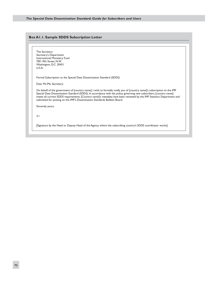#### **Box A1.1. Sample SDDS Subscription Letter**

The Secretary Secretary's Department International Monetary Fund 700 19th Street, N.W. Washington, D.C. 20431 U.S.A.

Formal Subscription to the Special Data Dissemination Standard (SDDS)

Dear Mr./Ms. Secretary:

On behalf of the government of [country name], I wish to formally notify you of [country name]'s subscription to the IMF Special Data Dissemination Standard (SDDS). In accordance with the policy governing new subscribers, [country name] meets all current SDDS requirements. [Country name]'s metadata have been reviewed by the IMF Statistics Department and submitted for posting on the IMF's Dissemination Standards Bulletin Board.

Sincerely yours,

/s./

[Signature by the Head or Deputy Head of the Agency where the subscribing country's SDDS coordinator works]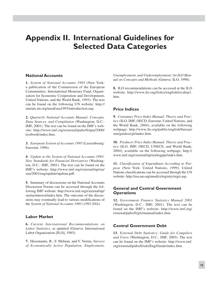# **Appendix II. International Guidelines for Selected Data Categories**

## **National Accounts**

**1.** *System of National Accounts 1993* (New York: a publication of the Commission of the European Communities, International Monetary Fund, Organization for Economic Cooperation and Development, United Nations, and the World Bank, 1993). The text can be found on the following UN website: http:// unstats.un.org/unsd/sna1993/introduction.asp.

**2.** *Quarterly National Accounts Manual: Concepts, Data Sources, and Compilation* (Washington, D.C.: IMF, 2001). The text can be found on the IMF's website: http://www.imf.org/external/pubs/ft/qna/2000/ textbook/index.htm.

**3.** *European System of Accounts 1995* (Luxembourg: Eurostat, 1996).

**4***. Update to the System of National Accounts 1993: New Standards for Financial Derivatives* (Washington, D.C.: IMF, 2001). The text can be found on the IMF's website: http://www.imf.org/external/np/sta/ sna/2001/eng/update/updsna.pdf.

**5.** Summary of discussions on the National Accounts Discussion Forum can be accessed through the following IMF website: http://www.imf.org/external/np/ sta/na/interest/index.htm. The outcome of the discussions may eventually lead to various modifications of the *System of National Accounts 1993* (*1993 SNA*).

## **Labor Market**

**6.** *Current International Recommendations on Labor Statistics,* as updated (Geneva: International Labor Organization [ILO], 1985).

**7.** Hussmanns, R., F. Mehran, and V. Verma, *Surveys of Economically Active Population, Employment,*

*Unemployment, and Underemployment: An ILO Manual on Concepts and Methods* (Geneva: ILO, 1990).

**8.** ILO recommendations can be accessed at the ILO website: http://www.ilo.org/ilolex/english/recdisp1. htm.

## **Price Indices**

**9.** *Consumer Price Index Manual: Theory and Practice* (ILO, IMF, OECD, Eurostat, United Nations, and the World Bank, 2004), available on the following webpage: http://www.ilo.org/public/english/bureau/ stat/guides/cpi/index.htm.

**10.** *Producer Price Index Manual: Theory and Practice* (ILO, IMF, OECD, UNECE, and World Bank, 2004), available on the following webpage: http:// www.imf.org/external/np/sta/tegppi/index.htm.

**11.** *Classification of Expenditure According to Purpose* (New York: United Nations, 1999). United Nations classifications can be accessed through the UN website: http://esa.un.org/unsd/cr/registry/regrt.asp.

# **General and Central Government Operations**

**12.** *Government Finance Statistics Manual 2001* (Washington, D.C.: IMF, 2001). The text can be found on the IMF's website: http://www.imf.org/ external/pubs/ft/gfs/manual/index.htm.

# **Central Government Debt**

**13***. External Debt Statistics: Guide for Compilers and Users* (Washington, D.C.: IMF, 2003). The text can be found on the IMF's website: http://www.imf. org/external/pubs/ft/eds/Eng/Guide/index.htm.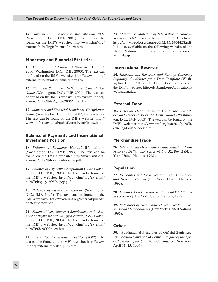**14.** *Government Finance Statistics Manual 2001* (Washington, D.C.: IMF, 2001). The text can be found on the IMF's website: http://www.imf.org/ external/pubs/ft/gfs/manual/index.htm.

# **Monetary and Financial Statistics**

**15.** *Monetary and Financial Statistics Manual, 2000* (Washington, D.C.: IMF, 2000). The text can be found on the IMF's website: http://www.imf.org/ external/pubs/ft/mfs/manual/index.htm.

**16.** *Financial Soundness Indicators: Compilation Guide* (Washington, D.C.: IMF, 2006). The text can be found on the IMF's website: http://www.imf.org/ external/pubs/ft/fsi/guide/2006/index.htm.

**17.** *Monetary and Financial Soundness: Compilation Guide* (Washington, D.C.: IMF, 2007, forthcoming). The text can be found on the IMF's website: http:// www.imf.org/external/pubs/ft/cgmfs/eng/index.htm.

#### **Balance of Payments and International Investment Position**

**18.** *Balance of Payments Manual,* fifth edition (Washington, D.C.: IMF, 1993). The text can be found on the IMF's website: http://www.imf.org/ external/pubs/ft/bopman/bopman.pdf.

**19.** *Balance of Payments Compilation Guide* (Washington, D.C.: IMF, 1995). The text can be found on the IMF's website: http://www.imf.org/external/ pubs/ft/bopcg/1995/bopcg.pdf.

**20.** *Balance of Payments Textbook* (Washington D.C.: IMF, 1996). The text can be found on the IMF's website: http://www.imf.org/external/pubs/ft/ boptex/boptex.pdf.

**21.** *Financial Derivatives: A Supplement to the Balance of Payments Manual, fifth edition, 1993* (Washington, D.C.: IMF, 2000). The text can be found on the IMF's website: http://www.imf.org/external/ pubs/ft/fd/2000/index.htm.

**22.** *International Investment Position* (2002). The text can be found on the IMF's website: http://www. imf.org/external/np/sta/iip/iip.htm.

**23.** *Manual on Statistics of International Trade in Services*, *2002* is available on the OECD website: http://www.oecd.org/dataoecd/32/45/2404428.pdf. It is also available on the following website of the United Nations: http://unstats.un.org/unsd/tradeserv/ manual.asp.

## **International Reserves**

**24.** *International Reserves and Foreign Currency Liquidity: Guidelines for a Data Template* (Washington, D.C.: IMF, 2001). The text can be found on the IMF's website: http://dsbb.imf.org/Applications/ web/sddsguide/.

# **External Debt**

**25.** *External Debt Statistics: Guide for Compilers and Users* (also called *Debt Guide*) (Washington, D.C.: IMF, 2003). The text can be found on the IMF's website: http://www.imf.org/external/pubs/ft/ eds/Eng/Guide/index.htm.

## **MerchandiseTrade**

**26***. International Merchandise Trade Statistics: Concepts and Definitions*, Series M, No. 52, Rev. 2 (New York: United Nations, 1998).

## **Population**

**27.** *Principles and Recommendations for Population and Housing Census* (New York: United Nations, 1996).

**28.** *Handbook on Civil Registration and Vital Statistics Systems* (New York: United Nations, 1998).

**29.** *Indicators of Sustainable Development: Framework and Methodologies* (New York: United Nations, 1996).

#### **Other**

**30.** "Fundamental Principles of Official Statistics," UN Economic and Social Council, *Report of the Special Session of the Statistical Commission* (New York, April 11–15, 1994).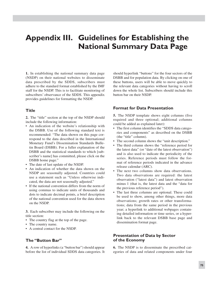# **Appendix III. Guidelines for Establishing the National Summary Data Page**

**1.** In establishing the national summary data page (NSDP) on their national websites to disseminate data prescribed by the SDDS, subscribers must adhere to the standard format established by the IMF staff for the NSDP. This is to facilitate monitoring of subscribers' observance of the SDDS. This appendix provides guidelines for formatting the NSDP.

#### **Title**

**2.** The "title" section at the top of the NSDP should include the following information:

- An indication of the website's relationship with the DSBB. Use of the following standard text is recommended: "The data shown on this page correspond to the data described in the International Monetary Fund's Dissemination Standards Bulletin Board (DSBB). For a fuller explanation of the DSBB and the statistical standards to which [subscriber's name] has committed, please click on the DSBB home page."
- The date of last update of the NSDP. •
- An indication of whether the data shown on the NSDP are seasonally adjusted. Countries could use a statement such as "Unless otherwise indicated, the data are not seasonally adjusted."
- If the national convention differs from the norm of using commas to indicate units of thousands and dots to indicate decimal points, a brief description of the national convention used for the data shown on the NSDP.

**3.** Each subscriber may include the following on the title section:

- The country flag at the top of the page.
- The country name.
- A central contact for the NSDP.

#### **The "Button Bar"**

**4.** A row of hyperlinks (a "button bar") should appear before the list of individual SDDS data categories. It should hyperlink "buttons" for the four sectors of the DSBB and for population data. By clicking on one of these buttons, users will be able to move quickly to the relevant data categories without having to scroll down the whole list. Subscribers should include this button bar on their NSDP.

#### **Format for Data Presentation**

**5.** The NSDP template shows eight columns (five required and three optional; additional columns could be added as explained later):

- The first column identifies the "SDDS data catego-• ries and components" as described on the DSBB (the "title" column).
- The second column shows the "unit description."
- The third column shows the "reference period for the latest data" (or "date of the latest observation") and is also used to indicate the periodicity of the series. Reference periods must follow the format of reference periods indicated in the advance release calendar (ARC).
- The next two columns show data observations. Two data observations are required: the latest observation ("latest data") and latest observation minus 1 (that is, the latest data and the "data for the previous reference period").
- The last three columns are optional. These could be used to show, among other things, more data observations; growth rates or other transformations; data from the same period in the previous year; a hyperlink to additional webpages containing detailed information or time series, or a hyperlink back to the relevant DSBB base page and dissemination format page.

## **Presentation of Data by Sector of the Economy**

**6.** The NSDP is to disseminate the prescribed categories of data and related components under four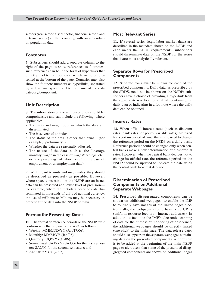sectors (real sector, fiscal sector, financial sector, and external sector) of the economy, with an addendum on population data.

## **Footnotes**

**7.** Subscribers should add a separate column to the right of the page to show references to footnotes; such references can be in the form of hyperlinks that directly lead to the footnotes, which are to be presented at the bottom of the page. Countries may also show the footnote numbers as hyperlinks, separated by at least one space, next to the name of the data category/component.

# **Unit Description**

**8.** The information on the unit description should be comprehensive and can include the following, where applicable:

- The units and magnitudes in which the data are disseminated.
- The base year of an index.
- The status of the data if other than "final" (for example, "preliminary").
- Whether the data are seasonally adjusted. •
- The nature of the data (such as the "average monthly wage" in the case of wages/earnings, etc., or "the percentage of labor force" in the case of employment or unemployment data).

**9.** With regard to units and magnitudes, they should be described as precisely as possible. However, where space constraints on the NSDP are an issue, data can be presented at a lower level of precision for example, where the metadata describe data disseminated in thousands of units of national currency, the use of millions or billions may be necessary in order to fit the data into the NSDP column.

# **Format for Presenting Dates**

**10.** The format of reference periods on the NSDP must conform with that shown for the ARC as follows:

- Weekly: MMM/DD/YY (Jan/17/06);
- Monthly: MMM/YY (Jan/06);
- Quarterly: QQ/YY (Q1/06);
- Semiannual: SAX/YY (SA1/06 for the first semester; SA2/06 for the second semester); and
- Annual: YYYY (2005).

#### **Most Relevant Series**

**11.** If several series (e.g., labor market data) are described in the metadata shown on the DSBB and each meets the SDDS requirements, subscribers should disseminate data on the NSDP for the series that is/are most analytically relevant.

## **Separate Rows for Prescribed Components**

**12.** Separate rows must be shown for each of the prescribed components. Daily data, as prescribed by the SDDS, need not be shown on the NSDP; subscribers have a choice of providing a hyperlink from the appropriate row to an official site containing the daily data or indicating in a footnote where the daily data can be obtained.

## **Interest Rates**

**13.** When official interest rates (such as discount rates, bank rates, or policy variable rates) are fixed for a certain period of time, there is no need to change the reference period on the NSDP on a daily basis. Reference periods should be changed only when central banks make a new determination of their official rates. However, when the central bank decides not to change its official rate, the reference period on the NSDP should be updated to indicate the date when the central bank took that decision.

## **Dissemination of Prescribed Components on Additional Separate Webpages**

**14.** Prescribed disaggregated components can be shown on additional webpages; to enable the IMF to routinely save images of the linked pages electronically, the webpages should have fixed URLs (uniform resource locators—Internet addresses). In addition, to facilitate the IMF's electronic scanning of data for the purpose of monitoring of observance, the additional webpages should be directly linked (one click) to the main page. The data release dates should also appear on the separate webpages containing data on the prescribed components. A brief note is to be added at the beginning of the main NSDP page to alert users that some of the prescribed disaggregated components are shown on additional pages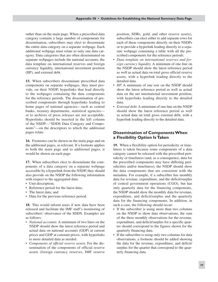rather than on the main page. When a prescribed data category contains a large number of components for dissemination, subscribers may elect to disseminate the entire data category on a separate webpage. Each additional webpage must relate to only one data category. Data categories that are often disseminated on separate webpages include the national accounts, the data template on international reserves and foreign currency liquidity, international investment position (IIP), and external debt.

**15.** When subscribers disseminate prescribed data components on separate webpages, they must provide, on their NSDP, hyperlinks that lead directly to the webpages containing the data components for the reference periods. The dissemination of prescribed components through hyperlinks leading to home pages of national agencies—such as central banks, treasury departments, statistical agencies or to archives of press releases are not acceptable. Hyperlinks should be inserted in the left column of the NSDP—"SDDS Data Category and Components"—on the descriptors to which the additional pages relate.

**16.** Footnotes can be shown on the main page and on the additional pages, as relevant. If a footnote applies to both the main page and to additional pages, it would be shown on each page.

**17.** When subscribers elect to disseminate the components of a data category on a separate webpage accessible by a hyperlink from the NSDP, they should also provide on the NSDP the following information with respect to the aggregated data:

- Unit description;
- Reference period for the latest data;
- The latest data; and
- Data for the previous reference period.

**18.** This would inform users if new data have been released and facilitate the IMF staff's monitoring of subscribers' observance of the SDDS. Examples are as follows:

- *National accounts*. A minimum of two lines on the NSDP should show the latest reference period and actual data on national accounts (GDP) at current prices and GDP at constant prices, with hyperlinks to more detailed data as needed.
- *Components of official reserve assets.* For the dis-*•* semination of the components of official reserve assets (foreign currency reserves, IMF reserve

position, SDRs, gold, and other reserve assets), subscribers can elect either to add separate rows for each of these components directly on their NSDPs or to provide a hyperlink leading directly to a separate webpage containing a table with all the prescribed components for the reference periods.

- *Data template on international reserves and foreign currency liquidity.* A minimum of one line on the NSDP should show the latest reference period as well as actual data on total gross official reserve assets, with a hyperlink leading directly to the detailed data. *•*
- *IIP*. A minimum of one row on the NSDP should show the latest reference period as well as actual data on the net international investment position, with hyperlinks leading directly to the detailed data.
- *External debt.* A minimum of one line on the NSDP *•* should show the latest reference period as well as actual data on total gross external debt, with a hyperlink leading directly to the detailed data.

## **Dissemination of Components When a Flexibility Option IsTaken**

**19.** When a flexibility option for periodicity or timeliness is taken because some components of a data category cannot be released with the prescribed periodicity or timeliness (and, as a consequence, data for the prescribed components may have differing periodicities and/or timeliness), the NSDP should show the data components that are consistent with the metadata. For example, if a subscriber has monthly data for revenue, expenditure, and the deficit/surplus of central government operations (CGO), but has only quarterly data for the financing components, the NSDP should show the monthly data for revenue, expenditure, and deficit/surplus and the quarterly data for the financing components. In addition, in such a case, the following should occur:

- If the subscriber is using more than two columns on the NSDP to show data observations, the sum of the three monthly observations for the revenue, expenditure, and deficit/surplus for a specific quarter should correspond to the figures shown for the quarterly financing data.
- If the subscriber is using only two columns for data observations, a footnote should be added showing the data for the revenue, expenditure, and deficit/ surplus for the quarter that correspond to the quarterly financing data.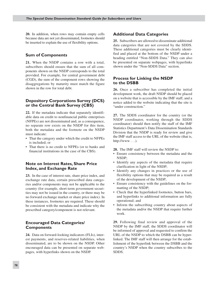**20.** In addition, when rows may contain empty cells because data are not yet disseminated, footnotes should be inserted to explain the use of flexibility options.

#### **Sum of Components**

**21.** When the NSDP contains a row with a total, subscribers should ensure that the sum of all components shown on the NSDP corresponds to the total provided. For example, for central government debt (CGD), the sum of the component rows showing the disaggregations by maturity must match the figure shown in the row for total debt.

## **Depository Corporations Survey (DCS) or the Central Bank Survey (CBS)**

**22.** If the metadata indicate that separately identifiable data on credit to nonfinancial public enterprises (NFPEs) are not disseminated and, as a consequence, no separate row exists on the NSDP for this item, both the metadata and the footnote on the NSDP must indicate:

- That the category under which the credit to NFPEs is included; or
- That there is no credit to NFPEs (or to banks and financial institutions in the case of the CBS).

## **Note on Interest Rates, Share Price Index, and Exchange Rate**

**23.** In the case of interest rate, share price index, and exchange rate data, certain prescribed data categories and/or components may not be applicable to the country (for example, short-term government securities may not be issued in the country, or there may be no forward exchange market or share price index). In these instances, footnotes are required. These should be consistent with the metadata and indicate why the prescribed category/component is not relevant.

#### **Encouraged Data Categories/ Components**

**24.** Data on forward-looking indicators (FLIs), interest payments, and reserves-related liabilities, when disseminated, are to be shown on the NSDP. Other encouraged data can be presented on separate webpages, with hyperlinks shown on the NSDP.

## **Additional Data Categories**

**25.** Subscribers are allowed to disseminate additional data categories that are not covered by the SDDS. These additional categories must be clearly identified and placed at the bottom of the NSDP under a heading entitled "Non-SDDS Data." They can also be presented on separate webpages, with hyperlinks shown under the "Non-SDDS Data" section.

## **Process for Linking the NSDP to the DSBB**

**26.** Once a subscriber has completed the initial development work, the draft NSDP should be placed on a website that is accessible by the IMF staff, and a notice added to the website indicating that the site is "under construction."

**27.** The SDDS coordinator for the country (or the NSDP coordinator, working through the SDDS coordinator) should then notify the staff of the IMF Statistics Department's Data Dissemination Standards Division that the NSDP is ready for review and give the IMF staff access to the URL of the website (that is,  $http://www...).$ 

**28.** The IMF staff will review the NSDP to:

- Ensure consistency between the metadata and the NSDP;
- Identify any aspects of the metadata that require clarification in light of the NSDP;
- Identify any changes in practices or the use of flexibility options that may be required as a result of the development of the NSDP;
- Ensure consistency with the guidelines on the for-• matting of the NSDP;
- Check that the hyperlinked footnotes, button bars, and hyperlinks to additional information are fully operational; and
- Inform the subscribing country about aspects of the metadata and/or the NSDP that require further work.

**29.** Following final review and approval of the NSDP by the IMF staff, the SDDS coordinator will be informed of approval and requested to confirm the URL of the NSDP to which the DSBB can be hyperlinked. The IMF staff will then arrange for the establishment of the hyperlink between the DSBB and the country's NSDP when the country subscribes to the SDDS.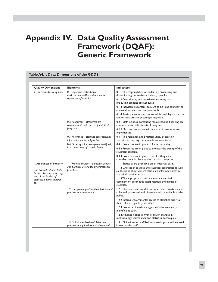# **Appendix IV. Data Quality Assessment Framework (DQAF): Generic Framework**

| <b>Quality Dimensions</b>                                      | <b>Elements</b>                                                                            | <b>Indicators</b>                                                                                                                                     |
|----------------------------------------------------------------|--------------------------------------------------------------------------------------------|-------------------------------------------------------------------------------------------------------------------------------------------------------|
| 0. Prerequisites of quality                                    | 0.1 Legal and institutional<br>environment-The environment is<br>supportive of statistics. | 0.1.1 The responsibility for collecting, processing, and<br>disseminating the statistics is clearly specified.                                        |
|                                                                |                                                                                            | 0.1.2 Data sharing and coordination among data-<br>producing agencies are adequate.                                                                   |
|                                                                |                                                                                            | 0.1.3 Individual reporters' data are to be kept confidential<br>and used for statistical purposes only.                                               |
|                                                                |                                                                                            | 0.1.4 Statistical reporting is ensured through legal mandate<br>and/or measures to encourage response.                                                |
|                                                                | 0.2 Resources-Resources are<br>commensurate with needs of statistical<br>programs.         | 0.2.1 Staff, facilities, computing resources, and financing are<br>commensurate with statistical programs.                                            |
|                                                                |                                                                                            | 0.2.2 Measures to ensure efficient use of resources are<br>implemented.                                                                               |
|                                                                | 0.3 Relevance-Statistics cover relevant<br>information on the subject field.               | 0.3.1 The relevance and practical utility of existing<br>statistics in meeting users' needs are monitored.                                            |
|                                                                | 0.4 Other quality management-Quality<br>is a cornerstone of statistical work.              | 0.4.1 Processes are in place to focus on quality.                                                                                                     |
|                                                                |                                                                                            | 0.4.2 Processes are in place to monitor the quality of the<br>statistical program.                                                                    |
|                                                                |                                                                                            | 0.4.3 Processes are in place to deal with quality<br>considerations in planning the statistical program.                                              |
| I. Assurances of integrity                                     | 1.1 Professionalism-Statistical policies                                                   | 1.1.1 Statistics are produced on an impartial basis.                                                                                                  |
| The principle of objectivity<br>in the collection, processing, | and practices are guided by professional<br>principles.                                    | 1.1.2 Choices of sources and statistical techniques as well<br>as decisions about dissemination are informed solely by<br>statistical considerations. |
| and dissemination of<br>statistics is firmly adhered<br>to.    |                                                                                            | 1.1.3 The appropriate statistical entity is entitled to<br>comment on erroneous interpretation and misuse of<br>statistics.                           |
|                                                                | 1.2 Transparency-Statistical policies and<br>practices are transparent.                    | 1.2.1 The terms and conditions under which statistics are<br>collected, processed, and disseminated are available to the<br>public.                   |
|                                                                |                                                                                            | 1.2.2 Internal governmental access to statistics prior to<br>their release is publicly identified.                                                    |
|                                                                |                                                                                            | 1.2.3 Products of statistical agencies/units are clearly<br>identified as such.                                                                       |
|                                                                |                                                                                            | 1.2.4 Advance notice is given of major changes in<br>methodology, source data, and statistical techniques.                                            |
|                                                                | 1.3 Ethical standards-Policies and<br>practices are guided by ethical standards.           | 1.3.1 Guidelines for staff behavior are in place and are well<br>known to the staff.                                                                  |

#### **Table A4.1. Data Dimensions of the GDDS**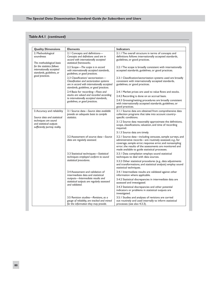#### **Table A4.1** *(continued)*

| <b>Quality Dimensions</b>                                                                                                                                            | <b>Elements</b>                                                                                                                                                            | <b>Indicators</b>                                                                                                                                                                                                                                                                             |
|----------------------------------------------------------------------------------------------------------------------------------------------------------------------|----------------------------------------------------------------------------------------------------------------------------------------------------------------------------|-----------------------------------------------------------------------------------------------------------------------------------------------------------------------------------------------------------------------------------------------------------------------------------------------|
| 2. Methodological<br>soundness<br>The methodological basis<br>for the statistics follows<br>internationally accepted<br>standards, guidelines, or<br>good practices. | 2.1 Concepts and definitions-<br>Concepts and definitions used are in<br>accord with internationally accepted<br>statistical frameworks.                                   | 2.1.1 The overall structure in terms of concepts and<br>definitions follows internationally accepted standards,<br>guidelines, or good practices.                                                                                                                                             |
|                                                                                                                                                                      | 2.2 Scope-The scope is in accord<br>with internationally accepted standards,<br>guidelines, or good practices.                                                             | 2.2.1 The scope is broadly consistent with internationally<br>accepted standards, guidelines, or good practices.                                                                                                                                                                              |
|                                                                                                                                                                      | 2.3 Classification/ sectorization-<br>Classification and sectorization systems<br>are in accord with internationally accepted<br>standards, guidelines, or good practices. | 2.3.1 Classification/sectorization systems used are broadly<br>consistent with internationally accepted standards,<br>guidelines, or good practices.                                                                                                                                          |
|                                                                                                                                                                      | 2.4 Basis for recording-Flows and<br>stocks are valued and recorded according<br>to internationally accepted standards,<br>guidelines, or good practices.                  | 2.4.1 Market prices are used to value flows and stocks.                                                                                                                                                                                                                                       |
|                                                                                                                                                                      |                                                                                                                                                                            | 2.4.2 Recording is done on an accrual basis.                                                                                                                                                                                                                                                  |
|                                                                                                                                                                      |                                                                                                                                                                            | 2.4.3 Grossing/netting procedures are broadly consistent<br>with internationally accepted standards, guidelines, or<br>good practices.                                                                                                                                                        |
| 3. Accuracy and reliability<br>Source data and statistical<br>techniques are sound<br>and statistical outputs<br>sufficiently portray reality.                       | 3.1 Source data-Source data available<br>provide an adequate basis to compile<br>statistics.                                                                               | 3.1.1 Source data are obtained from comprehensive data<br>collection programs that take into account country-<br>specific conditions.                                                                                                                                                         |
|                                                                                                                                                                      |                                                                                                                                                                            | 3.1.2 Source data reasonably approximate the definitions,<br>scope, classifications, valuation, and time of recording<br>required.                                                                                                                                                            |
|                                                                                                                                                                      |                                                                                                                                                                            | 3.1.3 Source data are timely.                                                                                                                                                                                                                                                                 |
|                                                                                                                                                                      | 3.2 Assessment of source data-Source<br>data are regularly assessed.                                                                                                       | 3.2.1 Source data-including censuses, sample surveys, and<br>administrative records—are routinely assessed, e.g., for<br>coverage, sample error, response error, and nonsampling<br>error; the results of the assessments are monitored and<br>made available to guide statistical processes. |
|                                                                                                                                                                      | 3.3 Statistical techniques-Statistical<br>techniques employed conform to sound<br>statistical procedures.                                                                  | 3.3.1 Data compilation employs sound statistical<br>techniques to deal with data sources.                                                                                                                                                                                                     |
|                                                                                                                                                                      |                                                                                                                                                                            | 3.3.2 Other statistical procedures (e.g., data adjustments<br>and transformations, and statistical analysis) employ sound<br>statistical techniques.                                                                                                                                          |
|                                                                                                                                                                      | 3.4 Assessment and validation of<br>intermediate data and statistical<br>outputs-Intermediate results and<br>statistical outputs are regularly assessed<br>and validated.  | 3.4.1 Intermediate results are validated against other<br>information where applicable.                                                                                                                                                                                                       |
|                                                                                                                                                                      |                                                                                                                                                                            | 3.4.2 Statistical discrepancies in intermediate data are<br>assessed and investigated.                                                                                                                                                                                                        |
|                                                                                                                                                                      |                                                                                                                                                                            | 3.4.3 Statistical discrepancies and other potential<br>indicators or problems in statistical outputs are<br>investigated.                                                                                                                                                                     |
|                                                                                                                                                                      | 3.5 Revision studies-Revisions, as a<br>gauge of reliability, are tracked and mined<br>for the information they may provide.                                               | 3.5.1 Studies and analyses of revisions are carried<br>out routinely and used internally to inform statistical<br>processes (see also 4.3.3).                                                                                                                                                 |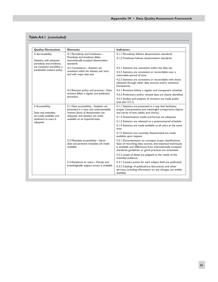# **Table A4.1** *(concluded)*

| <b>Quality Dimensions</b>                                                                                                                     | <b>Elements</b>                                                                                                                                                                                 | <b>Indicators</b>                                                                                                                                                                                                                                  |
|-----------------------------------------------------------------------------------------------------------------------------------------------|-------------------------------------------------------------------------------------------------------------------------------------------------------------------------------------------------|----------------------------------------------------------------------------------------------------------------------------------------------------------------------------------------------------------------------------------------------------|
| 4. Serviceability<br>Statistics, with adequate<br>periodicity and timeliness.<br>are consistent and follow a<br>predictable revisions policy. | 4.1 Periodicity and timeliness-                                                                                                                                                                 | 4.1.1 Periodicity follows dissemination standards.                                                                                                                                                                                                 |
|                                                                                                                                               | Periodicity and timeliness follow<br>internationally accepted dissemination<br>standards.                                                                                                       | 4.1.2 Timeliness follows dissemination standards.                                                                                                                                                                                                  |
|                                                                                                                                               | 4.2 Consistency-Statistics are<br>consistent within the dataset, over time,<br>and with major data sets.                                                                                        | 4.2.1 Statistics are consistent within the data set.                                                                                                                                                                                               |
|                                                                                                                                               |                                                                                                                                                                                                 | 4.2.2 Statistics are consistent or reconcilable over a<br>reasonable period of time.                                                                                                                                                               |
|                                                                                                                                               |                                                                                                                                                                                                 | 4.2.3 Statistics are consistent or reconcilable with those<br>obtained through other data sources and/or statistical<br>frameworks.                                                                                                                |
|                                                                                                                                               | 4.3 Revision policy and practice-Data                                                                                                                                                           | 4.3.1 Revisions follow a regular and transparent schedule.                                                                                                                                                                                         |
|                                                                                                                                               | revisions follow a regular and publicized                                                                                                                                                       | 4.3.2 Preliminary and/or revised data are clearly identified.                                                                                                                                                                                      |
|                                                                                                                                               | procedure.                                                                                                                                                                                      | 4.3.3 Studies and analyses of revisions are made public<br>(see also 3.5.1).                                                                                                                                                                       |
| 5. Accessibility<br>Data and metadata<br>are easily available and                                                                             | 5.1 Data accessibility-Statistics are<br>presented in a clear and understandable<br>manner, forms of dissemination are<br>adequate, and statistics are made<br>available on an impartial basis. | 5.1.1 Statistics are presented in a way that facilitates<br>proper interpretation and meaningful comparisons (layout<br>and clarity of text, tables, and charts).                                                                                  |
|                                                                                                                                               |                                                                                                                                                                                                 | 5.1.2 Dissemination media and format are adequate.                                                                                                                                                                                                 |
| assistance to users is<br>adequate.                                                                                                           |                                                                                                                                                                                                 | 5.1.3 Statistics are released on a preannounced schedule.                                                                                                                                                                                          |
|                                                                                                                                               |                                                                                                                                                                                                 | 5.1.4 Statistics are made available to all users at the same<br>time.                                                                                                                                                                              |
|                                                                                                                                               |                                                                                                                                                                                                 | 5.1.5 Statistics not routinely disseminated are made<br>available upon request.                                                                                                                                                                    |
|                                                                                                                                               | 5.2 Metadata accessibility-Up-to-<br>date and pertinent metadata are made<br>available                                                                                                          | 5.2.1 Documentation on concepts, scope, classifications,<br>basis of recording, data sources, and statistical techniques<br>is available, and differences from internationally accepted<br>standards, guidelines, or good practices are annotated. |
|                                                                                                                                               |                                                                                                                                                                                                 | 5.2.2 Levels of detail are adapted to the needs of the<br>intended audience.                                                                                                                                                                       |
|                                                                                                                                               | 5.3 Assistance to users-Prompt and<br>knowledgeable support service is available.                                                                                                               | 5.3.1 Contact points for each subject field are publicized.                                                                                                                                                                                        |
|                                                                                                                                               |                                                                                                                                                                                                 | 5.3.2 Catalogs of publications, documents, and other<br>services, including information on any charges, are widely<br>available.                                                                                                                   |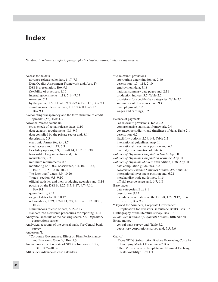# **Index**

*Numbers in references refer to paragraphs in chapters, boxes, tables, or appendixes.*

Access to the data advance-release calendars, 1.17, 7.3 Data Quality Assessment Framework and, App. IV DSBB presentation, Box 9.1 flexibility of practices, 1.16 internal governments, 1.18, 7.14–7.17 overview, 7.2 by the public, 1.5, 1.16–1.19, 7.2–7.4, Box 1.1, Box 9.1 simultaneous release of data, 1.17, 7.4, 8.15–8.17, Box 9.1 "Accounting transparency and the term structure of credit spreads" (Yu), Box 1.3 Advance-release calendars cross-check of actual release dates, 8.10 data category requirements, 8.6, 9.7 data compiled by the private sector and, 8.14 description, 7.3 electronic format for, 8.4, 8.7 equal access and, 1.17, 7.3 flexibility options, 8.9, 8.12–8.14, 10.20, 10.30 forward-looking indicators and, 8.6 mandate for, 7.3 minimum requirements, 8.8 monitoring of SDDS observance, 8.3, 10.3, 10.5, 10.13–10.15, 10.18–10.21 "no later than" dates, 8.9, 10.20 "notes" section, 9.8–9.10 official statistics and their producing agencies and, 8.14 posting on the DSBB, 1.27, 8.7, 8.17, 9.7–9.10, Box 9.1 query facility, 9.11 range of dates for, 8.9, 8.12 release dates, 1.29, 8.9–8.11, 9.7, 10.18–10.19, 10.21, 10.29 simultaneous release of data, 8.15–8.17 standardized electronic procedures for reporting, 1.34 Analytical accounts of the banking sector. *See* Depository corporations survey Analytical accounts of the central bank. *See* Central bank survey Anderson, T. "Corporate Governance: Effect on Firm Performance and Economic Growth," Box 1.3 Annual assessment reports of SDDS observance, 10.5, 10.31, 10.35–10.36

ARCs. *See* Advance-release calendars

"As relevant" provisions appropriate determination of, 2.10 description, 1.7, 1.14, 2.10 employment data, 3.18 national summary data pages and, 2.11 production indices, 3.7, Table 2.2 provisions for specific data categories, Table 2.2 summaries of observance and, 9.4 unemployment, 3.23 wages and earnings, 3.27 Balance of payments "as relevant" provisions, Table 2.2 comprehensive statistical framework, 2.4 coverage, periodicity, and timeliness of data, Table 2.1 description, 6.2 flexibility options, 2.24, 6.4, Table 2.2 international guidelines, App. II international investment position and, 6.2 quarterly dissemination of data, 6.3 *Balance of Payments Compilation Guide,* App. II *Balance of Payments Compilation Textbook,* App. II *Balance of Payments Manual,* fifth edition, 1.38, App. II data compilation guidelines, 6.2 *Government Finance Statistics Manual 2001* and, 4.3 international investment position and, 6.22 merchandise trade guidelines, 6.16 official reserve assets and, 6.7, 6.8 Base pages data categories, Box 9.1 description, 9.12 metadata presentation on the DSBB, 1.27, 9.12, 9.14, Box 9.1, Box 9.2 "Beyond the Numbers, Corporate Governance: Implication for Investors" (Deutsche Bank), Box 1.3 Bibliography of the literature survey, Box 1.3 *BPM5*. *See Balance of Payments Manual,* fifth edition Broad money central bank survey and, Table 5.2 depository corporations survey and, 5.5, 5.6

Cady, J.

- "Does SDDS Subscription Reduce Borrowing Costs for Emerging Market Economies?" Box 1.3
- "The IMF's Reserves Template and Nominal Exchange Rate Volatility," Box 1.3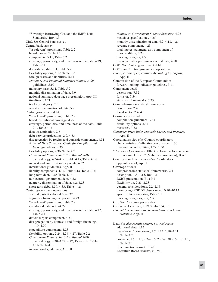"Sovereign Borrowing Cost and the IMF's Data Standards," Box 1.3 CBS. *See* Central bank survey Central bank survey "as relevant" provisions, Table 2.2 broad money, Table 5.2 components, 5.11, Table 5.2 coverage, periodicity, and timeliness of the data, 4.29, Table 2.1 domestic credit, 5.11, Table 5.2 flexibility options, 5.12, Table 2.2 foreign assets and liabilities, 5.11 *Monetary and Financial Statistics Manual 2000* guidelines, 5.10 monetary base, 5.11, Table 5.2 monthly dissemination of data, 5.9 national summary data page presentation, App. III timeliness, 2.21 tracking category, 2.5 weekly dissemination of data, 5.9 Central government debt "as relevant" provisions, Table 2.2 broad institutional coverage, 4.29 coverage, periodicity, and timeliness of the data, Table 2.1, Table 4.1a data dissemination, 2.6 debt-service projections, 2.9, 4.33 disaggregation by foreign and domestic components, 4.31 *External Debt Statistics: Guide for Compilers and Users* guidelines, 4.35 flexibility options, 4.36, Table 2.2 *Government Finance Statistics Manual 2001* methodology, 4.34–4.35, Table 4.1a, Table 4.1d interest and amortization payments, 4.32 international guidelines, App. II liability components, 4.34, Table 4.1a, Table 4.1d long-term debt, 4.30, Table 4.1d non-central-government debt, 4.32 quarterly dissemination of data, 4.2, 4.28 short-term debt, 4.30, 4.33, Table 4.1d Central government operations accrual basis for data, 4.20–4.22 aggregate financing component, 4.23 "as relevant" provisions, Table 2.2 cash-based data, 4.21–4.22 coverage, periodicity, and timeliness of the data, 4.17, Table 2.1 deficit/surplus component, 4.23 disaggregation by domestic and foreign financing, 4.19, 4.20 expenditure component, 4.23 flexibility options, 2.24, 4.26–4.27, Table 2.2 *Government Finance Statistics Manual 2001* methodology, 4.20–4.22, 4.27, Table 4.1a, Table 4.1b, Table 4.1c international guidelines, App. II

*Manual on Government Finance Statistics,* 4.23 metadata specifications, 4.25 monthly dissemination of data, 4.2, 4.18, 4.21 revenue component, 4.23 total interest payments as a component of expenditure, 4.24 tracking category, 2.5 use of actual or preliminary actual data, 4.18 CGD. *See* Central government debt CGOs. *See* Central government operations *Classification of Expenditure According to Purpose,* App. II Commission of the European Communities forward-looking indicator guidelines, 3.11 Component detail description, 7.32 forms of, 7.34 statistical frameworks, 7.33 Comprehensive statistical frameworks description, 2.4 fiscal sector, 2.4, 4.5 Consumer price index compilation guidelines, 3.33 flexibility options, 3.34 measures, 3.32 *Consumer Price Index Manual: Theory and Practice,* App. II Coordinators. *See also* Country coordinators characteristics of effective coordinators, 1.30 role and responsibilities, 1.29, 1.30 "Corporate Governance: Effect on Firm Performance and Economic Growth" (Maher and Anderson), Box 1.3 Country coordinators. *See also* Coordinators appointment of, App. I Coverage of data comprehensive statistical frameworks, 2.4 description, 1.5, 1.15, Box 1.1 DSBB presentation, Box 9.1 flexibility on, 2.23–2.28 general considerations, 2.2–2.15 monitoring of SDDS observance, 10.10–10.12 specific data categories, Table 2.1 tracking categories, 2.5, 6.5 CPI. *See* Consumer price index Cross-checks of data, 1.19, 7.31–7.34, 8.10 *Current International Recommendations on Labor Statistics,* App. II Data. *See also specific sectors, i.e., real sector* additional data, 1.15 "as relevant" component, 1.7, 1.14, 2.10–2.11,

Table 2.2 coverage, 1.5, 1.15, 2.2–2.15, 2.23–2.28, 6.5, Box 1.1, Table 2.1 dissemination formats, 1.20 Executive Board reviews, vii–viii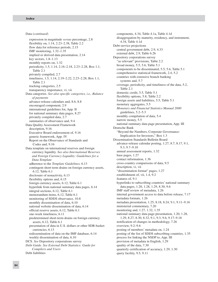expression in magnitude *versus* percentage, 2.8 flexibility on, 1.14, 2.23–2.38, Table 2.2 flow data for reference periods, 2.15 IMF monitoring, 1.32–1.35 implied or derived data presentation, 2.14 key sectors, 1.8–1.13 monthly reports on, 1.32 periodicity, 1.5, 1.14, 2.16–2.18, 2.23–2.28, Box 1.1, Table 2.1 privately compiled, 2.7 timeliness, 1.5, 1.14, 2.19–2.22, 2.23–2.28, Box 1.1, Table 2.1 tracking categories, 2.5 transparency importance, vi, vii Data categories. *See also specific categories, i.e., Balance of payments* advance-release calendars and, 8.6, 8.8 encouraged component, 2.9 international guidelines for, App. II for national summary data pages, 8.27 privately compiled data, 2.7 summaries of observance and, 9.4 Data Quality Assessment Framework description, 9.16 Executive Board endorsement of, 9.16 generic framework, App. IV Report on the Observance of Standards and Codes and, 9.16 Data template on international reserves and foreign currency liquidity. *See also International Reserves and Foreign Currency Liquidity: Guidelines for a Data Template* adherence to the *Template Guidelines,* 6.13 contingent short-term drains on foreign currency assets, 6.12, Table 6.1 disclosure of nonactivity, 6.13 flexibility options and, 6.15 foreign currency assets, 6.12, Table 6.1 hyperlink from national summary data pages, 6.14 integral sections, 6.12, Table 6.1 memorandum items, 6.12, Table 6.1 monitoring of SDDS observance, 10.8 monthly dissemination of data, 6.10 national website dissemination of data, 6.14 official reserve assets, 6.12, Table 6.1 one-week timeliness, 6.11 predetermined short-term drains on foreign currency assets, 6.12, Table 6.1 presentation of data in U.S. dollars or other SDR-basket currencies, 6.13 redissemination of data on the IMF database, 6.14 weekly dissemination of data, 6.10 DCS. *See* Depository corporations survey *Debt Guide. See External Debt Statistics: Guide for Compilers and Users* Debt liabilities Data (*continued*)

components, 4.34, Table 4.1a, Table 4.1d disaggregation by maturity, residency, and instrument, 4.34, Table 4.1d Debt-service projections central government debt, 2.9, 4.33 external debt, 2.9, Table 6.2b Depository corporations survey "as relevant" provisions, Table 2.2 broad money, 5.5, 5.6, Table 5.1 components to be disseminated, 5.5, 5.6, Table 5.1 comprehensive statistical framework, 2.4, 5.2 countries with extensive branch banking systems and, 5.7 coverage, periodicity, and timeliness of the data, 5.2, Table 2.1 domestic credit, 5.5, Table 5.1 flexibility options, 5.8, Table 2.2 foreign assets and liabilities, 5.5, Table 5.1 monetary aggregates, 5.5 *Monetary and Financial Statistics Manual 2000* guidelines, 5.2–5.3 monthly compilation of data, 5.4 narrow money, 5.5 national summary data page presentation, App. III Deutsche Bank "Beyond the Numbers, Corporate Governance: Implication for Investors," Box 1.3 Dissemination Standards Bulletin Board advance-release calendar posting, 1.27, 8.7, 8.17, 9.1, 9.3, 9.7–9.10 annual assessment reports, 1.32 base pages, 1.27 contact information, 1.36 cross-country comparisons of data, 9.5 description, vi, vii "dissemination format" pages, 1.27 establishment of, vii, 1.4, 9.2 features of, 9.1 hyperlinks to subscribing countries' national summary data pages, 1.20, 1.28, 1.29, 8.30, 9.6 IMF staff review of metadata, 1.26 internal government access to data before release, 7.17 metadata formats, 1.26 metadata presentation, 1.25, 8.18, 8.24, 9.1, 9.11–9.16 ministerial commentary, 7.20 monitoring and, 1.27, 1.32, 1.35 national summary data page presentation, 1.20, 1.28, 1.29, 8.27, 8.30, 8.32, 9.1, 9.3, 9.6, 9.17–9.18 notification of changes in methodology, 7.26 overview, 9.2–9.6 posting of members' metadata on, 1.24 posting of the list of SDDS subscribing countries, 1.35 process for linking the NSDP to, App. III provision of metadata in English, 1.29 quality of the data, 7.30 quarterly certification of accuracy, 1.29, 1.30 query facility, 9.5, 9.11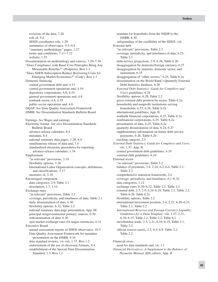revisions of the data, 7.26 role of, 9.2 SDDS coordinator role, 1.29 summaries of observance, 9.3–9.4 "summary methodology" pages, 1.27 terms and conditions, 7.11–7.12 website, 1.35 Documentation on methodology and sources, 7.29–7.30 "Does Compliance with Basel Core Principles Bring Any Measurable Benefits?" (Podpiera), Box 1.3 "Does SDDS Subscription Reduce Borrowing Costs for Emerging Market Economies?" (Cady), Box 1.3 Domestic financing central government debt and, 4.31 central government operations and, 4.19 depository corporations, 4.8, 4.19 general government operations and, 4.8 nonbank sector, 4.8, 4.19 public sector operations and, 4.8 DQAF. *See* Data Quality Assessment Framework DSBB. *See* Dissemination Standards Bulletin Board Earnings. *See* Wages and earnings Electronic format. *See also* Dissemination Standards Bulletin Board advance-release calendars, 8.4 metadata, 8.4 national summary data pages, 1.20, 8.4 simultaneous release of data and, 7.4 standardized electronic procedures for reporting advance-release calendars, 1.34 Employment "as relevant" provisions, 3.18 flexibility options, 3.18 International Labor Organization concepts, definitions, and classifications, 3.17 measures of, 3.16 Encouraged component data categories, 2.9, Table 2.1 description, 1.7, 1.14 Exchange rates "as relevant" provisions, Table 2.2 coverage, periodicity, and timeliness of data, Table 2.1 daily dissemination of data, 6.30 flexibility options, 6.32, Table 2.2 national summary data page presentation, App. III principal nongovernmental primary sources, 6.30 redissemination of data, 6.30 spot market exchange rates for major currencies, 6.31 Executive Board annual assessment reports of SDDS observance, 10.5 Data Quality Assessment Framework for metadata presentation on the DSBB, 9.16 data standard reviews, vii–viii, 1.37, Box 1.2 endorsement of the use of electronic formats, 8.4 establishment of the Special Data Dissemination Standard, 1.3, Box 1.2

mandate for hyperlinks from the NSDP to the DSBB, 8.30 safeguarding of the credibility of the SDDS, viii External debt "as relevant" provisions, Table 2.2 coverage, periodicity, and timeliness of data, 6.25, Table 2.1 debt-service projections, 2.9, 6.26, Table 6.2b disaggregation by domestic/foreign currency, 6.27 disaggregation by maturity, domestic sector, and instrument, 6.25 disaggregation of "other sectors," 6.25, Table 6.2a dissemination on the World Bank's Quarterly External Debt Statistics database, 6.28 *External Debt Statistics: Guide for Compilers and Users* guidelines, 6.24 flexibility options, 6.29, Table 2.2 gross external debt position by sector, Table 6.2a households and nonprofit institutions serving households, 6.25, 6.26, Table 6.2a international guidelines, App. II nonbank financial corporations, 6.25, Table 6.2a nonfinancial corporations, 6.25, Table 6.2a presentation of data, 6.25, Table 6.2a quarterly dissemination of data, 6.24, 6.27 supplementary information on future debt-service payments, 6.26, Table 6.2b tracking category, 2.5 *External Debt Statistics: Guide for Compilers and Users,* viii, 1.37, App. II central government debt guidelines, 4.35 external debt guidelines, 6.24 External sector "as relevant" provisions, Table 2.2 balance of payments, 2.4, 2.24, 6.2–6.4, Table 2.1, Table 2.2 comprehensive statistical framework, 2.4 coverage, periodicity, and timeliness, 6.1–6.32 data categories, 1.12 exchange rates, 6.30–6.32, Table 2.1, Table 2.2 external debt, 2.5, 2.9, 6.24–6.29, Table 2.1, Table 2.2, Table 6.2b, Table 6.2c flexibility options, Table 2.2 international investment position, 2.4, 2.21, 6.20–6.23, Table 2.1, Table 2.2 *International Reserves and Foreign Currency Liquidity: Guidelines for a Data Template,* viii, 1.37, 2.21, 6.10–6.15, Table 2.1, Table 2.2, Table 6.1 merchandise trade, 2.5, 2.21, 6.16–6.19, Table 2.1, Table 2.2 official reserve assets, 2.5, 6.5–6.9, Table 2.1, Table 2.2

Financial crises need for data standards and, vii, 1.1 *Financial Derivatives: A Supplement to the Balance of Payments Manual, fifth edition*, App. II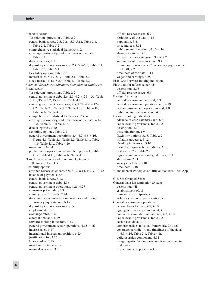Financial sector "as relevant" provisions, Table 2.2 central bank survey, 2.5, 2.21, 5.9–5.12, Table 2.1, Table 2.2, Table 5.2 comprehensive statistical framework, 2.4 coverage, periodicity, and timeliness of the data, Table 2.1 data categories, 1.11 depository corporations survey, 2.4, 5.2–5.8, Table 2.1, Table 2.2, Table 5.1 flexibility options, Table 2.2 interest rates, 5.13–5.17, Table 2.1, Table 2.2 stock market, 5.18–5.20, Table 2.1, Table 2.2 *Financial Soundness Indicators: Compilation Guide*, viii Fiscal sector "as relevant" provisions, Table 2.2 central government debt, 2.6, 2.9, 4.2, 4.28–4.36, Table 2.1, Table 2.2, Table 4.1a, Table 4.1d central government operations, 2.5, 2.24, 4.2, 4.17– 4.27, Table 2.1, Table 2.2, Table 4.1a, Table 4.1b, Table 4.1c, Table 4.1e comprehensive statistical framework, 2.4, 4.5 coverage, periodicity, and timeliness of the data, 4.1– 4.36, Table 2.1, Table 4.1a data categories, 1.10 flexibility options, Table 2.2 general government operations, 2.4, 4.2, 4.5–4.16, Figure 4.1, Table 2.1, Table 2.2, Table 4.1a, Table 4.1b, Table 4.1c, Table 4.1e overview, 4.2–4.4 public sector operations, 4.5–4.16, Figure 4.1, Table 4.1a, Table 4.1b, Table 4.1c, Table 4.1e "Fiscal Transparency and Economic Outcomes" (Hameed), Box 1.3 Flexibility options advance-release calendars, 8.9, 8.12–8.14, 10.17, 10.30 balance of payments, 6.4 central bank survey, 5.12 central government debt, 4.36 central government operations, 4.26–4.27 consumer price index, 3.34 country-specific needs, 2.24 data template on international reserves and foreign currency liquidity and, 6.15 depository corporations survey, 5.8 employment, 3.18 exchange rates, 6.32 external debt and, 6.29 forward-looking indicators, 3.13 general government sector operations, 4.15–4.16 interest rates, 5.17 international investment position, 6.23 justification for, 2.26 labor market, 3.15 merchandise trade, 6.19 national accounts, 3.5

official reserve assets, 6.9 periodicity of the data, 1.14 population, 3.41 price indices, 3.31 public sector operations, 4.15–4.16 share price index, 5.20 for specific data categories, Table 2.2 summaries of observance and, 9.4 "summary of observance" on country pages on the DSBB, 2.27 timeliness of the data, 1.14 wages and earnings, 3.28 FLIs. *See* Forward-looking indicators Flow data for reference periods description, 2.15 official reserve assets, 6.6 Foreign financing central government debt and, 4.31 central government operations and, 4.19 general government operations and, 4.8 public sector operations and, 4.8 Forward-looking indicators advance-release calendars and, 8.6 "as relevant" provisions, Table 2.2 description, 3.10 dissemination of, 1.9 flexibility options, 3.13, Table 2.2 inflation-targeting, 3.12 "leading indicators," 3.10 monthly or quarterly periodicity, 3.10 real sector, 2.7, Table 2.2 regional and international guidelines, 3.11 short-term, 3.11 surveys included, 3.10 timeliness, 3.10 "Fundamental Principles of Official Statistics," 7.6, App. II G-7. *See* Group of Seven General Data Dissemination System description, vii establishment of, vi number of participants, vii voluntary nature of participation, vii General government operations accrual basis for data, 4.9, 4.10 aggregate financing component, 4.11 annual dissemination of data, 4.2, 4.7, 4.10 "as relevant" provisions, Table 2.2 cash-based data, 4.10 comprehensive statistical framework, 2.4, 4.6 coverage, periodicity, and timeliness of the data, 4.5–4.16, Table 2.1, Table 4.1a deficit/surplus component, 4.11 disaggregation by domestic and foreign financing, 4.8–4.9 expenditure component, 4.11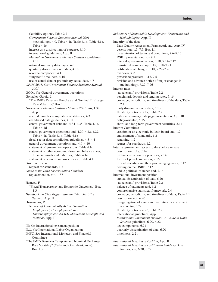flexibility options, Table 2.2 *Government Finance Statistics Manual 2001* methodology, 4.9, Table 4.1a, Table 4.1b, Table 4.1c, Table 4.1e interest as a distinct item of expense, 4.10 international guidelines, App. II *Manual on Government Finance Statistics* guidelines, 4.11 national summary data pages, 4.6 quarterly dissemination of data, 4.10 revenue component, 4.11 "targeted" timeliness, 4.16 use of actual data or preliminary actual data, 4.7 *GFSM 2001*. *See Government Finance Statistics Manual 2001* GGOs. *See* General government operations Gonzalez-Garcia, J. "The IMF's Reserves Template and Nominal Exchange Rate Volatility," Box 1.3 *Government Finance Statistics Manual 2001,* viii, 1.38, App. II accrual basis for compilation of statistics, 4.3 cash-based data guidelines, 4.10 central government debt and, 4.34–4.35, Table 4.1a, Table 4.1d central government operations and, 4.20–4.22, 4.27, Table 4.1a, Table 4.1b, Table 4.1c fiscal sector data compilation guidelines, 4.3–4.4 general government operations and, 4.9–4.10 statement of government operations, Table 4.1c statement of other economic flows and balance sheet, financial assets and liabilities, Table 4.1e statement of sources and uses of cash, Table 4.1b Group of Seven request for standards, 1.2 *Guide to the Data Dissemination Standard* replacement of, viii, 1.37 Hameed, F. "Fiscal Transparency and Economic Outcomes," Box 1.3 *Handbook on Civil Registration and Vital Statistics Systems,* App. II Hussmanns, R. *Surveys of Economically Active Population, Employment, Unemployment, and Underemployment: An ILO Manual on Concepts and Methods,* App. II

IIP. *See* International investment position ILO. *See* International Labor Organization IMFC. *See* International Monetary and Financial Committee "The IMF's Reserves Template and Nominal Exchange

Rate Volatility" (Cady and Gonzalez-Garcia), Box 1.3

*Indicators of Sustainable Development: Framework and Methodologies,* App. II Integrity of the data Data Quality Assessment Framework and, App. IV description, 1.5, 7.5, Box 1.1 dissemination of terms and conditions, 7.6–7.13 DSBB presentation, Box 9.1 internal government access, 1.18, 7.14–7.17 ministerial commentary, 1.18, 7.18–7.21 notification of changes, 1.18, 7.22–7.26 overview, 7.2 prescribed practices, 1.18, 7.5 revision and advance notice of major changes in methodology, 7.22–7.26 Interest rates "as relevant" provisions, Table 2.2 benchmark deposit and lending rates, 5.16 coverage, periodicity, and timeliness of the data, Table 2.1 daily dissemination of data, 5.13 flexibility options, 5.17, Table 2.2 national summary data page presentation, App. III policy-oriented, 5.15 short- and long-term government securities, 5.14 Interim Committee creation of an electronic bulletin board and, 1.2 endorsement of standards, 1.2 renaming, 1.2 request for standards, 1.2 Internal government access to data before release description, 1.18, 7.14 differences in country practices, 7.14 forms of prerelease access, 7.15 official statistics and their producing agencies, 7.17 posting on the DSBB, 7.17 undue political influence and, 7.16 International investment position annual dissemination of data, 6.20 "as relevant" provisions, Table 2.2 balance of payments and, 6.2 comprehensive statistical framework, 2.4 coverage, periodicity, and timeliness of data, Table 2.1 description, 6.2, 6.20 disaggregation of assets and liabilities by instrument and sector, 6.22 flexibility options, 6.23, Table 2.2 international guidelines, App. II *International Investment Position—A Guide to Data Sources* guidelines, 6.20, 6.22 key components, 6.21 quarterly dissemination of data, 6.20 timeliness, 2.21

*International Investment Position*, App. II *International Investment Position—A Guide to Data Sources,* viii, 6.20, 6.22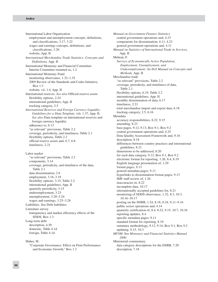International Labor Organization employment and unemployment concepts, definitions, and classifications, 3.17, 3.22 wages and earnings concepts, definitions, and classifications, 3.26 website, App. II *International Merchandise Trade Statistics: Concepts and Definitions,* App. II International Monetary and Financial Committee Interim Committee renamed as, 1.2 International Monetary Fund monitoring observance, 1.32–1.35 2005 Review of the Standards and Codes Initiative, Box 1.3 website, vii, 1.4, App. II International reserves. *See also* Official reserve assets flexibility options, 2.24 international guidelines, App. II tracking category, 2.5 *International Reserves and Foreign Currency Liquidity: Guidelines for a Data Template,* viii, 1.37, App. II. *See also* Data template on international reserves and foreign currency liquidity adherence to, 6.13 "as relevant" provisions, Table 2.2 coverage, periodicity, and timeliness, Table 2.1 flexibility options, Table 2.2 official reserve assets and, 6.7, 6.8 timeliness, 2.21 Labor market "as relevant" provisions, Table 2.2 components, 3.14 coverage, periodicity, and timeliness of the data, Table 2.1 data dissemination, 2.6 employment, 3.16–3.19 flexibility options, 3.15, Table 2.2 international guidelines, App. II quarterly periodicity, 3.15 underemployment, 3.23 unemployment, 3.20–3.24 wages and earnings, 3.25–3.28

Liabilities. See Debt liabilities Literature survey transparency and market efficiency effects of the SDDS, Box 1.3 Long-term debt description, 4.30 domestic, Table 4.1d foreign, Table 4.1d

Maher, M.

"Corporate Governance: Effect on Firm Performance and Economic Growth," Box 1.3

*Manual on Government Finance Statistics* central government operations and, 4.23 components for dissemination, 4.11, 4.23 general government operations and, 4.11 *Manual on Statistics of International Trade in Services,* App. II Mehran, F. *Surveys of Economically Active Population, Employment, Unemployment, and Underemployment: An ILO Manual on Concepts and Methods,* App. II Merchandise trade "as relevant" provisions, Table 2.2 coverage, periodicity, and timeliness of data, Table 2.1 flexibility options, 6.19, Table 2.2 international guidelines, App. II monthly dissemination of data, 6.17 timeliness, 2.21 total merchandise import and export data, 6.18 tracking category, 2.5, 6.16 Metadata accuracy responsibilities, 8.22, 9.15 amending, 8.23 base pages, 9.12, 9.13, Box 9.1, Box 9.2 central government operations and, 4.25 Data Quality Assessment Framework and, 9.16 description, 8.18 differences between country practices and international guidelines, 8.21 dimensions to be addressed, 8.20 for each data category, 9.12, Box 9.1, Box 9.2 electronic format for reporting, 1.26, 8.4, 8.19 English language presentation of, 1.29 format pages, 9.13 general metadata pages, 9.11 hyperlinks to dissemination format pages, 9.13 IMF staff review of, 1.26 inaccuracies in, 8.22 incomplete data, 10.17 internationally accepted guidelines for, 8.21 monitoring of SDDS observance, 1.32, 8.3, 10.3, 10.16–10.17 posting on the DSBB, 1.24, 8.18, 8.24, 9.11–9.16 public sector operations and, 4.14 quarterly certification of, 8.4, 8.22, 9.15, 10.7, 10.16 reporting updates, 8.4 specific metadata pages, 9.11 standard format for reporting, 8.19 summary methodology, 9.12, 9.14, Box 9.1, Box 9.2 updating, 9.15, 10.3 *MFSM*. See *Monetary and Financial Statistics Manual 2000* Ministerial commentary data category descriptions for the DSBB, 7.20 description, 7.18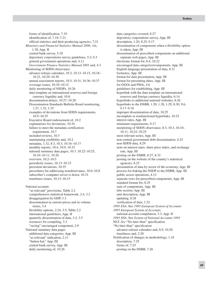forms of identification, 7.19 identification of, 7.18–7.21 official statistics and their producing agencies, 7.21 *Monetary and Financial Statistics Manual 2000,* viii, 1.38, App. II central bank survey, 5.10 depository corporations survey guidelines, 5.2–5.3 general government operations and, 4.11 *Government Finance Statistics Manual 2001* and, 4.3 Monitoring of SDDS observance advance-release calendars, 10.3, 10.13–10.15, 10.18– 10.21, 10.29–10.30 annual assessment reports, 10.5, 10.31, 10.36–10.37 coverage issues, 10.10–10.12 daily monitoring of NSDPs, 10.26 data template on international reserves and foreign currency liquidity and, 10.8 dissemination delays, 10.27–10.28 Dissemination Standards Bulletin Board monitoring, 1.27, 1.32, 1.35 examples of deviations from SDDS requirements, 10.9–10.25 Executive Board endorsement of, 10.2 explanations for deviations, 10.34 failure to meet the metadata certification requirement, 10.7 included reviews, 10.3 maintaining credibility and, 10.2 metadata, 1.32, 8.3, 10.3, 10.16–10.17 monthly reports, 10.4, 10.9, 10.33 national summary data pages, 10.3. 10.22–10.25, 10.10–10.11, 10.26 overview, 10.2–10.5 periodicity issues, 10.13–10.15 persistent deviations, 10.35 procedures for addressing nonobservance, 10.6–10.8 subscriber's computer server is down, 10.31 timeliness issues, 10.13–10.15

National accounts "as relevant" provisions, Table 2.2 comprehensive statistical framework, 2.4, 3.2 disaggregation by GDP, 3.3 dissemination in current prices and in volume terms, 3.4 flexibility options, 2.24, 3.5, Table 2.2 international guidelines, App. II quarterly dissemination of data, 3.2, 3.5 resources for compiling, 3.3 "saving" encouraged component, 2.9 National summary data pages additional data categories, App. III "as relevant" indication, 2.11 "button bar," App. III central bank survey, App. III daily monitoring of, 10.26

data categories covered, 8.27 depository corporations survey, App. III description, 1.20, 8.25, 9.17 dissemination of components when a flexibility option is taken, App. III dissemination of prescribed components on additional separate web pages, App. III electronic format for, 8.4, 10.22 encouraged data categories/components, App. III English language presentation of data, 8.31 footnotes, App. III format for data presentation, App. III format for presenting dates, App. III for GGOs and PSOs, 4.6 guidelines for establishing, App. III hyperlink with the data template on international reserves and foreign currency liquidity, 6.14 hyperlinks to additional national websites, 8.26 hyperlinks to the DSBB, 1.20, 1.28, 1.29, 8.30, 9.6, 9.17–9.18 improper dissemination of data, 10.25 incomplete or nonfunctional hyperlinks, 10.23 interest rates, App. III minimum requirements, 9.17 monitoring of SDDS observance, 8.3, 10.3, 10.10– 10.11, 10.22–10.25 most relevant series, App. III non-central-government debt dissemination, 4.32 non-SDDS data, 8.29 note on interest rates, share price index, and exchange rate, App. III posting on the DSBB, 8.27, 8.32 posting on the website of the country's statistical agencies, 8.25 presentation of data by sector of the economy, App. III process for linking the NSDP to the DSBB, App. III public sector operations, 4.12 separate rows for prescribed components, App. III standard format for, 8.25 sum of components, App. III title section, App. III unit description, App. III updating, 8.28 verification of data, 1.32 *1995 ESA*. See *1995 European System of Accounts 1995 European System of Accounts* national account compilation, 3.3, App. II *1993 SNA*. See *System of National Accounts 1993* NLT. *See* "No later than" specification "No later than" specification advance-release calendars and, 8.9, 10.20 timeliness and, 2.20 Notification of changes in methodology, 1.18 description, 7.25 forms of, 7.25 posting on the DSBB, 7.26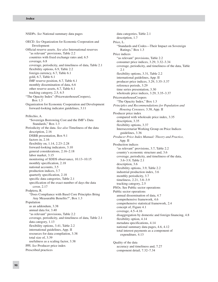NSDPs. *See* National summary data pages OECD. *See* Organization for Economic Cooperation and Development Official reserve assets. *See also* International reserves "as relevant" provisions, Table 2.2 countries with fixed exchange rates and, 6.5 coverage, 6.8 coverage, periodicity, and timeliness of data, Table 2.1 flexibility options, 6.9, Table 2.2 foreign currency, 6.7, Table 6.1 gold, 6.7, Table 6.1 IMF reserve position, 6.7, Table 6.1 monthly dissemination of data, 6.6 other reserve assets, 6.7, Table 6.1 tracking category, 2.5, 6.5 "The Opacity Index" (PricewaterhouseCoopers), Box 1.3 Organization for Economic Cooperation and Development forward-looking indicator guidelines, 3.11 Pellechio, A. "Sovereign Borrowing Cost and the IMF's Data Standards," Box 1.3 Periodicity of the data. *See also* Timeliness of the data description, 2.16 DSBB presentation, Box 9.1 factors in, 2.16 flexibility on, 1.14, 2.23–2.28 forward-looking indicators, 3.10 general considerations, 2.16–2.18 labor market, 3.15 monitoring of SDDS observance, 10.13–10.15 monthly specification, 2.18 national accounts, 3.5 production indices, 3.7 quarterly specification, 2.18 specific data categories, Table 2.1 specification of the exact number of days the data cover, 2.17 Podpiera, R. "Does Compliance with Basel Core Principles Bring Any Measurable Benefits?", Box 1.3 Population as an addendum, 3.38 annual data for, 3.40 "as relevant" provisions, Table 2.2 coverage, periodicity, and timeliness of data, Table 2.1 data category, 1.13 flexibility options, 3.41, Table 2.2 international guidelines, App. II resources for data compilation, 3.38 total size of, 3.39 usefulness as a scaling factor, 3.38 PPI. *See* Producer price index Prescribed practices

data categories, Table 2.1 description, 1.7 Price, L. "Standards and Codes—Their Impact on Sovereign Ratings," Box 1.3 Price indices "as relevant" provisions, Table 2.2 consumer price indices, 3.29, 3.32–3.34 coverage, periodicity, and timeliness of the data, Table 2.1 flexibility options, 3.31, Table 2.2 international guidelines, App. II producer price indices, 3.29, 3.35–3.37 reference periods, 3.29 time series presentation, 3.30 wholesale price indices, 3.29, 3.35–3.37 PricewaterhouseCoopers "The Opacity Index," Box 1.3 *Principles and Recommendations for Population and Housing Censuses,* 3.38, App. II Producer price index compared with wholesale price index, 3.35 description, 3.35 flexibility options, 3.37 Intersecretariat Working Group on Price Indices guidelines, 3.36 *Producer Price Index Manual: Theory and Practice,* App. II Production indices "as relevant" provisions, 3.7, Table 2.2 country's economic structure and, 3.6 coverage, periodicity, and timeliness of the data, 3.6–3.9, Table 2.1 description, 3.6 flexibility options, 3.9, Table 2.2 industrial production index, 3.6 monthly periodicity, 3.7 timeliness, 2.21, 3.8–3.9 tracking category, 2.5 PSOs. See Public sector operations Public sector operations annual dissemination of data, 4.7 comprehensive framework, 4.6 comprehensive statistical framework, 2.4 concept of, Figure 4.1 coverage, 4.5–4.16 disaggregation by domestic and foreign financing, 4.8 flexibility option, 4.14 metadata specifications, 4.14 national summary data pages, 4.6, 4.12 total interest payments as a component of expenditure, 4.13 Quality of the data

accuracy and timeliness and, 7.27 component detail, 7.32–7.34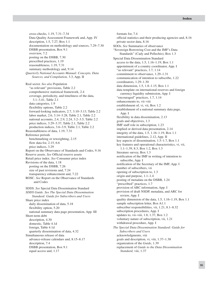cross-checks, 1.19, 7.31–7.34 Data Quality Assessment Framework and, App. IV description, 1.5, 7.27, Box 1.1 documentation on methodology and sources, 7.29–7.30 DSBB presentation, Box 9.1 overview, 7.2 posting on the DSBB, 7.30 prescribed practices, 1.19 reasonableness, 1.19, 7.31 summary methodology and, 9.14 *Quarterly National Accounts Manual: Concepts, Data Sources, and Compilation,* 3.3, App. II Real sector. *See also* Population "as relevant" provisions, Table 2.2 comprehensive statistical framework, 2.4 coverage, periodicity, and timeliness of the data, 3.1–3.41, Table 2.1 data categories, 1.9 flexibility options, Table 2.2 forward-looking indicators, 2.7, 3.10–3.13, Table 2.2 labor market, 2.6, 3.14–3.28, Table 2.1, Table 2.2 national accounts, 2.4, 2.9, 2.24, 3.2–3.5, Table 2.2 price indices, 3.29–3.37, Table 2.1, Table 2.2 production indices, 3.6–3.9, Table 2.1, Table 2.2 Reasonableness of data, 1.19, 7.31 Reference periods benchmarking or reweighting, 2.15 flow data for, 2.15, 6.6 price indices, 3.29 Report on the Observance of Standards and Codes, 9.16 Reserve assets. *See* Official reserve assets Retail price index. *See* Consumer price index Revisions of the data, 1.18 posting on the DSBB, 7.26 size of past revisions and, 7.24 transparency enhancement and, 7.22 ROSC. *See* Report on the Observance of Standards and Codes SDDS. *See* Special Data Dissemination Standard *SDDS Guide. See The Special Data Dissemination Standard: Guide for Subscribers and Users* Share price index daily dissemination of data, 5.18 flexibility option, 5.20 national summary data page presentation, App. III Short-term debt description, 4.30 domestic, Table 4.1d foreign, Table 4.1d quarterly dissemination of data, 4.32 Simultaneous release of data

advance-release calendars and, 8.15–8.17 description, 7.4 DSBB presentation, Box 9.1 equal access and, 1.17

formats for, 7.4 official statistics and their producing agencies and, 8.16 private sector data, 8.16 SOOs. *See* Summaries of observance "Sovereign Borrowing Cost and the IMF's Data Standards" (Cady and Pellechio), Box 1.3 Special Data Dissemination Standard access to the data, 1.5, 1.16–1.19, Box 1.1 appointment of a country coordinator, App. I "as relevant" practices, 1.7, 1.14 commitment to observance, 1.29–1.31 communication of intention to subscribe, 1.22 coordinators, 1.29–1.30 data dimension, 1.5, 1.8–1.15, Box 1.1 data template on international reserves and foreign currency liquidity submission, App. I "encouraged" practices, 1.7, 1.14 enhancements to, vii–viii establishment of, vi, vii, Box 1.2 establishment of a national summary data page, App. I flexibility in data dissemination, 2.13 goals and objectives, 1.3 IMF staff role in subscription, 1.23 implied or derived data presentation, 2.14 integrity of the data, 1.5, 1.16–1.19, Box 1.1 international guidelines, 2.12, App. II key aspects of dissemination, 1.5–1.7, Box 1.1 key features and operational characteristics, vi, vii, 1.1–1.39, 8.3, Box 1.2, Box 1.3 literature survey, Box 1.3 notification of the IMF in writing of intention to subscribe, App. I notification of the Secretary of the IMF, App. I number of subscribers, vii opening of subscription to, 1.3 origin and purpose, 1.1–1.4 posting of metadata on the DSBB, 1.24 "prescribed" practices, 1.7 provision of ARC information, App. I provision of draft NSDP, metadata, and ARC for review, App. I quality dimension of the data, 1.5, 1.16–1.19, Box 1.1 sample subscription letter, Box A1.1 subscriber responsibilities, vii, 1.21, 8.1–8.32 subscription procedures, App. I updates to, vii–viii, 1.8, 1.37, Box 1.2 voluntary nature of subscription, vii, 1.21 withdrawal procedure, App. I *The Special Data Dissemination Standard: Guide for Subscribers and Users* acknowledgments, viii goals and description, vi, viii, 1.37–1.38 organization of the *Guide*, 1.39 replacement of *Guide to the Data Dissemination Standard,* viii, 1.37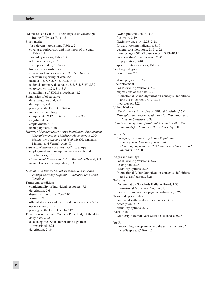"Standards and Codes—Their Impact on Sovereign Ratings" (Price), Box 1.3 Stock market "as relevant" provisions, Table 2.2 coverage, periodicity, and timeliness of the data, Table 2.1 flexibility options, Table 2.2 reference period, 2.15 share price index, 5.18–5.20 Subscriber responsibilities advance-release calendars, 8.3, 8.5, 8.6–8.17 electronic reporting of data, 8.4 metadata, 8.3, 8.5, 8.18–8.24, 9.15 national summary data pages, 8.3, 8.5, 8.25–8.32 overview, vii, 1.21, 8.1–8.5 streamlining of SDDS procedures, 8.2 Summaries of observance data categories and, 9.4 description, 9.4 posting on the DSBB, 9.3–9.4 Summary methodology components, 9.12, 9.14, Box 9.1, Box 9.2 Survey-based data employment, 3.16 unemployment, 3.20 *Surveys of Economically Active Population, Employment, Unemployment, and Underemployment: An ILO Manual on Concepts and Methods* (Hussmanns, Mehran, and Verma), App. II *System of National Accounts 1993,* 1.38, App. II employment and unemployment concepts and definitions, 3.17 *Government Finance Statistics Manual 2001* and, 4.3 national account compilation, 3.3 *Template Guidelines. See International Reserves and Foreign Currency Liquidity: Guidelines for a Data Template*

Terms and conditions confidentiality of individual responses, 7.8 description, 7.6 dissemination forms, 7.9–7.10 forms of, 7.7 official statistics and their producing agencies, 7.12 openness and, 7.13 posting on the DSBB, 7.11–7.12 Timeliness of the data. *See also* Periodicity of the data daily data, 2.22 data categories with shorter time lags than prescribed, 2.21 description, 2.19

DSBB presentation, Box 9.1 factors in, 2.19 flexibility on, 1.14, 2.23–2.28 forward-looking indicators, 3.10 general considerations, 2.19–2.22 monitoring of SDDS observance, 10.13–10.15 "no later than" specification, 2.20 on population, 3.40 specific data categories, Table 2.1 Tracking categories description, 2.5 Underemployment, 3.23 Unemployment "as relevant" provisions, 3.23 expressions of the data, 3.21 International Labor Organization concepts, definitions, and classifications, 3.17, 3.22 measures of, 3.20 United Nations "Fundamental Principles of Official Statistics," 7.6 *Principles and Recommendations for Population and Housing Censuses,* 3.38 *Update to the System of National Accounts 1993: New Standards for Financial Derivatives,* App. II Verma, V. *Surveys of Economically Active Population, Employment, Unemployment, and Underemployment: An ILO Manual on Concepts and Methods,* App. II Wages and earnings "as relevant" provisions, 3.27 description, 3.25 flexibility options, 3.28 International Labor Organization concepts, definitions, and classifications, 3.26 **Websites** Dissemination Standards Bulletin Board, 1.35 International Monetary Fund, vii, 1.4 national summary data page hyperlinks to, 8.26 Wholesale price index compared with producer price index, 3.35 description, 3.35 flexibility options, 3.37 World Bank Quarterly External Debt Statistics database, 6.28

#### Yu, F.

"Accounting transparency and the term structure of credit spreads," Box 1.3